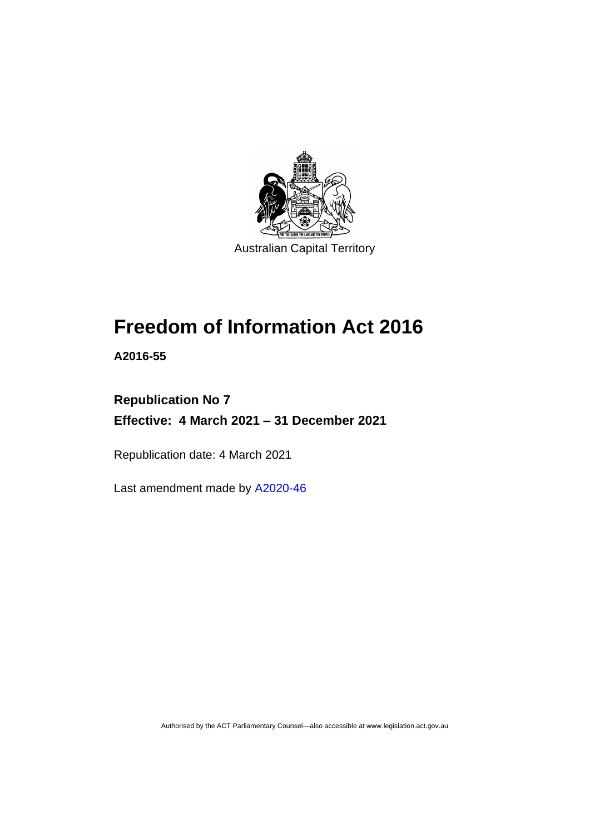

# **Freedom of Information Act 2016**

**A2016-55**

# **Republication No 7 Effective: 4 March 2021 – 31 December 2021**

Republication date: 4 March 2021

Last amendment made by [A2020-46](http://www.legislation.act.gov.au/a/2020-46/)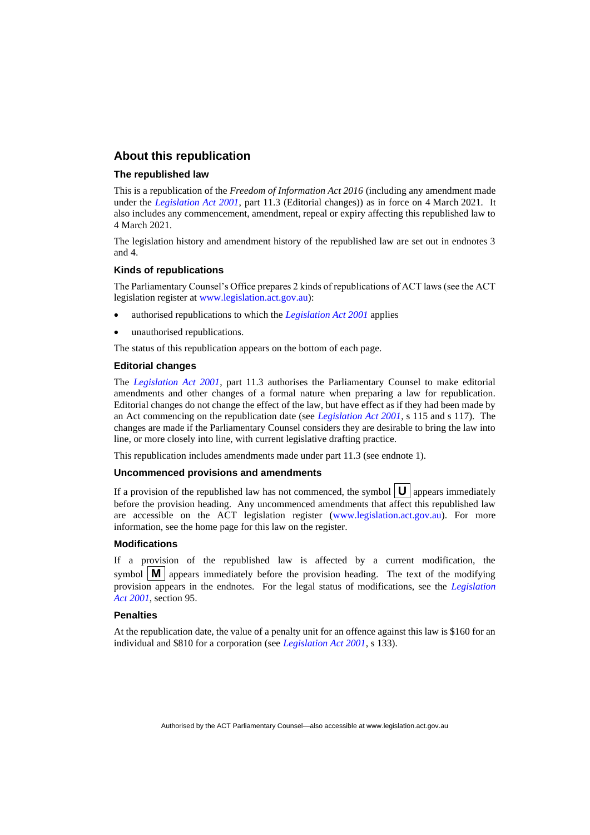#### **About this republication**

#### **The republished law**

This is a republication of the *Freedom of Information Act 2016* (including any amendment made under the *[Legislation Act 2001](http://www.legislation.act.gov.au/a/2001-14)*, part 11.3 (Editorial changes)) as in force on 4 March 2021*.* It also includes any commencement, amendment, repeal or expiry affecting this republished law to 4 March 2021.

The legislation history and amendment history of the republished law are set out in endnotes 3 and 4.

#### **Kinds of republications**

The Parliamentary Counsel's Office prepares 2 kinds of republications of ACT laws (see the ACT legislation register at [www.legislation.act.gov.au\)](http://www.legislation.act.gov.au/):

- authorised republications to which the *[Legislation Act 2001](http://www.legislation.act.gov.au/a/2001-14)* applies
- unauthorised republications.

The status of this republication appears on the bottom of each page.

#### **Editorial changes**

The *[Legislation Act 2001](http://www.legislation.act.gov.au/a/2001-14)*, part 11.3 authorises the Parliamentary Counsel to make editorial amendments and other changes of a formal nature when preparing a law for republication. Editorial changes do not change the effect of the law, but have effect as if they had been made by an Act commencing on the republication date (see *[Legislation Act 2001](http://www.legislation.act.gov.au/a/2001-14)*, s 115 and s 117). The changes are made if the Parliamentary Counsel considers they are desirable to bring the law into line, or more closely into line, with current legislative drafting practice.

This republication includes amendments made under part 11.3 (see endnote 1).

#### **Uncommenced provisions and amendments**

If a provision of the republished law has not commenced, the symbol  $\mathbf{U}$  appears immediately before the provision heading. Any uncommenced amendments that affect this republished law are accessible on the ACT legislation register [\(www.legislation.act.gov.au\)](http://www.legislation.act.gov.au/). For more information, see the home page for this law on the register.

#### **Modifications**

If a provision of the republished law is affected by a current modification, the symbol  $\mathbf{M}$  appears immediately before the provision heading. The text of the modifying provision appears in the endnotes. For the legal status of modifications, see the *[Legislation](http://www.legislation.act.gov.au/a/2001-14)  Act [2001](http://www.legislation.act.gov.au/a/2001-14)*, section 95.

#### **Penalties**

At the republication date, the value of a penalty unit for an offence against this law is \$160 for an individual and \$810 for a corporation (see *[Legislation Act 2001](http://www.legislation.act.gov.au/a/2001-14)*, s 133).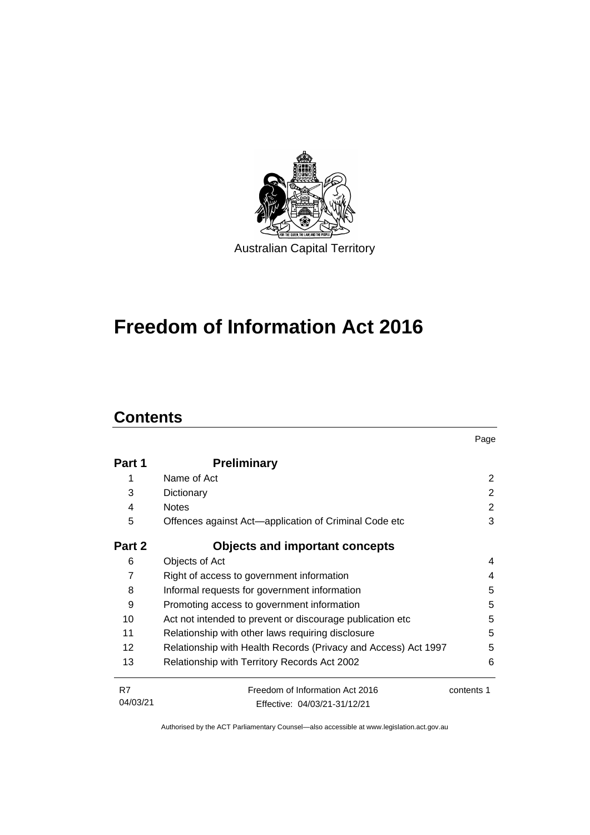

# **Freedom of Information Act 2016**

# **Contents**

|                   |                                                                | Page           |
|-------------------|----------------------------------------------------------------|----------------|
| Part 1            | <b>Preliminary</b>                                             |                |
|                   | Name of Act                                                    | 2              |
| 3                 | Dictionary                                                     | $\overline{2}$ |
| 4                 | <b>Notes</b>                                                   | $\overline{2}$ |
| 5                 | Offences against Act—application of Criminal Code etc          | 3              |
| Part 2            | <b>Objects and important concepts</b>                          |                |
| 6                 | Objects of Act                                                 | 4              |
| 7                 | Right of access to government information                      | 4              |
| 8                 | Informal requests for government information                   | 5              |
| 9                 | Promoting access to government information                     | 5              |
| 10                | Act not intended to prevent or discourage publication etc      | 5              |
| 11                | Relationship with other laws requiring disclosure              | 5              |
| $12 \overline{ }$ | Relationship with Health Records (Privacy and Access) Act 1997 | 5              |
| 13                | Relationship with Territory Records Act 2002                   | 6              |
| R7                | Freedom of Information Act 2016                                | contents 1     |
| 04/03/21          | Effective: 04/03/21-31/12/21                                   |                |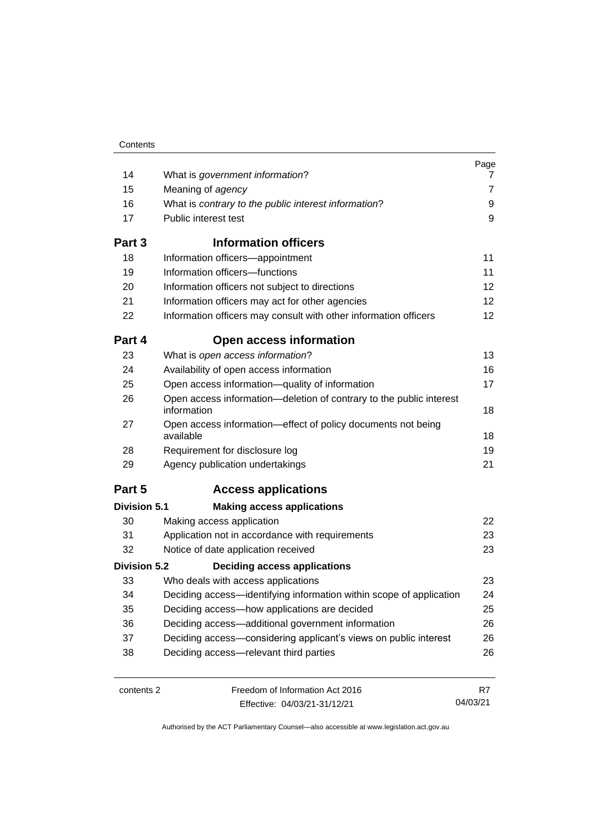| 14                  | What is government information?                                                    | Page<br>7       |
|---------------------|------------------------------------------------------------------------------------|-----------------|
| 15                  | Meaning of agency                                                                  | $\overline{7}$  |
| 16                  | What is contrary to the public interest information?                               | 9               |
| 17                  | Public interest test                                                               | 9               |
|                     |                                                                                    |                 |
| Part 3              | <b>Information officers</b>                                                        |                 |
| 18                  | Information officers-appointment                                                   | 11              |
| 19                  | Information officers-functions                                                     | 11              |
| 20                  | Information officers not subject to directions                                     | 12 <sub>2</sub> |
| 21                  | Information officers may act for other agencies                                    | 12              |
| 22                  | Information officers may consult with other information officers                   | 12              |
| Part 4              | <b>Open access information</b>                                                     |                 |
| 23                  | What is open access information?                                                   | 13              |
| 24                  | Availability of open access information                                            | 16              |
| 25                  | Open access information-quality of information                                     | 17              |
| 26                  | Open access information-deletion of contrary to the public interest<br>information | 18              |
| 27                  | Open access information—effect of policy documents not being<br>available          | 18              |
| 28                  | Requirement for disclosure log                                                     | 19              |
| 29                  | Agency publication undertakings                                                    | 21              |
| Part 5              | <b>Access applications</b>                                                         |                 |
| <b>Division 5.1</b> | <b>Making access applications</b>                                                  |                 |
| 30                  | Making access application                                                          | 22              |
| 31                  | Application not in accordance with requirements                                    | 23              |
| 32                  | Notice of date application received                                                | 23              |
| <b>Division 5.2</b> | <b>Deciding access applications</b>                                                |                 |
| 33                  | Who deals with access applications                                                 | 23              |
| 34                  | Deciding access-identifying information within scope of application                | 24              |
| 35                  | Deciding access-how applications are decided                                       | 25              |
| 36                  | Deciding access-additional government information                                  | 26              |
| 37                  | Deciding access-considering applicant's views on public interest                   | 26              |
| 38                  | Deciding access-relevant third parties                                             | 26              |
| contents 2          | Freedom of Information Act 2016                                                    | R7              |

Effective: 04/03/21-31/12/21

04/03/21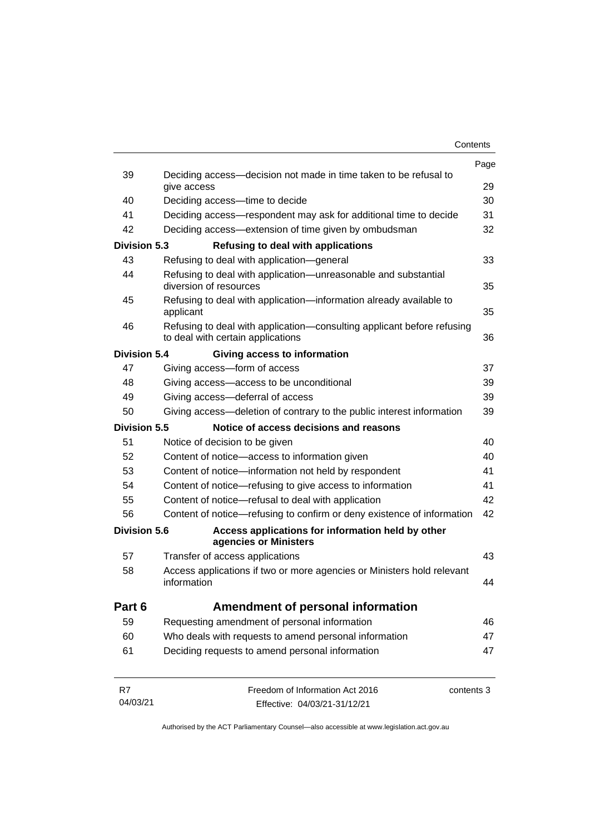|                     |                                                                                                             | Contents |
|---------------------|-------------------------------------------------------------------------------------------------------------|----------|
|                     |                                                                                                             | Page     |
| 39                  | Deciding access-decision not made in time taken to be refusal to<br>give access                             | 29       |
| 40                  | Deciding access---time to decide                                                                            | 30       |
| 41                  | Deciding access—respondent may ask for additional time to decide                                            | 31       |
| 42                  | Deciding access—extension of time given by ombudsman                                                        | 32       |
| <b>Division 5.3</b> | Refusing to deal with applications                                                                          |          |
| 43                  | Refusing to deal with application-general                                                                   | 33       |
| 44                  | Refusing to deal with application—unreasonable and substantial<br>diversion of resources                    | 35       |
| 45                  | Refusing to deal with application-information already available to<br>applicant                             | 35       |
| 46                  | Refusing to deal with application-consulting applicant before refusing<br>to deal with certain applications | 36       |
| Division 5.4        | Giving access to information                                                                                |          |
| 47                  | Giving access-form of access                                                                                | 37       |
| 48                  | Giving access-access to be unconditional                                                                    | 39       |
| 49                  | Giving access-deferral of access                                                                            | 39       |
| 50                  | Giving access-deletion of contrary to the public interest information                                       | 39       |
| <b>Division 5.5</b> | Notice of access decisions and reasons                                                                      |          |
| 51                  | Notice of decision to be given                                                                              | 40       |
| 52                  | Content of notice-access to information given                                                               | 40       |
| 53                  | Content of notice-information not held by respondent                                                        | 41       |
| 54                  | Content of notice—refusing to give access to information                                                    | 41       |
| 55                  | Content of notice-refusal to deal with application                                                          | 42       |
| 56                  | Content of notice—refusing to confirm or deny existence of information                                      | 42       |
| Division 5.6        | Access applications for information held by other<br>agencies or Ministers                                  |          |
| 57                  | Transfer of access applications                                                                             | 43       |
| 58                  | Access applications if two or more agencies or Ministers hold relevant<br>information                       | 44       |
| Part 6              | Amendment of personal information                                                                           |          |
| 59                  | Requesting amendment of personal information                                                                | 46       |
| 60                  | Who deals with requests to amend personal information                                                       | 47       |
| 61                  | Deciding requests to amend personal information                                                             | 47       |
| R7                  | Freedom of Information Act 2016<br>contents 3                                                               |          |
| 04/03/21            | Effective: 04/03/21-31/12/21                                                                                |          |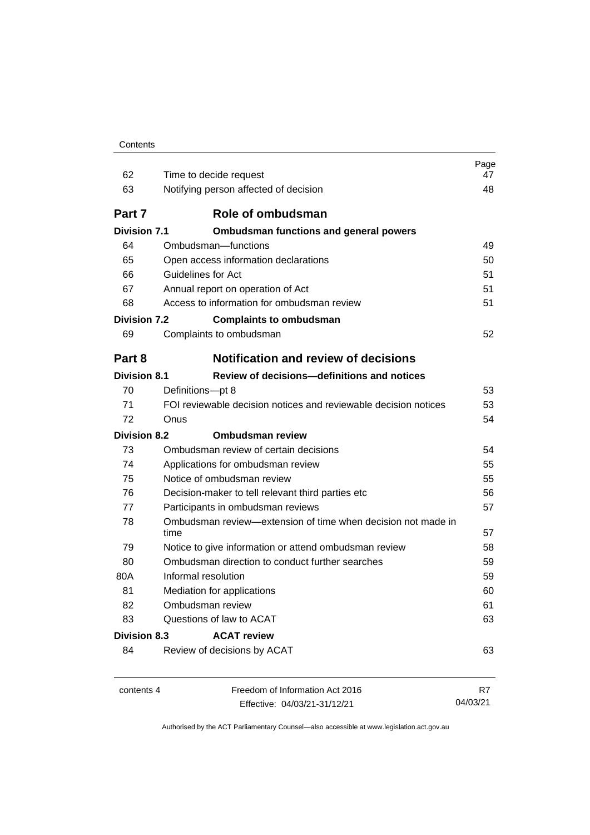| Contents |
|----------|
|----------|

| 62                  | Time to decide request                                               | Page<br>47 |
|---------------------|----------------------------------------------------------------------|------------|
| 63                  | Notifying person affected of decision                                | 48         |
| Part 7              | Role of ombudsman                                                    |            |
| <b>Division 7.1</b> | <b>Ombudsman functions and general powers</b>                        |            |
| 64                  | Ombudsman-functions                                                  | 49         |
| 65                  | Open access information declarations                                 | 50         |
| 66                  | Guidelines for Act                                                   | 51         |
| 67                  | Annual report on operation of Act                                    | 51         |
| 68                  | Access to information for ombudsman review                           | 51         |
| <b>Division 7.2</b> | <b>Complaints to ombudsman</b>                                       |            |
| 69                  | Complaints to ombudsman                                              | 52         |
| Part 8              | <b>Notification and review of decisions</b>                          |            |
| <b>Division 8.1</b> | Review of decisions-definitions and notices                          |            |
| 70                  | Definitions-pt 8                                                     | 53         |
| 71                  | FOI reviewable decision notices and reviewable decision notices      | 53         |
| 72                  | Onus                                                                 | 54         |
| <b>Division 8.2</b> | <b>Ombudsman review</b>                                              |            |
| 73                  | Ombudsman review of certain decisions                                | 54         |
| 74                  | Applications for ombudsman review                                    | 55         |
| 75                  | Notice of ombudsman review                                           | 55         |
| 76                  | Decision-maker to tell relevant third parties etc                    | 56         |
| 77                  | Participants in ombudsman reviews                                    | 57         |
| 78                  | Ombudsman review-extension of time when decision not made in<br>time |            |
| 79                  | Notice to give information or attend ombudsman review                | 58         |
| 80                  | Ombudsman direction to conduct further searches                      | 59         |
| 80A                 | Informal resolution                                                  | 59         |
| 81                  | Mediation for applications                                           | 60         |
| 82                  | Ombudsman review                                                     | 61         |
| 83                  | Questions of law to ACAT                                             | 63         |
| Division 8.3        | <b>ACAT review</b>                                                   |            |
| 84                  | Review of decisions by ACAT                                          | 63         |
| contents 4          | Freedom of Information Act 2016                                      | R7         |
|                     | Effective: 04/03/21-31/12/21                                         | 04/03/21   |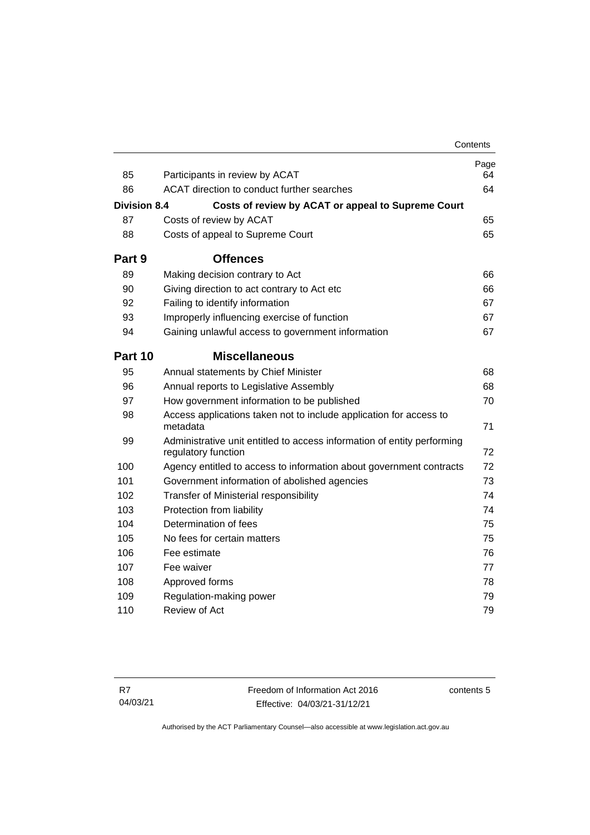|                     |                                                                                                | Contents   |
|---------------------|------------------------------------------------------------------------------------------------|------------|
| 85                  | Participants in review by ACAT                                                                 | Page<br>64 |
| 86                  | ACAT direction to conduct further searches                                                     | 64         |
| <b>Division 8.4</b> | Costs of review by ACAT or appeal to Supreme Court                                             |            |
| 87                  | Costs of review by ACAT                                                                        | 65         |
| 88                  | Costs of appeal to Supreme Court                                                               | 65         |
| Part 9              | <b>Offences</b>                                                                                |            |
| 89                  | Making decision contrary to Act                                                                | 66         |
| 90                  | Giving direction to act contrary to Act etc                                                    | 66         |
| 92                  | Failing to identify information                                                                | 67         |
| 93                  | Improperly influencing exercise of function                                                    | 67         |
| 94                  | Gaining unlawful access to government information                                              | 67         |
| Part 10             | <b>Miscellaneous</b>                                                                           |            |
| 95                  | Annual statements by Chief Minister                                                            | 68         |
| 96                  | Annual reports to Legislative Assembly                                                         | 68         |
| 97                  | How government information to be published                                                     | 70         |
| 98                  | Access applications taken not to include application for access to<br>metadata                 | 71         |
| 99                  | Administrative unit entitled to access information of entity performing<br>regulatory function | 72         |
| 100                 | Agency entitled to access to information about government contracts                            | 72         |
| 101                 | Government information of abolished agencies                                                   | 73         |
| 102                 | <b>Transfer of Ministerial responsibility</b>                                                  | 74         |
| 103                 | Protection from liability                                                                      | 74         |
| 104                 | Determination of fees                                                                          | 75         |
| 105                 | No fees for certain matters                                                                    | 75         |
| 106                 | Fee estimate                                                                                   | 76         |
| 107                 | Fee waiver                                                                                     | 77         |
| 108                 | Approved forms                                                                                 | 78         |
| 109                 | Regulation-making power                                                                        | 79         |
| 110                 | Review of Act                                                                                  | 79         |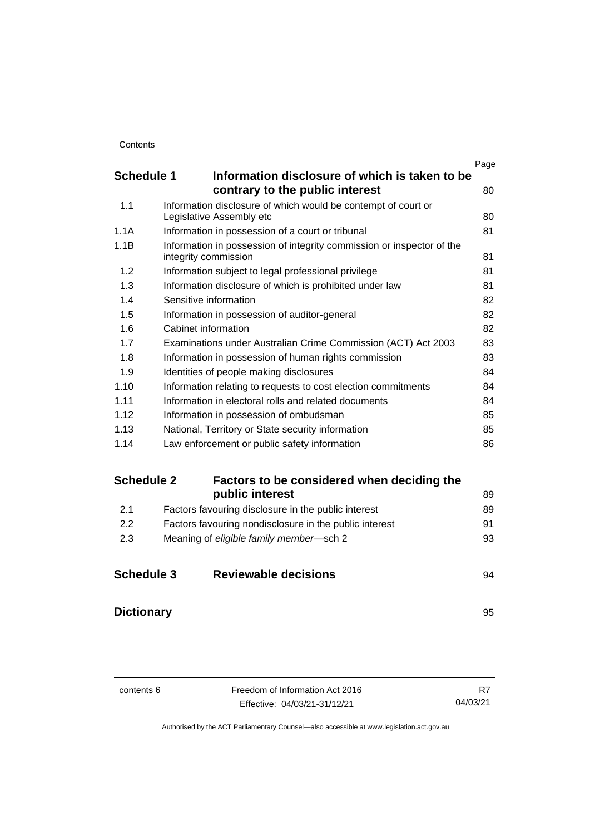|                   |                                                                                               | Page |
|-------------------|-----------------------------------------------------------------------------------------------|------|
| <b>Schedule 1</b> | Information disclosure of which is taken to be                                                |      |
|                   | contrary to the public interest                                                               | 80   |
| 1.1               | Information disclosure of which would be contempt of court or<br>Legislative Assembly etc     | 80   |
| 1.1A              | Information in possession of a court or tribunal                                              | 81   |
| 1.1B              | Information in possession of integrity commission or inspector of the<br>integrity commission | 81   |
| 1.2               | Information subject to legal professional privilege                                           | 81   |
| 1.3               | Information disclosure of which is prohibited under law                                       | 81   |
| 1.4               | Sensitive information                                                                         | 82   |
| 1.5               | Information in possession of auditor-general                                                  | 82   |
| 1.6               | Cabinet information                                                                           | 82   |
| 1.7               | Examinations under Australian Crime Commission (ACT) Act 2003                                 | 83   |
| 1.8               | Information in possession of human rights commission                                          | 83   |
| 1.9               | Identities of people making disclosures                                                       | 84   |
| 1.10              | Information relating to requests to cost election commitments                                 | 84   |
| 1.11              | Information in electoral rolls and related documents                                          | 84   |
| 1.12              | Information in possession of ombudsman                                                        | 85   |
| 1.13              | National, Territory or State security information                                             | 85   |
| 1.14              | Law enforcement or public safety information                                                  | 86   |

#### **Schedule 2 [Factors to be considered when deciding the](#page-98-0)  [public interest](#page-98-0)** 89 2.1 [Factors favouring disclosure in the public interest](#page-98-1) 89

| -2.1 | Factors favouring disclosure in the public interest    | ช9 |
|------|--------------------------------------------------------|----|
| -2.2 | Factors favouring nondisclosure in the public interest | 91 |
| -2.3 | Meaning of eligible family member-sch 2                | 93 |
|      |                                                        |    |

| <b>Schedule 3</b> | <b>Reviewable decisions</b> |  |
|-------------------|-----------------------------|--|
|                   |                             |  |

**[Dictionary](#page-104-0)** [95](#page-104-0)

contents 6 Freedom of Information Act 2016 Effective: 04/03/21-31/12/21 R7 04/03/21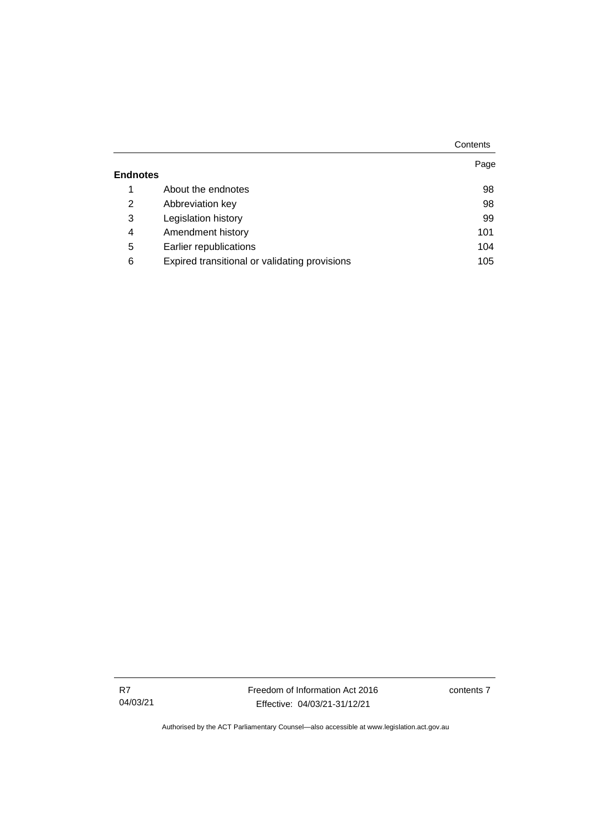|                 |                                               | Contents |
|-----------------|-----------------------------------------------|----------|
|                 |                                               | Page     |
| <b>Endnotes</b> |                                               |          |
| 1               | About the endnotes                            | 98       |
| 2               | Abbreviation key                              | 98       |
| 3               | Legislation history                           | 99       |
| 4               | Amendment history                             | 101      |
| 5               | Earlier republications                        | 104      |
| 6               | Expired transitional or validating provisions | 105      |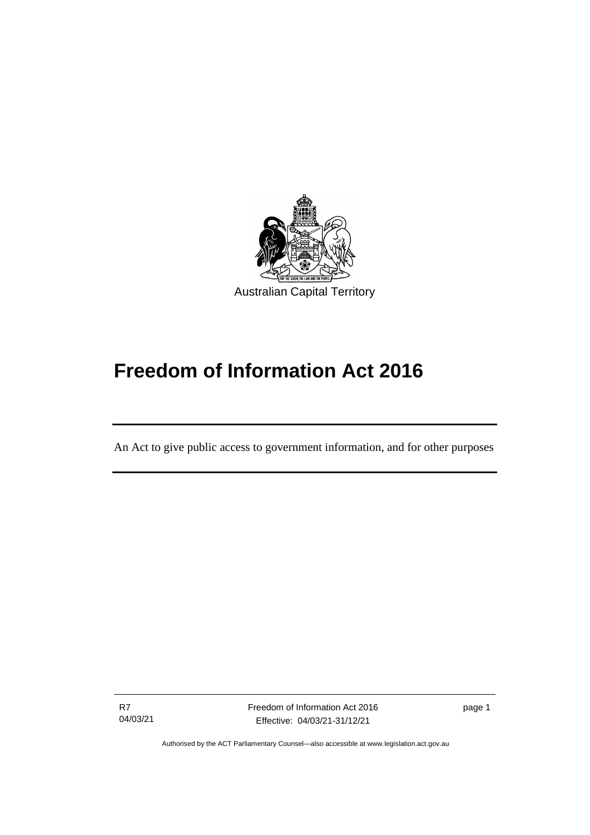

# **Freedom of Information Act 2016**

An Act to give public access to government information, and for other purposes

R7 04/03/21

ׅ֖֖֚֚֡֡֬֝֬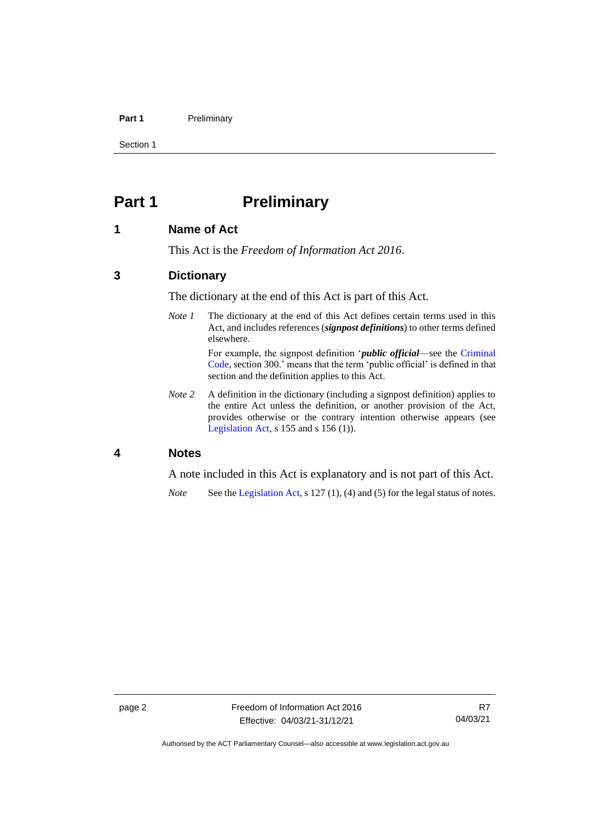#### **Part 1** Preliminary

Section 1

# <span id="page-11-0"></span>**Part 1 Preliminary**

#### <span id="page-11-1"></span>**1 Name of Act**

This Act is the *Freedom of Information Act 2016*.

#### <span id="page-11-2"></span>**3 Dictionary**

The dictionary at the end of this Act is part of this Act.

*Note 1* The dictionary at the end of this Act defines certain terms used in this Act, and includes references (*signpost definitions*) to other terms defined elsewhere.

For example, the signpost definition '*public official*—see the [Criminal](http://www.legislation.act.gov.au/a/2002-51)  [Code,](http://www.legislation.act.gov.au/a/2002-51) section 300.' means that the term 'public official' is defined in that section and the definition applies to this Act.

*Note* 2 A definition in the dictionary (including a signpost definition) applies to the entire Act unless the definition, or another provision of the Act, provides otherwise or the contrary intention otherwise appears (see [Legislation Act,](http://www.legislation.act.gov.au/a/2001-14)  $s$  155 and  $s$  156 (1)).

#### <span id="page-11-3"></span>**4 Notes**

A note included in this Act is explanatory and is not part of this Act.

*Note* See the [Legislation Act,](http://www.legislation.act.gov.au/a/2001-14) s 127 (1), (4) and (5) for the legal status of notes.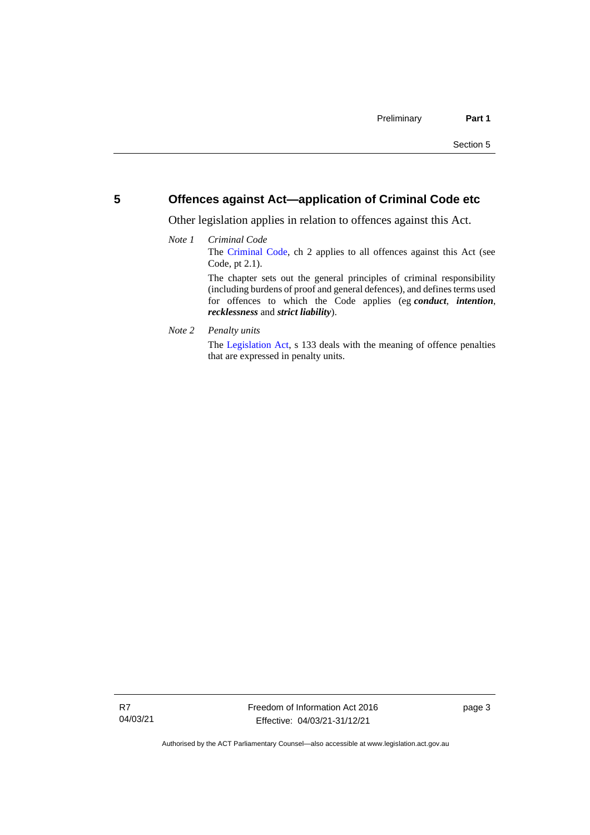#### <span id="page-12-0"></span>**5 Offences against Act—application of Criminal Code etc**

Other legislation applies in relation to offences against this Act.

#### *Note 1 Criminal Code* The [Criminal Code,](http://www.legislation.act.gov.au/a/2002-51) ch 2 applies to all offences against this Act (see Code, pt 2.1). The chapter sets out the general principles of criminal responsibility (including burdens of proof and general defences), and defines terms used for offences to which the Code applies (eg *conduct*, *intention*, *recklessness* and *strict liability*).

*Note 2 Penalty units*

The [Legislation Act,](http://www.legislation.act.gov.au/a/2001-14) s 133 deals with the meaning of offence penalties that are expressed in penalty units.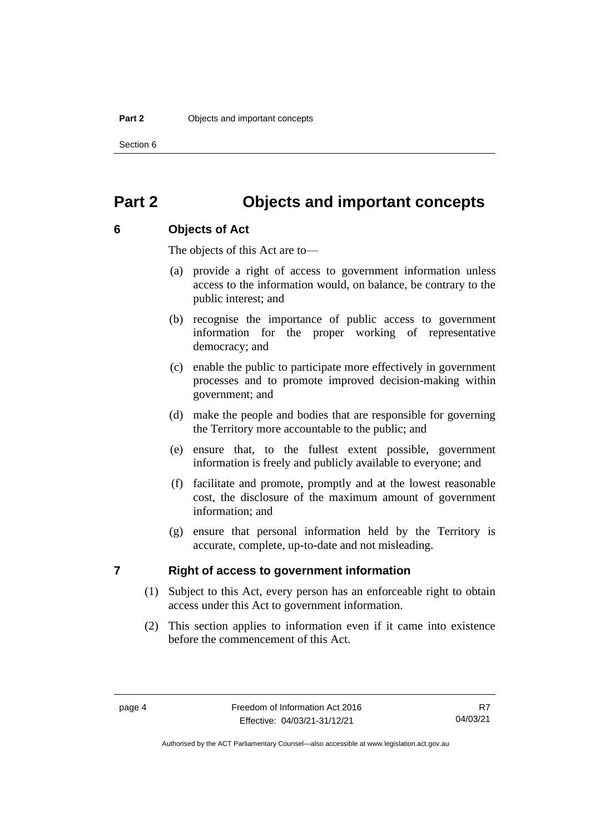Section 6

# <span id="page-13-0"></span>**Part 2 Objects and important concepts**

#### <span id="page-13-1"></span>**6 Objects of Act**

The objects of this Act are to—

- (a) provide a right of access to government information unless access to the information would, on balance, be contrary to the public interest; and
- (b) recognise the importance of public access to government information for the proper working of representative democracy; and
- (c) enable the public to participate more effectively in government processes and to promote improved decision-making within government; and
- (d) make the people and bodies that are responsible for governing the Territory more accountable to the public; and
- (e) ensure that, to the fullest extent possible, government information is freely and publicly available to everyone; and
- (f) facilitate and promote, promptly and at the lowest reasonable cost, the disclosure of the maximum amount of government information; and
- (g) ensure that personal information held by the Territory is accurate, complete, up-to-date and not misleading.

# <span id="page-13-2"></span>**7 Right of access to government information**

- (1) Subject to this Act, every person has an enforceable right to obtain access under this Act to government information.
- (2) This section applies to information even if it came into existence before the commencement of this Act.

Authorised by the ACT Parliamentary Counsel—also accessible at www.legislation.act.gov.au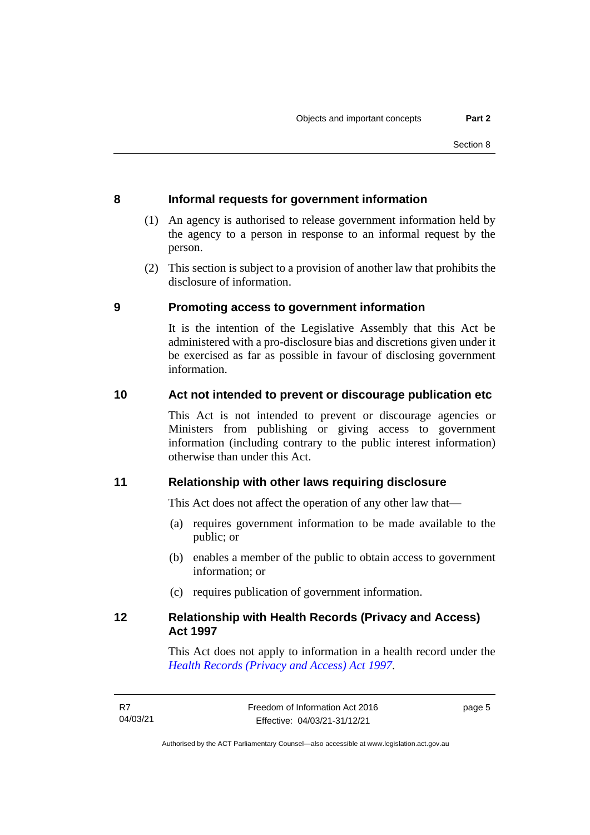# <span id="page-14-0"></span>**8 Informal requests for government information**

- (1) An agency is authorised to release government information held by the agency to a person in response to an informal request by the person.
- (2) This section is subject to a provision of another law that prohibits the disclosure of information.

### <span id="page-14-1"></span>**9 Promoting access to government information**

It is the intention of the Legislative Assembly that this Act be administered with a pro-disclosure bias and discretions given under it be exercised as far as possible in favour of disclosing government information.

# <span id="page-14-2"></span>**10 Act not intended to prevent or discourage publication etc**

This Act is not intended to prevent or discourage agencies or Ministers from publishing or giving access to government information (including contrary to the public interest information) otherwise than under this Act.

# <span id="page-14-3"></span>**11 Relationship with other laws requiring disclosure**

This Act does not affect the operation of any other law that—

- (a) requires government information to be made available to the public; or
- (b) enables a member of the public to obtain access to government information; or
- (c) requires publication of government information.

# <span id="page-14-4"></span>**12 Relationship with Health Records (Privacy and Access) Act 1997**

This Act does not apply to information in a health record under the *[Health Records \(Privacy and Access\) Act 1997](http://www.legislation.act.gov.au/a/1997-125)*.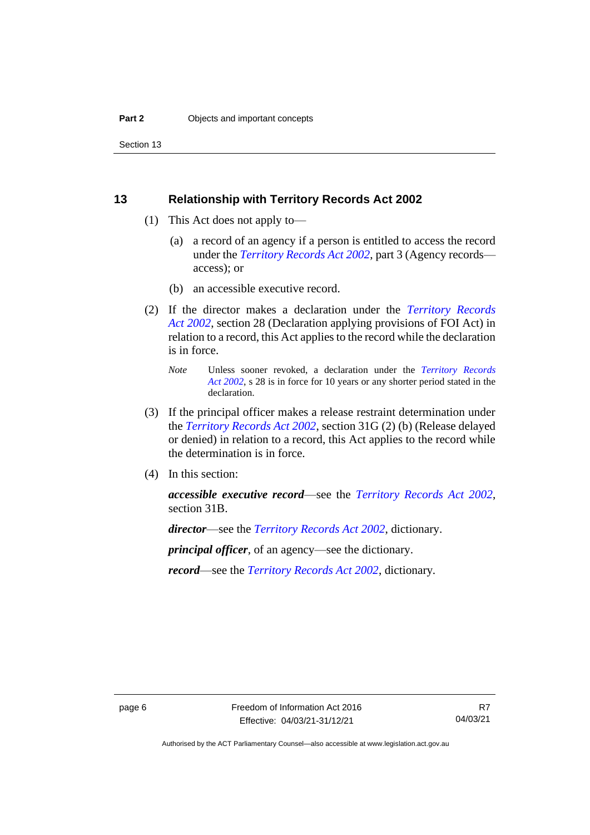Section 13

#### <span id="page-15-0"></span>**13 Relationship with Territory Records Act 2002**

- (1) This Act does not apply to—
	- (a) a record of an agency if a person is entitled to access the record under the *[Territory Records Act 2002](http://www.legislation.act.gov.au/a/2002-18)*, part 3 (Agency records access); or
	- (b) an accessible executive record.
- (2) If the director makes a declaration under the *[Territory Records](http://www.legislation.act.gov.au/a/2002-18)  Act [2002](http://www.legislation.act.gov.au/a/2002-18)*, section 28 (Declaration applying provisions of FOI Act) in relation to a record, this Act applies to the record while the declaration is in force.
	- *Note* Unless sooner revoked, a declaration under the *[Territory Records](http://www.legislation.act.gov.au/a/2002-18)  Act [2002](http://www.legislation.act.gov.au/a/2002-18)*, s 28 is in force for 10 years or any shorter period stated in the declaration.
- (3) If the principal officer makes a release restraint determination under the *[Territory Records Act 2002](http://www.legislation.act.gov.au/a/2002-18)*, section 31G (2) (b) (Release delayed or denied) in relation to a record, this Act applies to the record while the determination is in force.
- (4) In this section:

*accessible executive record*—see the *[Territory Records Act 2002](http://www.legislation.act.gov.au/a/2002-18)*, section 31B.

*director*—see the *[Territory Records Act 2002](http://www.legislation.act.gov.au/a/2002-18)*, dictionary.

*principal officer*, of an agency—see the dictionary.

*record*—see the *[Territory Records Act 2002](http://www.legislation.act.gov.au/a/2002-18)*, dictionary*.*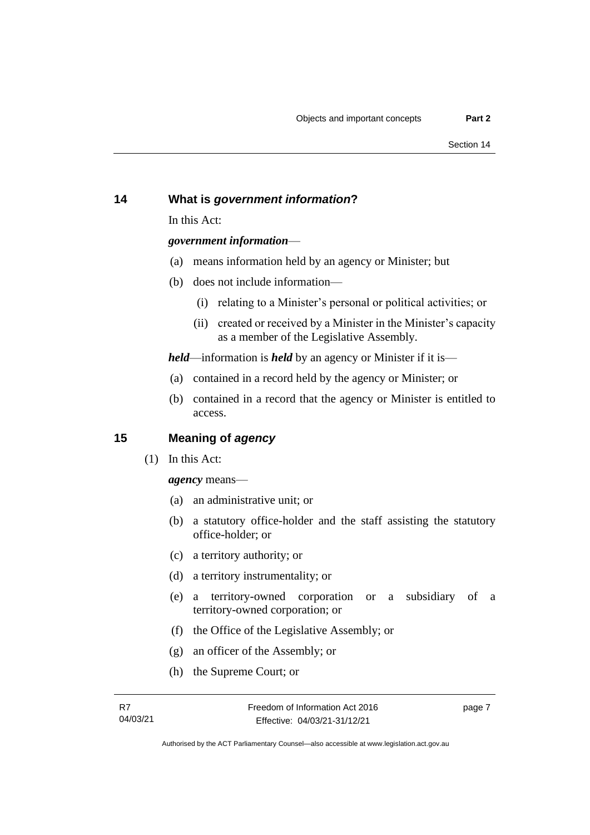#### <span id="page-16-0"></span>**14 What is** *government information***?**

In this Act:

#### *government information*—

- (a) means information held by an agency or Minister; but
- (b) does not include information—
	- (i) relating to a Minister's personal or political activities; or
	- (ii) created or received by a Minister in the Minister's capacity as a member of the Legislative Assembly.

*held*—information is *held* by an agency or Minister if it is—

- (a) contained in a record held by the agency or Minister; or
- (b) contained in a record that the agency or Minister is entitled to access.

#### <span id="page-16-1"></span>**15 Meaning of** *agency*

(1) In this Act:

*agency* means—

- (a) an administrative unit; or
- (b) a statutory office-holder and the staff assisting the statutory office-holder; or
- (c) a territory authority; or
- (d) a territory instrumentality; or
- (e) a territory-owned corporation or a subsidiary of a territory-owned corporation; or
- (f) the Office of the Legislative Assembly; or
- (g) an officer of the Assembly; or
- (h) the Supreme Court; or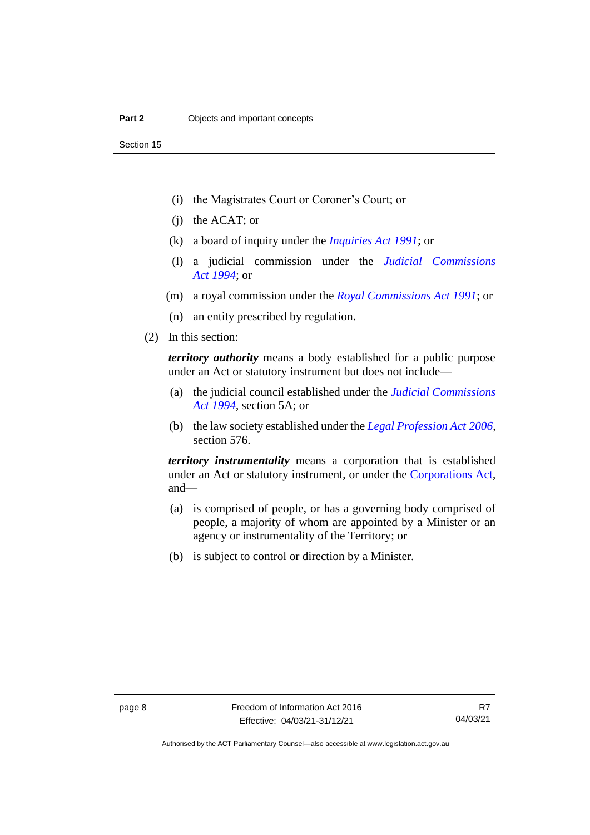- (i) the Magistrates Court or Coroner's Court; or
- (j) the ACAT; or
- (k) a board of inquiry under the *[Inquiries Act 1991](http://www.legislation.act.gov.au/a/1991-2)*; or
- (l) a judicial commission under the *[Judicial Commissions](http://www.legislation.act.gov.au/a/1994-9)  Act [1994](http://www.legislation.act.gov.au/a/1994-9)*; or
- (m) a royal commission under the *[Royal Commissions Act 1991](http://www.legislation.act.gov.au/a/1991-1)*; or
- (n) an entity prescribed by regulation.
- (2) In this section:

*territory authority* means a body established for a public purpose under an Act or statutory instrument but does not include—

- (a) the judicial council established under the *[Judicial Commissions](http://www.legislation.act.gov.au/a/1994-9)  [Act 1994](http://www.legislation.act.gov.au/a/1994-9)*, section 5A; or
- (b) the law society established under the *[Legal Profession Act](http://www.legislation.act.gov.au/a/2006-25) 2006*, section 576.

*territory instrumentality* means a corporation that is established under an Act or statutory instrument, or under the [Corporations Act,](http://www.comlaw.gov.au/Series/C2004A00818) and—

- (a) is comprised of people, or has a governing body comprised of people, a majority of whom are appointed by a Minister or an agency or instrumentality of the Territory; or
- (b) is subject to control or direction by a Minister.

R7 04/03/21

Authorised by the ACT Parliamentary Counsel—also accessible at www.legislation.act.gov.au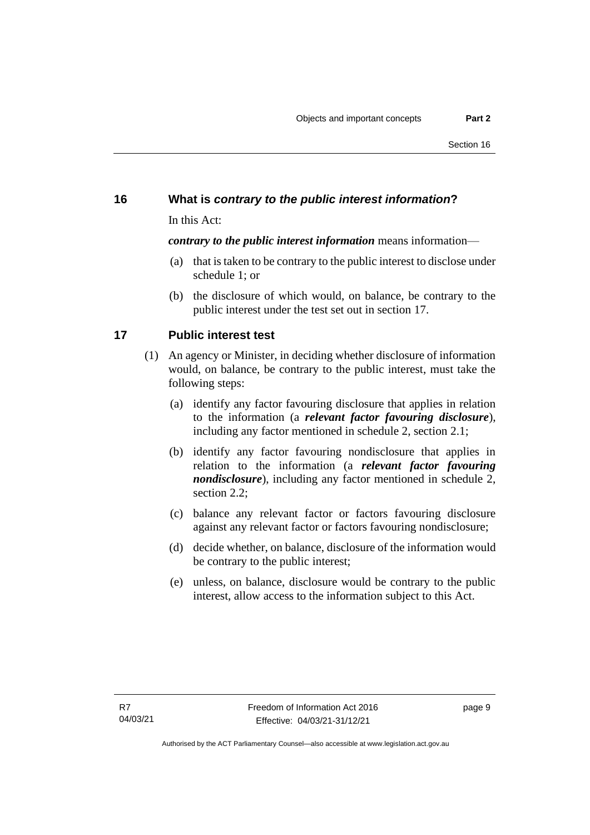# <span id="page-18-0"></span>**16 What is** *contrary to the public interest information***?**

In this Act:

#### *contrary to the public interest information* means information—

- (a) that is taken to be contrary to the public interest to disclose under schedule 1; or
- (b) the disclosure of which would, on balance, be contrary to the public interest under the test set out in section 17.

# <span id="page-18-1"></span>**17 Public interest test**

- (1) An agency or Minister, in deciding whether disclosure of information would, on balance, be contrary to the public interest, must take the following steps:
	- (a) identify any factor favouring disclosure that applies in relation to the information (a *relevant factor favouring disclosure*), including any factor mentioned in schedule 2, section 2.1;
	- (b) identify any factor favouring nondisclosure that applies in relation to the information (a *relevant factor favouring nondisclosure*), including any factor mentioned in schedule 2, section 2.2;
	- (c) balance any relevant factor or factors favouring disclosure against any relevant factor or factors favouring nondisclosure;
	- (d) decide whether, on balance, disclosure of the information would be contrary to the public interest;
	- (e) unless, on balance, disclosure would be contrary to the public interest, allow access to the information subject to this Act.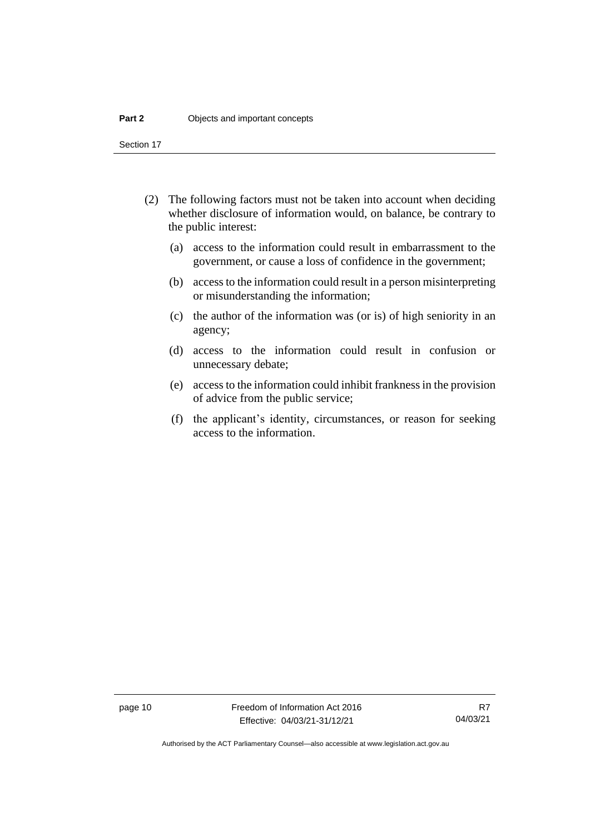Section 17

- (2) The following factors must not be taken into account when deciding whether disclosure of information would, on balance, be contrary to the public interest:
	- (a) access to the information could result in embarrassment to the government, or cause a loss of confidence in the government;
	- (b) access to the information could result in a person misinterpreting or misunderstanding the information;
	- (c) the author of the information was (or is) of high seniority in an agency;
	- (d) access to the information could result in confusion or unnecessary debate;
	- (e) access to the information could inhibit frankness in the provision of advice from the public service;
	- (f) the applicant's identity, circumstances, or reason for seeking access to the information.

page 10 Freedom of Information Act 2016 Effective: 04/03/21-31/12/21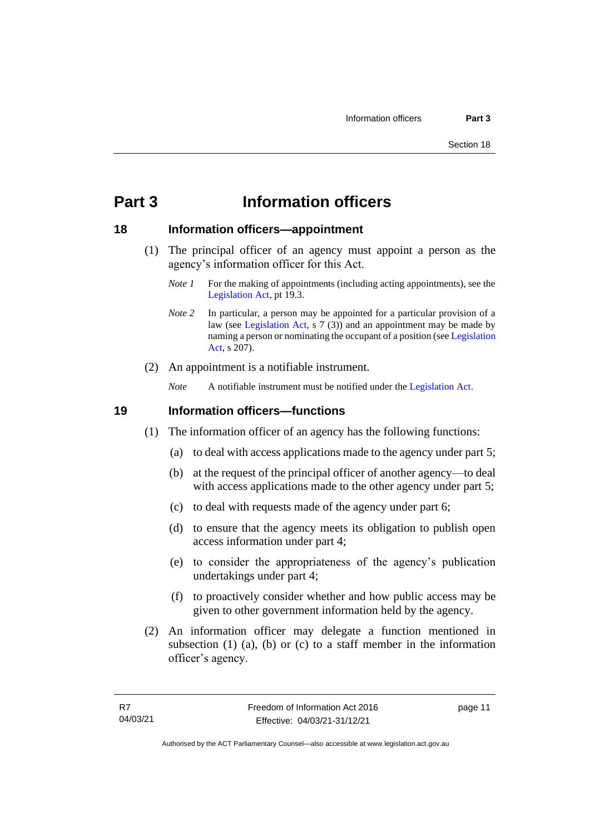# <span id="page-20-0"></span>**Part 3 Information officers**

#### <span id="page-20-1"></span>**18 Information officers—appointment**

- (1) The principal officer of an agency must appoint a person as the agency's information officer for this Act.
	- *Note 1* For the making of appointments (including acting appointments), see the [Legislation Act,](http://www.legislation.act.gov.au/a/2001-14) pt 19.3.
	- *Note 2* In particular, a person may be appointed for a particular provision of a law (see [Legislation Act,](http://www.legislation.act.gov.au/a/2001-14) s 7 (3)) and an appointment may be made by naming a person or nominating the occupant of a position (se[e Legislation](http://www.legislation.act.gov.au/a/2001-14)  [Act,](http://www.legislation.act.gov.au/a/2001-14) s 207).
- (2) An appointment is a notifiable instrument.

*Note* A notifiable instrument must be notified under the [Legislation Act.](http://www.legislation.act.gov.au/a/2001-14)

#### <span id="page-20-2"></span>**19 Information officers—functions**

- (1) The information officer of an agency has the following functions:
	- (a) to deal with access applications made to the agency under part 5;
	- (b) at the request of the principal officer of another agency—to deal with access applications made to the other agency under part 5;
	- (c) to deal with requests made of the agency under part 6;
	- (d) to ensure that the agency meets its obligation to publish open access information under part 4;
	- (e) to consider the appropriateness of the agency's publication undertakings under part 4;
	- (f) to proactively consider whether and how public access may be given to other government information held by the agency.
- (2) An information officer may delegate a function mentioned in subsection (1) (a), (b) or (c) to a staff member in the information officer's agency.

page 11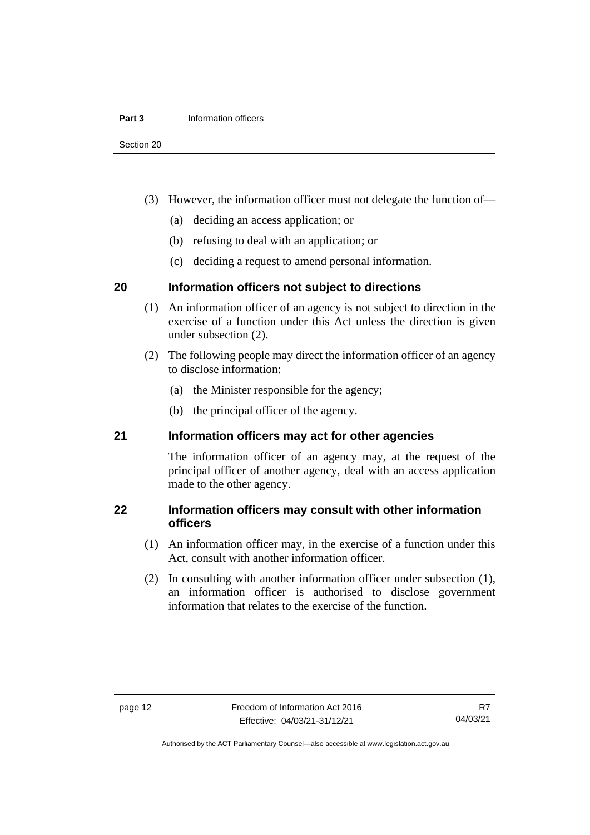#### **Part 3** Information officers

Section 20

- (3) However, the information officer must not delegate the function of—
	- (a) deciding an access application; or
	- (b) refusing to deal with an application; or
	- (c) deciding a request to amend personal information.

#### <span id="page-21-0"></span>**20 Information officers not subject to directions**

- (1) An information officer of an agency is not subject to direction in the exercise of a function under this Act unless the direction is given under subsection (2).
- (2) The following people may direct the information officer of an agency to disclose information:
	- (a) the Minister responsible for the agency;
	- (b) the principal officer of the agency.

#### <span id="page-21-1"></span>**21 Information officers may act for other agencies**

The information officer of an agency may, at the request of the principal officer of another agency, deal with an access application made to the other agency.

#### <span id="page-21-2"></span>**22 Information officers may consult with other information officers**

- (1) An information officer may, in the exercise of a function under this Act, consult with another information officer.
- (2) In consulting with another information officer under subsection (1), an information officer is authorised to disclose government information that relates to the exercise of the function.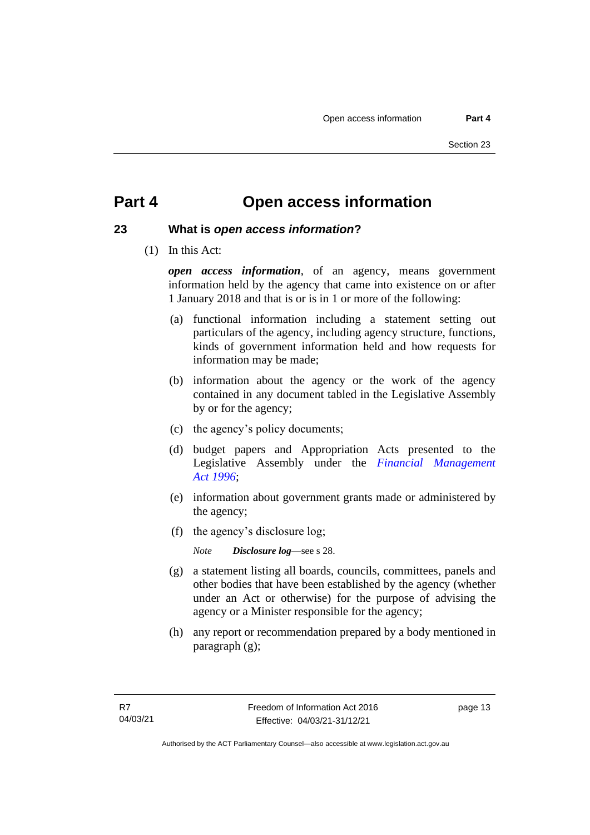# <span id="page-22-0"></span>**Part 4 Open access information**

### <span id="page-22-1"></span>**23 What is** *open access information***?**

(1) In this Act:

*open access information*, of an agency, means government information held by the agency that came into existence on or after 1 January 2018 and that is or is in 1 or more of the following:

- (a) functional information including a statement setting out particulars of the agency, including agency structure, functions, kinds of government information held and how requests for information may be made;
- (b) information about the agency or the work of the agency contained in any document tabled in the Legislative Assembly by or for the agency;
- (c) the agency's policy documents;
- (d) budget papers and Appropriation Acts presented to the Legislative Assembly under the *[Financial Management](http://www.legislation.act.gov.au/a/1996-22) Act [1996](http://www.legislation.act.gov.au/a/1996-22)*;
- (e) information about government grants made or administered by the agency;
- (f) the agency's disclosure log;

*Note Disclosure log*—see s 28.

- (g) a statement listing all boards, councils, committees, panels and other bodies that have been established by the agency (whether under an Act or otherwise) for the purpose of advising the agency or a Minister responsible for the agency;
- (h) any report or recommendation prepared by a body mentioned in paragraph (g);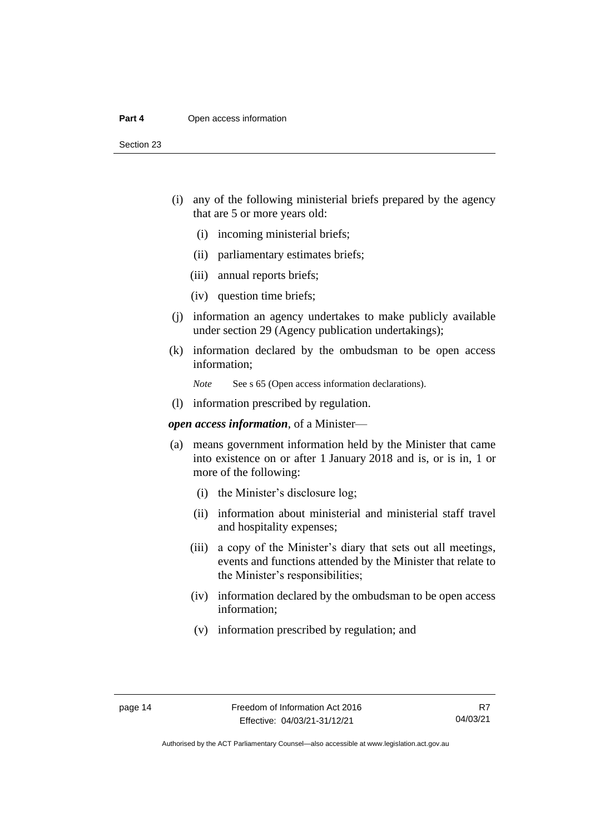#### **Part 4** Open access information

Section 23

- (i) any of the following ministerial briefs prepared by the agency that are 5 or more years old:
	- (i) incoming ministerial briefs;
	- (ii) parliamentary estimates briefs;
	- (iii) annual reports briefs;
	- (iv) question time briefs;
- (j) information an agency undertakes to make publicly available under section 29 (Agency publication undertakings);
- (k) information declared by the ombudsman to be open access information;
	- *Note* See s 65 (Open access information declarations).
- (l) information prescribed by regulation.

*open access information*, of a Minister—

- (a) means government information held by the Minister that came into existence on or after 1 January 2018 and is, or is in, 1 or more of the following:
	- (i) the Minister's disclosure log;
	- (ii) information about ministerial and ministerial staff travel and hospitality expenses;
	- (iii) a copy of the Minister's diary that sets out all meetings, events and functions attended by the Minister that relate to the Minister's responsibilities;
	- (iv) information declared by the ombudsman to be open access information;
	- (v) information prescribed by regulation; and

R7 04/03/21

Authorised by the ACT Parliamentary Counsel—also accessible at www.legislation.act.gov.au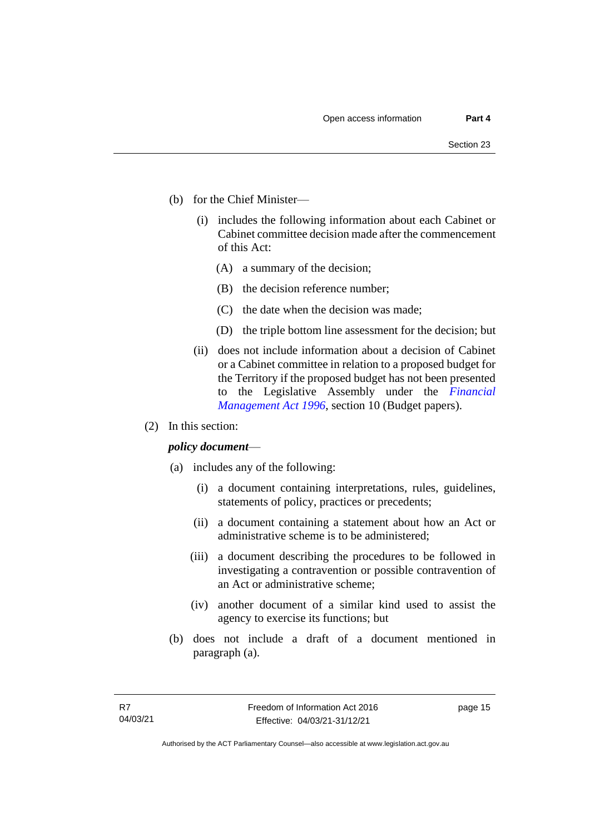- (b) for the Chief Minister—
	- (i) includes the following information about each Cabinet or Cabinet committee decision made after the commencement of this Act:
		- (A) a summary of the decision;
		- (B) the decision reference number;
		- (C) the date when the decision was made;
		- (D) the triple bottom line assessment for the decision; but
	- (ii) does not include information about a decision of Cabinet or a Cabinet committee in relation to a proposed budget for the Territory if the proposed budget has not been presented to the Legislative Assembly under the *[Financial](http://www.legislation.act.gov.au/a/1996-22)  [Management Act 1996](http://www.legislation.act.gov.au/a/1996-22)*, section 10 (Budget papers).
- (2) In this section:

#### *policy document*—

- (a) includes any of the following:
	- (i) a document containing interpretations, rules, guidelines, statements of policy, practices or precedents;
	- (ii) a document containing a statement about how an Act or administrative scheme is to be administered;
	- (iii) a document describing the procedures to be followed in investigating a contravention or possible contravention of an Act or administrative scheme;
	- (iv) another document of a similar kind used to assist the agency to exercise its functions; but
- (b) does not include a draft of a document mentioned in paragraph (a).

page 15

Authorised by the ACT Parliamentary Counsel—also accessible at www.legislation.act.gov.au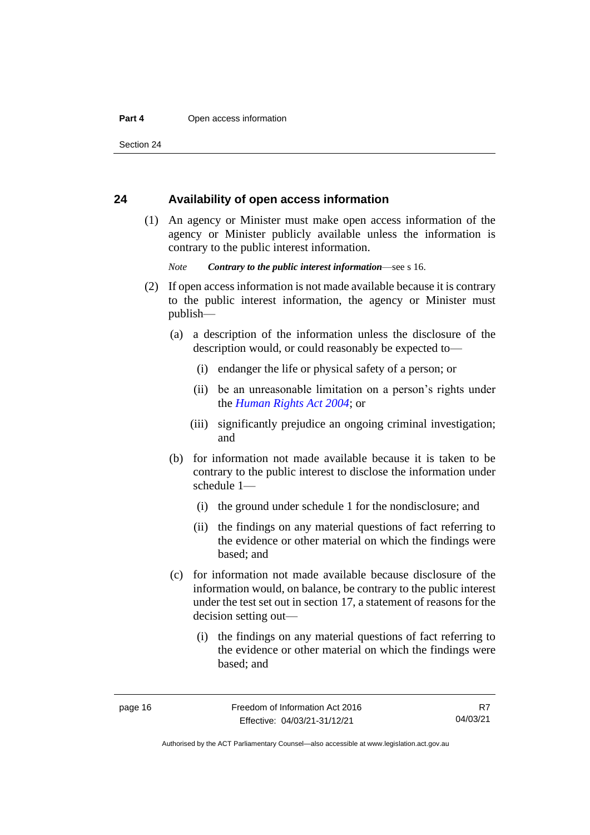Section 24

#### <span id="page-25-0"></span>**24 Availability of open access information**

(1) An agency or Minister must make open access information of the agency or Minister publicly available unless the information is contrary to the public interest information.

*Note Contrary to the public interest information*—see s 16.

- (2) If open access information is not made available because it is contrary to the public interest information, the agency or Minister must publish—
	- (a) a description of the information unless the disclosure of the description would, or could reasonably be expected to—
		- (i) endanger the life or physical safety of a person; or
		- (ii) be an unreasonable limitation on a person's rights under the *[Human Rights](http://www.legislation.act.gov.au/a/2004-5) Act 2004*; or
		- (iii) significantly prejudice an ongoing criminal investigation; and
	- (b) for information not made available because it is taken to be contrary to the public interest to disclose the information under schedule 1—
		- (i) the ground under schedule 1 for the nondisclosure; and
		- (ii) the findings on any material questions of fact referring to the evidence or other material on which the findings were based; and
	- (c) for information not made available because disclosure of the information would, on balance, be contrary to the public interest under the test set out in section 17, a statement of reasons for the decision setting out—
		- (i) the findings on any material questions of fact referring to the evidence or other material on which the findings were based; and

R7 04/03/21

Authorised by the ACT Parliamentary Counsel—also accessible at www.legislation.act.gov.au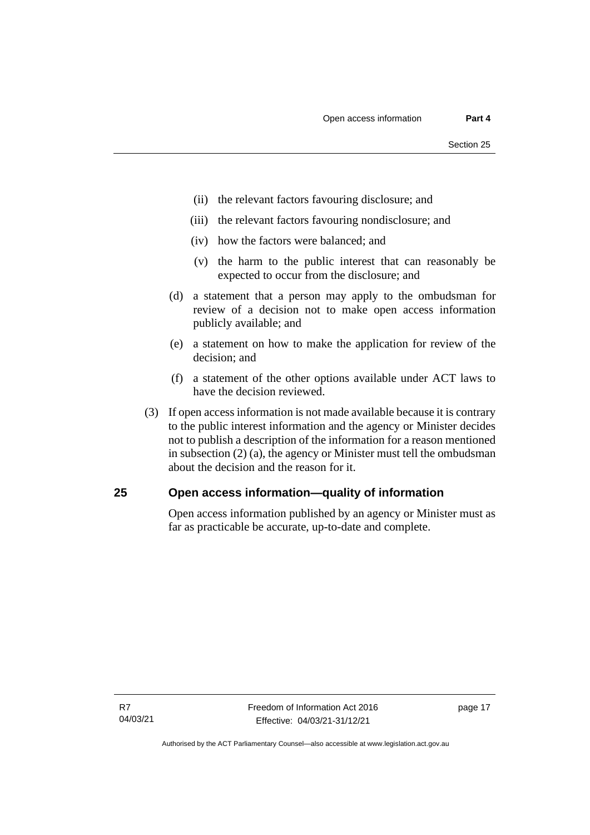- (ii) the relevant factors favouring disclosure; and
- (iii) the relevant factors favouring nondisclosure; and
- (iv) how the factors were balanced; and
- (v) the harm to the public interest that can reasonably be expected to occur from the disclosure; and
- (d) a statement that a person may apply to the ombudsman for review of a decision not to make open access information publicly available; and
- (e) a statement on how to make the application for review of the decision; and
- (f) a statement of the other options available under ACT laws to have the decision reviewed.
- (3) If open access information is not made available because it is contrary to the public interest information and the agency or Minister decides not to publish a description of the information for a reason mentioned in subsection (2) (a), the agency or Minister must tell the ombudsman about the decision and the reason for it.

#### <span id="page-26-0"></span>**25 Open access information—quality of information**

Open access information published by an agency or Minister must as far as practicable be accurate, up-to-date and complete.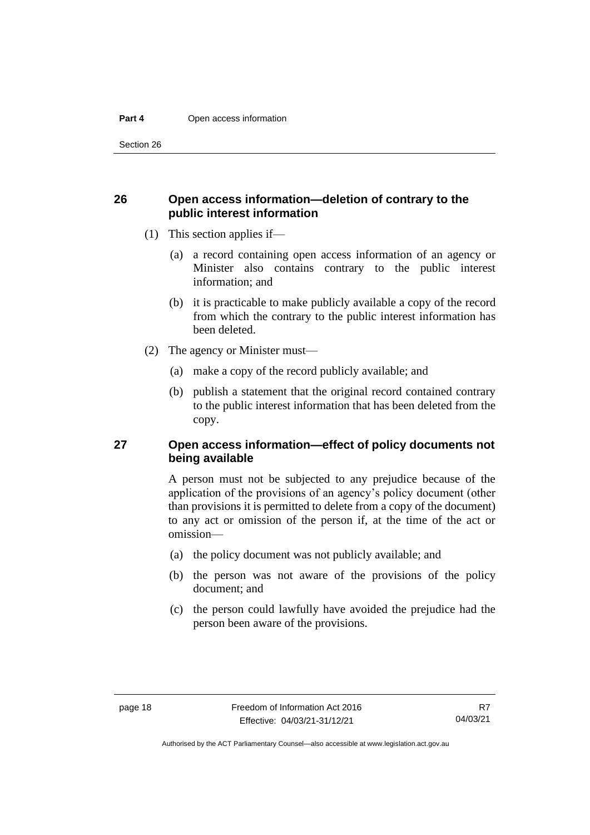Section 26

#### <span id="page-27-0"></span>**26 Open access information—deletion of contrary to the public interest information**

- (1) This section applies if—
	- (a) a record containing open access information of an agency or Minister also contains contrary to the public interest information; and
	- (b) it is practicable to make publicly available a copy of the record from which the contrary to the public interest information has been deleted.
- (2) The agency or Minister must—
	- (a) make a copy of the record publicly available; and
	- (b) publish a statement that the original record contained contrary to the public interest information that has been deleted from the copy.

#### <span id="page-27-1"></span>**27 Open access information—effect of policy documents not being available**

A person must not be subjected to any prejudice because of the application of the provisions of an agency's policy document (other than provisions it is permitted to delete from a copy of the document) to any act or omission of the person if, at the time of the act or omission—

- (a) the policy document was not publicly available; and
- (b) the person was not aware of the provisions of the policy document; and
- (c) the person could lawfully have avoided the prejudice had the person been aware of the provisions.

Authorised by the ACT Parliamentary Counsel—also accessible at www.legislation.act.gov.au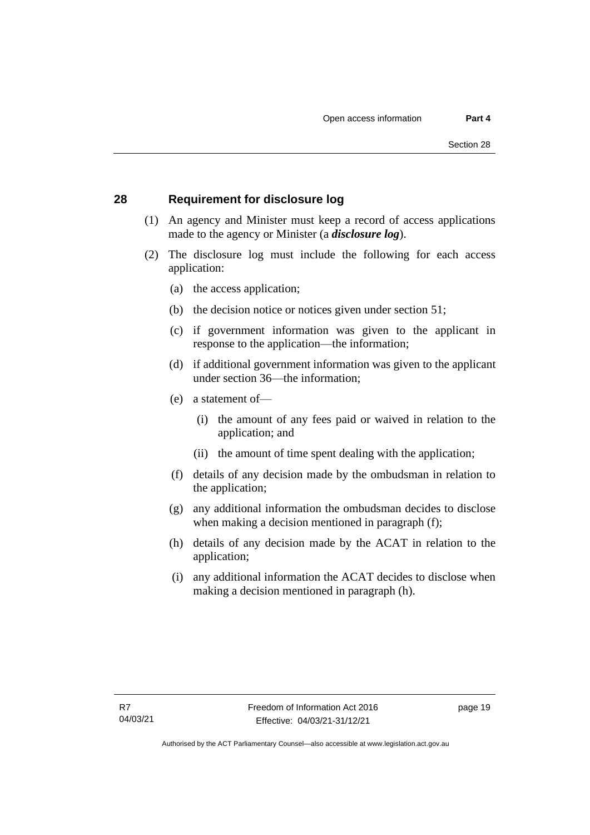#### <span id="page-28-0"></span>**28 Requirement for disclosure log**

- (1) An agency and Minister must keep a record of access applications made to the agency or Minister (a *disclosure log*).
- (2) The disclosure log must include the following for each access application:
	- (a) the access application;
	- (b) the decision notice or notices given under section 51;
	- (c) if government information was given to the applicant in response to the application—the information;
	- (d) if additional government information was given to the applicant under section 36—the information;
	- (e) a statement of—
		- (i) the amount of any fees paid or waived in relation to the application; and
		- (ii) the amount of time spent dealing with the application;
	- (f) details of any decision made by the ombudsman in relation to the application;
	- (g) any additional information the ombudsman decides to disclose when making a decision mentioned in paragraph (f);
	- (h) details of any decision made by the ACAT in relation to the application;
	- (i) any additional information the ACAT decides to disclose when making a decision mentioned in paragraph (h).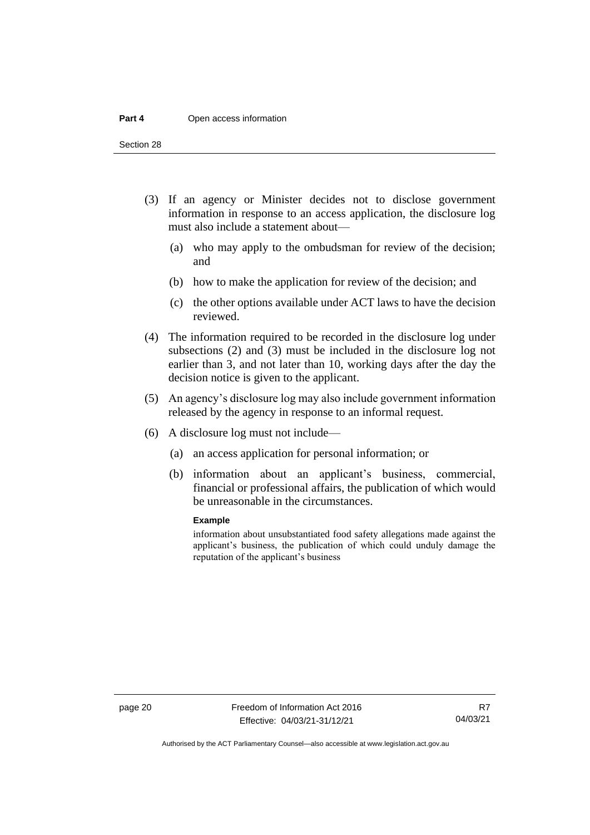#### **Part 4** Open access information

Section 28

- (3) If an agency or Minister decides not to disclose government information in response to an access application, the disclosure log must also include a statement about—
	- (a) who may apply to the ombudsman for review of the decision; and
	- (b) how to make the application for review of the decision; and
	- (c) the other options available under ACT laws to have the decision reviewed.
- (4) The information required to be recorded in the disclosure log under subsections (2) and (3) must be included in the disclosure log not earlier than 3, and not later than 10, working days after the day the decision notice is given to the applicant.
- (5) An agency's disclosure log may also include government information released by the agency in response to an informal request.
- (6) A disclosure log must not include—
	- (a) an access application for personal information; or
	- (b) information about an applicant's business, commercial, financial or professional affairs, the publication of which would be unreasonable in the circumstances.

#### **Example**

information about unsubstantiated food safety allegations made against the applicant's business, the publication of which could unduly damage the reputation of the applicant's business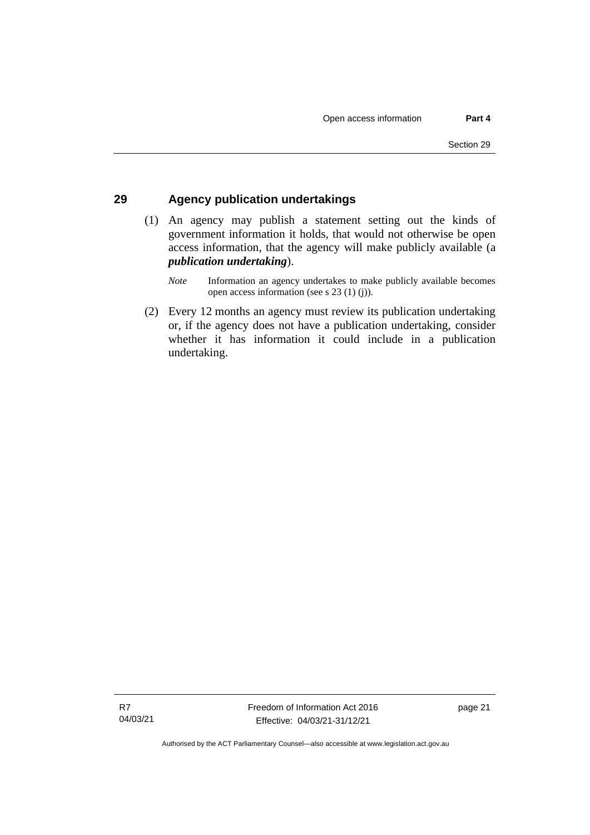#### <span id="page-30-0"></span>**29 Agency publication undertakings**

(1) An agency may publish a statement setting out the kinds of government information it holds, that would not otherwise be open access information, that the agency will make publicly available (a *publication undertaking*).

(2) Every 12 months an agency must review its publication undertaking or, if the agency does not have a publication undertaking, consider whether it has information it could include in a publication undertaking.

*Note* Information an agency undertakes to make publicly available becomes open access information (see s 23 (1) (j)).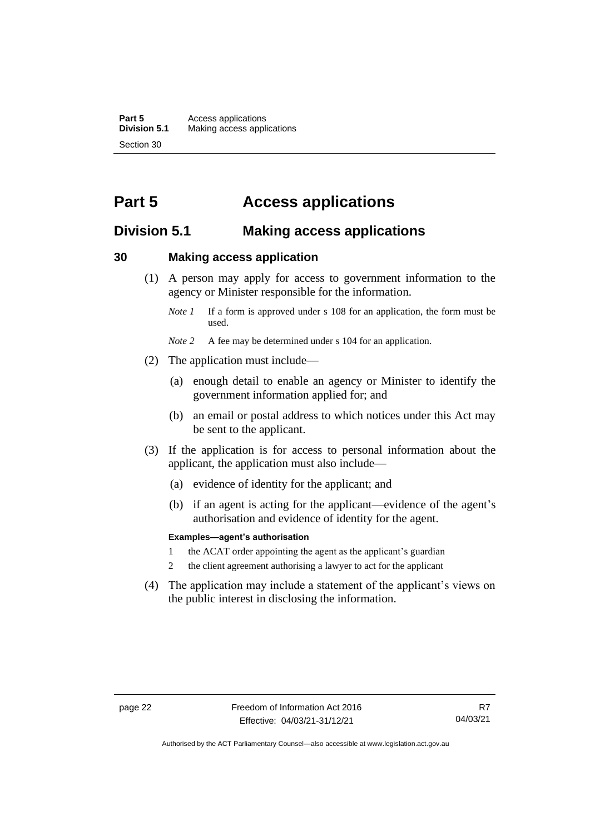**Part 5** Access applications<br>**Division 5.1** Making access appli **Division 5.1** Making access applications Section 30

# <span id="page-31-0"></span>**Part 5 Access applications**

# <span id="page-31-1"></span>**Division 5.1 Making access applications**

#### <span id="page-31-2"></span>**30 Making access application**

- (1) A person may apply for access to government information to the agency or Minister responsible for the information.
	- *Note 1* If a form is approved under s 108 for an application, the form must be used.
	- *Note* 2 A fee may be determined under s 104 for an application.
- (2) The application must include—
	- (a) enough detail to enable an agency or Minister to identify the government information applied for; and
	- (b) an email or postal address to which notices under this Act may be sent to the applicant.
- (3) If the application is for access to personal information about the applicant, the application must also include—
	- (a) evidence of identity for the applicant; and
	- (b) if an agent is acting for the applicant—evidence of the agent's authorisation and evidence of identity for the agent.

#### **Examples—agent's authorisation**

- 1 the ACAT order appointing the agent as the applicant's guardian
- 2 the client agreement authorising a lawyer to act for the applicant
- (4) The application may include a statement of the applicant's views on the public interest in disclosing the information.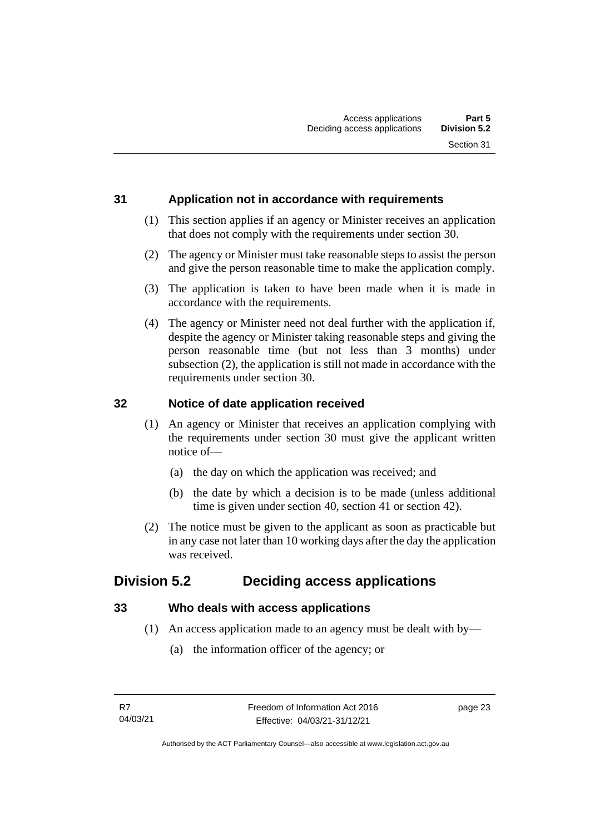# <span id="page-32-0"></span>**31 Application not in accordance with requirements**

- (1) This section applies if an agency or Minister receives an application that does not comply with the requirements under section 30.
- (2) The agency or Minister must take reasonable steps to assist the person and give the person reasonable time to make the application comply.
- (3) The application is taken to have been made when it is made in accordance with the requirements.
- (4) The agency or Minister need not deal further with the application if, despite the agency or Minister taking reasonable steps and giving the person reasonable time (but not less than 3 months) under subsection (2), the application is still not made in accordance with the requirements under section 30.

# <span id="page-32-1"></span>**32 Notice of date application received**

- (1) An agency or Minister that receives an application complying with the requirements under section 30 must give the applicant written notice of—
	- (a) the day on which the application was received; and
	- (b) the date by which a decision is to be made (unless additional time is given under section 40, section 41 or section 42).
- (2) The notice must be given to the applicant as soon as practicable but in any case not later than 10 working days after the day the application was received.

# <span id="page-32-2"></span>**Division 5.2 Deciding access applications**

# <span id="page-32-3"></span>**33 Who deals with access applications**

- (1) An access application made to an agency must be dealt with by—
	- (a) the information officer of the agency; or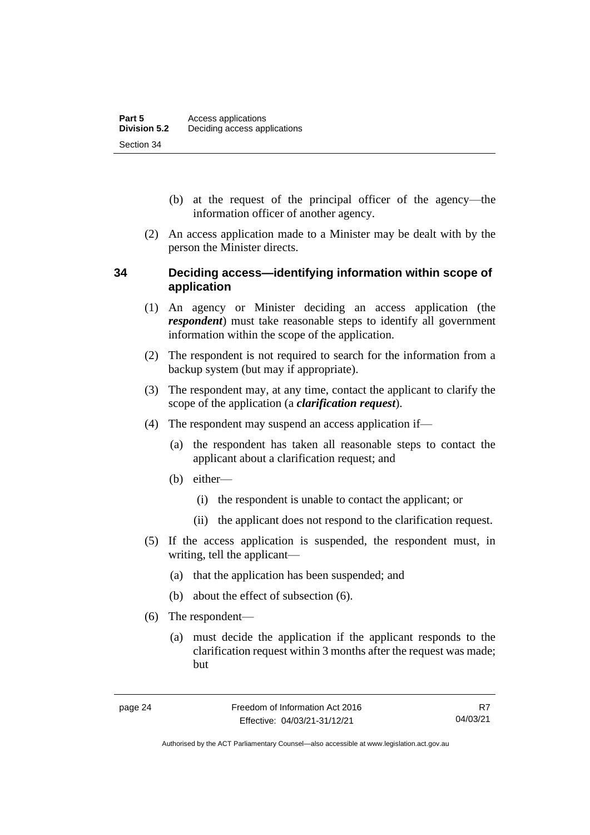- (b) at the request of the principal officer of the agency—the information officer of another agency.
- (2) An access application made to a Minister may be dealt with by the person the Minister directs.

### <span id="page-33-0"></span>**34 Deciding access—identifying information within scope of application**

- (1) An agency or Minister deciding an access application (the *respondent*) must take reasonable steps to identify all government information within the scope of the application.
- (2) The respondent is not required to search for the information from a backup system (but may if appropriate).
- (3) The respondent may, at any time, contact the applicant to clarify the scope of the application (a *clarification request*).
- (4) The respondent may suspend an access application if—
	- (a) the respondent has taken all reasonable steps to contact the applicant about a clarification request; and
	- (b) either—
		- (i) the respondent is unable to contact the applicant; or
		- (ii) the applicant does not respond to the clarification request.
- (5) If the access application is suspended, the respondent must, in writing, tell the applicant—
	- (a) that the application has been suspended; and
	- (b) about the effect of subsection (6).
- (6) The respondent—
	- (a) must decide the application if the applicant responds to the clarification request within 3 months after the request was made; but

Authorised by the ACT Parliamentary Counsel—also accessible at www.legislation.act.gov.au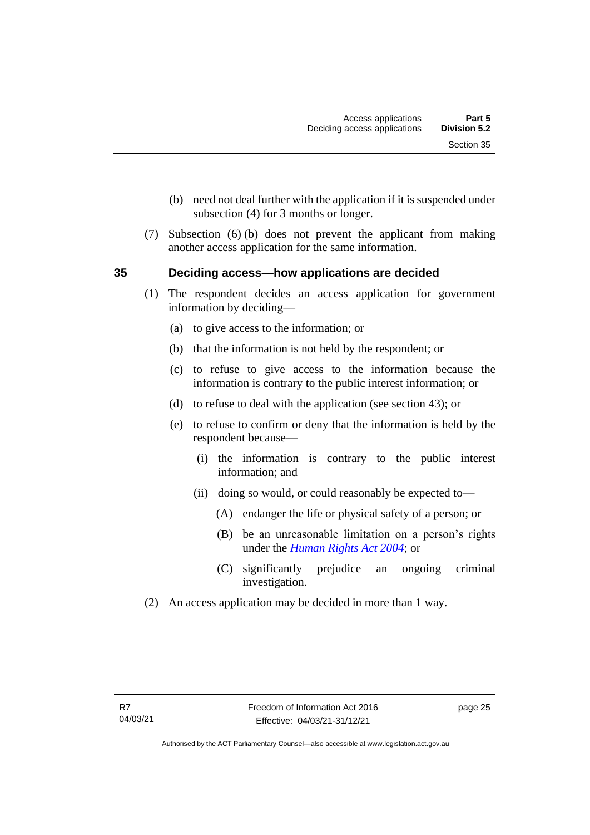- (b) need not deal further with the application if it is suspended under subsection (4) for 3 months or longer.
- (7) Subsection (6) (b) does not prevent the applicant from making another access application for the same information.

# <span id="page-34-0"></span>**35 Deciding access—how applications are decided**

- (1) The respondent decides an access application for government information by deciding—
	- (a) to give access to the information; or
	- (b) that the information is not held by the respondent; or
	- (c) to refuse to give access to the information because the information is contrary to the public interest information; or
	- (d) to refuse to deal with the application (see section 43); or
	- (e) to refuse to confirm or deny that the information is held by the respondent because—
		- (i) the information is contrary to the public interest information; and
		- (ii) doing so would, or could reasonably be expected to—
			- (A) endanger the life or physical safety of a person; or
			- (B) be an unreasonable limitation on a person's rights under the *[Human Rights Act 2004](http://www.legislation.act.gov.au/a/2004-5)*; or
			- (C) significantly prejudice an ongoing criminal investigation.
- (2) An access application may be decided in more than 1 way.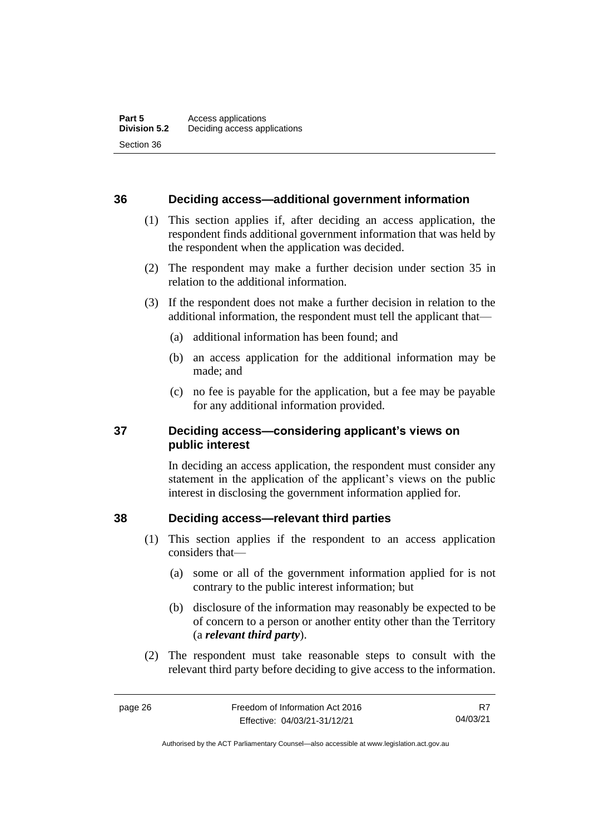#### <span id="page-35-0"></span>**36 Deciding access—additional government information**

- (1) This section applies if, after deciding an access application, the respondent finds additional government information that was held by the respondent when the application was decided.
- (2) The respondent may make a further decision under section 35 in relation to the additional information.
- (3) If the respondent does not make a further decision in relation to the additional information, the respondent must tell the applicant that—
	- (a) additional information has been found; and
	- (b) an access application for the additional information may be made; and
	- (c) no fee is payable for the application, but a fee may be payable for any additional information provided.

### <span id="page-35-1"></span>**37 Deciding access—considering applicant's views on public interest**

In deciding an access application, the respondent must consider any statement in the application of the applicant's views on the public interest in disclosing the government information applied for.

#### <span id="page-35-2"></span>**38 Deciding access—relevant third parties**

- (1) This section applies if the respondent to an access application considers that—
	- (a) some or all of the government information applied for is not contrary to the public interest information; but
	- (b) disclosure of the information may reasonably be expected to be of concern to a person or another entity other than the Territory (a *relevant third party*).
- (2) The respondent must take reasonable steps to consult with the relevant third party before deciding to give access to the information.

R7 04/03/21

Authorised by the ACT Parliamentary Counsel—also accessible at www.legislation.act.gov.au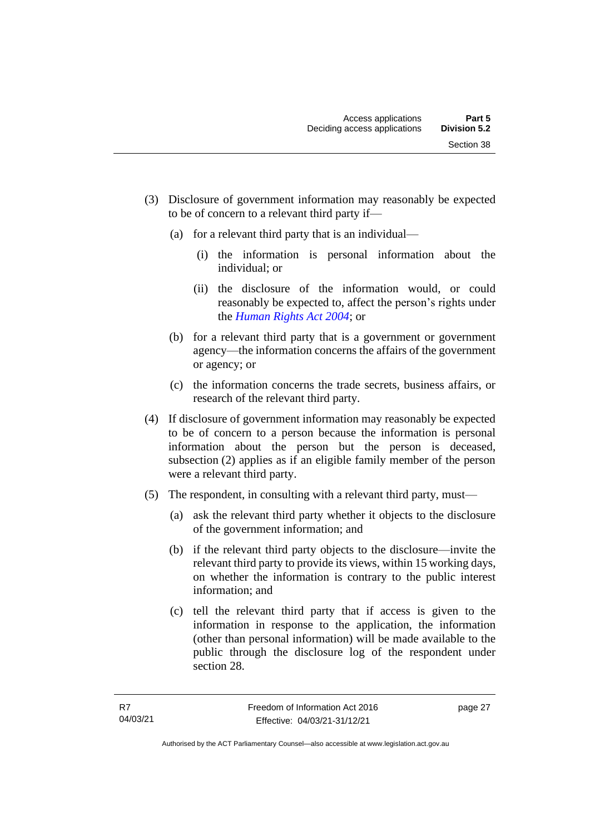- (3) Disclosure of government information may reasonably be expected to be of concern to a relevant third party if—
	- (a) for a relevant third party that is an individual—
		- (i) the information is personal information about the individual; or
		- (ii) the disclosure of the information would, or could reasonably be expected to, affect the person's rights under the *[Human Rights Act 2004](http://www.legislation.act.gov.au/a/2004-5)*; or
	- (b) for a relevant third party that is a government or government agency—the information concerns the affairs of the government or agency; or
	- (c) the information concerns the trade secrets, business affairs, or research of the relevant third party.
- (4) If disclosure of government information may reasonably be expected to be of concern to a person because the information is personal information about the person but the person is deceased, subsection (2) applies as if an eligible family member of the person were a relevant third party.
- (5) The respondent, in consulting with a relevant third party, must—
	- (a) ask the relevant third party whether it objects to the disclosure of the government information; and
	- (b) if the relevant third party objects to the disclosure—invite the relevant third party to provide its views, within 15 working days, on whether the information is contrary to the public interest information; and
	- (c) tell the relevant third party that if access is given to the information in response to the application, the information (other than personal information) will be made available to the public through the disclosure log of the respondent under section 28.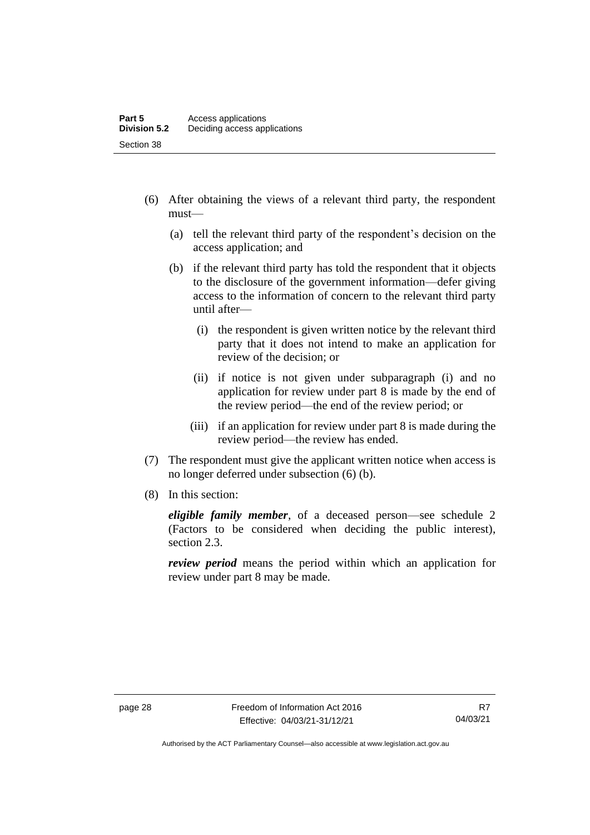- (6) After obtaining the views of a relevant third party, the respondent must—
	- (a) tell the relevant third party of the respondent's decision on the access application; and
	- (b) if the relevant third party has told the respondent that it objects to the disclosure of the government information—defer giving access to the information of concern to the relevant third party until after—
		- (i) the respondent is given written notice by the relevant third party that it does not intend to make an application for review of the decision; or
		- (ii) if notice is not given under subparagraph (i) and no application for review under part 8 is made by the end of the review period—the end of the review period; or
		- (iii) if an application for review under part 8 is made during the review period—the review has ended.
- (7) The respondent must give the applicant written notice when access is no longer deferred under subsection (6) (b).
- (8) In this section:

*eligible family member*, of a deceased person—see schedule 2 (Factors to be considered when deciding the public interest), section 2.3.

*review period* means the period within which an application for review under part 8 may be made.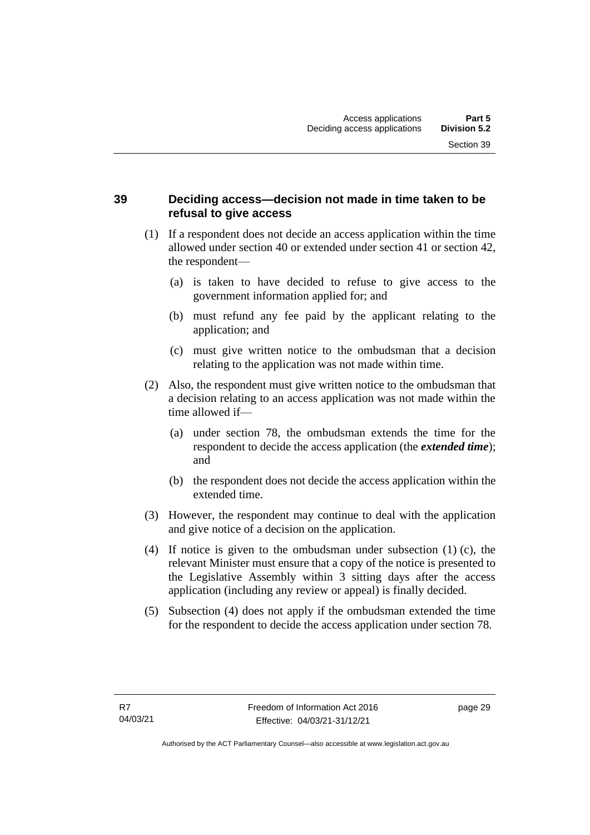## **39 Deciding access—decision not made in time taken to be refusal to give access**

- (1) If a respondent does not decide an access application within the time allowed under section 40 or extended under section 41 or section 42, the respondent—
	- (a) is taken to have decided to refuse to give access to the government information applied for; and
	- (b) must refund any fee paid by the applicant relating to the application; and
	- (c) must give written notice to the ombudsman that a decision relating to the application was not made within time.
- (2) Also, the respondent must give written notice to the ombudsman that a decision relating to an access application was not made within the time allowed if—
	- (a) under section 78, the ombudsman extends the time for the respondent to decide the access application (the *extended time*); and
	- (b) the respondent does not decide the access application within the extended time.
- (3) However, the respondent may continue to deal with the application and give notice of a decision on the application.
- (4) If notice is given to the ombudsman under subsection (1) (c), the relevant Minister must ensure that a copy of the notice is presented to the Legislative Assembly within 3 sitting days after the access application (including any review or appeal) is finally decided.
- (5) Subsection (4) does not apply if the ombudsman extended the time for the respondent to decide the access application under section 78.

page 29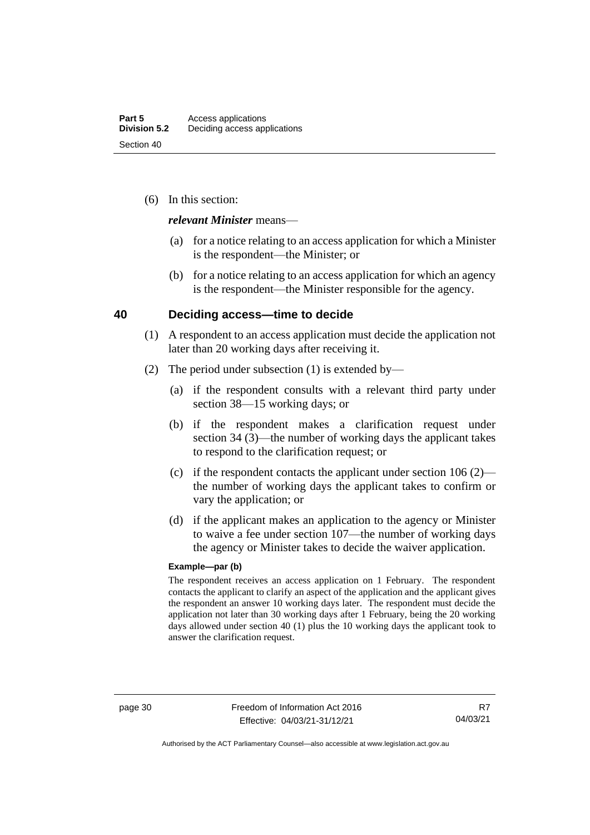(6) In this section:

#### *relevant Minister* means—

- (a) for a notice relating to an access application for which a Minister is the respondent—the Minister; or
- (b) for a notice relating to an access application for which an agency is the respondent—the Minister responsible for the agency.

#### **40 Deciding access—time to decide**

- (1) A respondent to an access application must decide the application not later than 20 working days after receiving it.
- (2) The period under subsection (1) is extended by—
	- (a) if the respondent consults with a relevant third party under section 38—15 working days; or
	- (b) if the respondent makes a clarification request under section 34 (3)—the number of working days the applicant takes to respond to the clarification request; or
	- (c) if the respondent contacts the applicant under section  $106 (2)$  the number of working days the applicant takes to confirm or vary the application; or
	- (d) if the applicant makes an application to the agency or Minister to waive a fee under section 107—the number of working days the agency or Minister takes to decide the waiver application.

#### **Example—par (b)**

The respondent receives an access application on 1 February. The respondent contacts the applicant to clarify an aspect of the application and the applicant gives the respondent an answer 10 working days later. The respondent must decide the application not later than 30 working days after 1 February, being the 20 working days allowed under section 40 (1) plus the 10 working days the applicant took to answer the clarification request.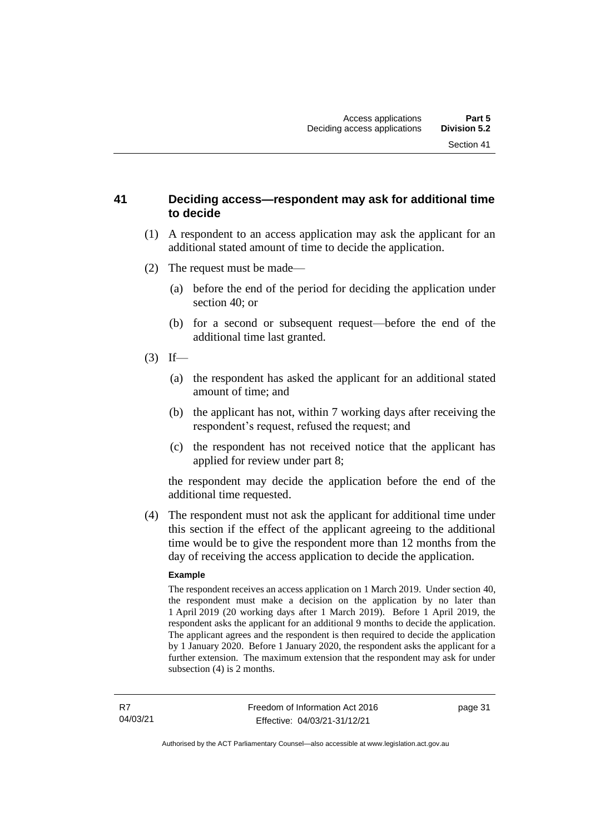#### **41 Deciding access—respondent may ask for additional time to decide**

- (1) A respondent to an access application may ask the applicant for an additional stated amount of time to decide the application.
- (2) The request must be made—
	- (a) before the end of the period for deciding the application under section 40; or
	- (b) for a second or subsequent request—before the end of the additional time last granted.
- $(3)$  If—
	- (a) the respondent has asked the applicant for an additional stated amount of time; and
	- (b) the applicant has not, within 7 working days after receiving the respondent's request, refused the request; and
	- (c) the respondent has not received notice that the applicant has applied for review under part 8;

the respondent may decide the application before the end of the additional time requested.

(4) The respondent must not ask the applicant for additional time under this section if the effect of the applicant agreeing to the additional time would be to give the respondent more than 12 months from the day of receiving the access application to decide the application.

#### **Example**

The respondent receives an access application on 1 March 2019. Under section 40, the respondent must make a decision on the application by no later than 1 April 2019 (20 working days after 1 March 2019). Before 1 April 2019, the respondent asks the applicant for an additional 9 months to decide the application. The applicant agrees and the respondent is then required to decide the application by 1 January 2020. Before 1 January 2020, the respondent asks the applicant for a further extension. The maximum extension that the respondent may ask for under subsection (4) is 2 months.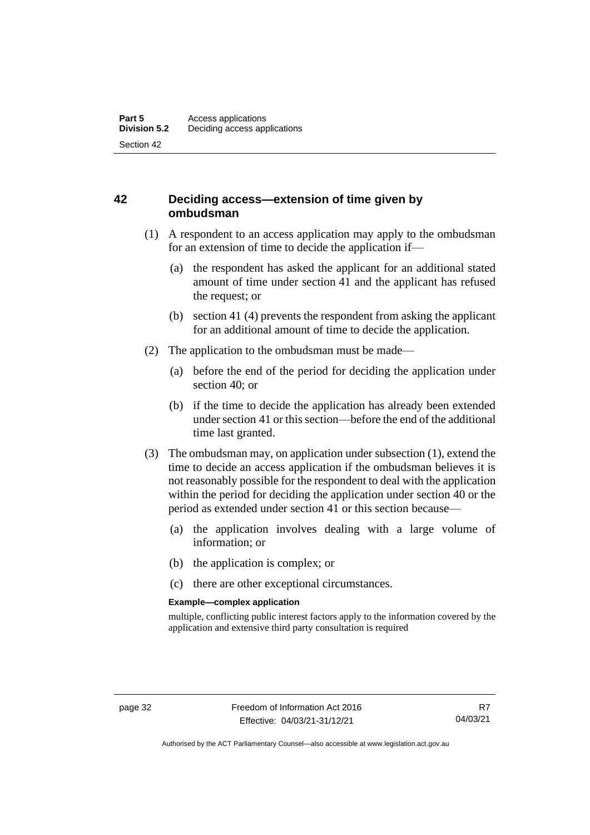## **42 Deciding access—extension of time given by ombudsman**

- (1) A respondent to an access application may apply to the ombudsman for an extension of time to decide the application if—
	- (a) the respondent has asked the applicant for an additional stated amount of time under section 41 and the applicant has refused the request; or
	- (b) section 41 (4) prevents the respondent from asking the applicant for an additional amount of time to decide the application.
- (2) The application to the ombudsman must be made—
	- (a) before the end of the period for deciding the application under section 40; or
	- (b) if the time to decide the application has already been extended under section 41 or this section—before the end of the additional time last granted.
- (3) The ombudsman may, on application under subsection (1), extend the time to decide an access application if the ombudsman believes it is not reasonably possible for the respondent to deal with the application within the period for deciding the application under section 40 or the period as extended under section 41 or this section because—
	- (a) the application involves dealing with a large volume of information; or
	- (b) the application is complex; or
	- (c) there are other exceptional circumstances.

#### **Example—complex application**

multiple, conflicting public interest factors apply to the information covered by the application and extensive third party consultation is required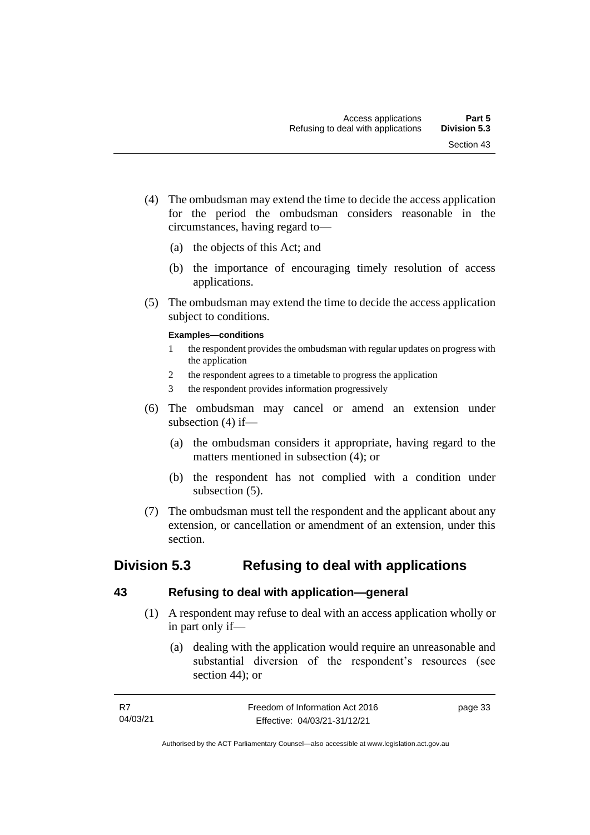- (4) The ombudsman may extend the time to decide the access application for the period the ombudsman considers reasonable in the circumstances, having regard to—
	- (a) the objects of this Act; and
	- (b) the importance of encouraging timely resolution of access applications.
- (5) The ombudsman may extend the time to decide the access application subject to conditions.

#### **Examples—conditions**

- 1 the respondent provides the ombudsman with regular updates on progress with the application
- 2 the respondent agrees to a timetable to progress the application
- 3 the respondent provides information progressively
- (6) The ombudsman may cancel or amend an extension under subsection (4) if—
	- (a) the ombudsman considers it appropriate, having regard to the matters mentioned in subsection (4); or
	- (b) the respondent has not complied with a condition under subsection  $(5)$ .
- (7) The ombudsman must tell the respondent and the applicant about any extension, or cancellation or amendment of an extension, under this section.

# **Division 5.3 Refusing to deal with applications**

#### **43 Refusing to deal with application—general**

- (1) A respondent may refuse to deal with an access application wholly or in part only if—
	- (a) dealing with the application would require an unreasonable and substantial diversion of the respondent's resources (see section 44); or

| - R7     | Freedom of Information Act 2016 | page 33 |
|----------|---------------------------------|---------|
| 04/03/21 | Effective: 04/03/21-31/12/21    |         |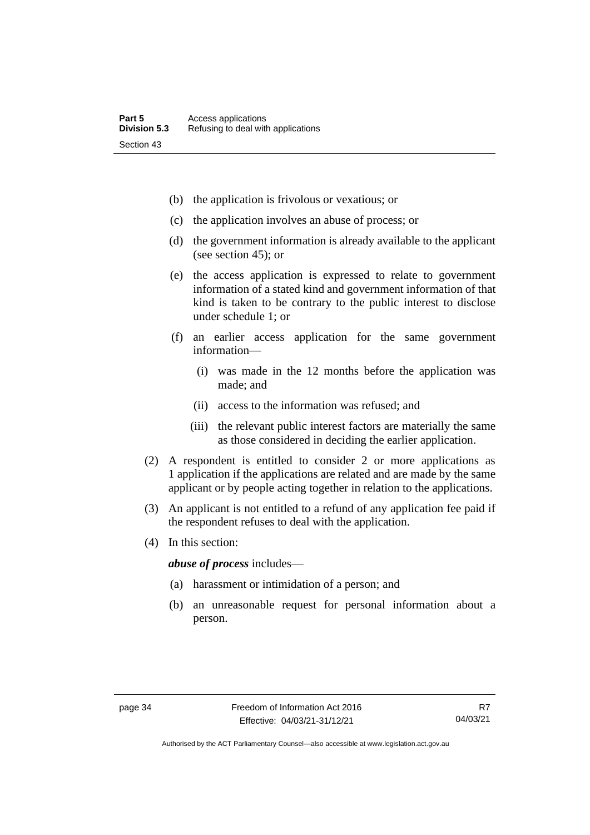- (b) the application is frivolous or vexatious; or
- (c) the application involves an abuse of process; or
- (d) the government information is already available to the applicant (see section 45); or
- (e) the access application is expressed to relate to government information of a stated kind and government information of that kind is taken to be contrary to the public interest to disclose under schedule 1; or
- (f) an earlier access application for the same government information—
	- (i) was made in the 12 months before the application was made; and
	- (ii) access to the information was refused; and
	- (iii) the relevant public interest factors are materially the same as those considered in deciding the earlier application.
- (2) A respondent is entitled to consider 2 or more applications as 1 application if the applications are related and are made by the same applicant or by people acting together in relation to the applications.
- (3) An applicant is not entitled to a refund of any application fee paid if the respondent refuses to deal with the application.
- (4) In this section:

*abuse of process* includes—

- (a) harassment or intimidation of a person; and
- (b) an unreasonable request for personal information about a person.

Authorised by the ACT Parliamentary Counsel—also accessible at www.legislation.act.gov.au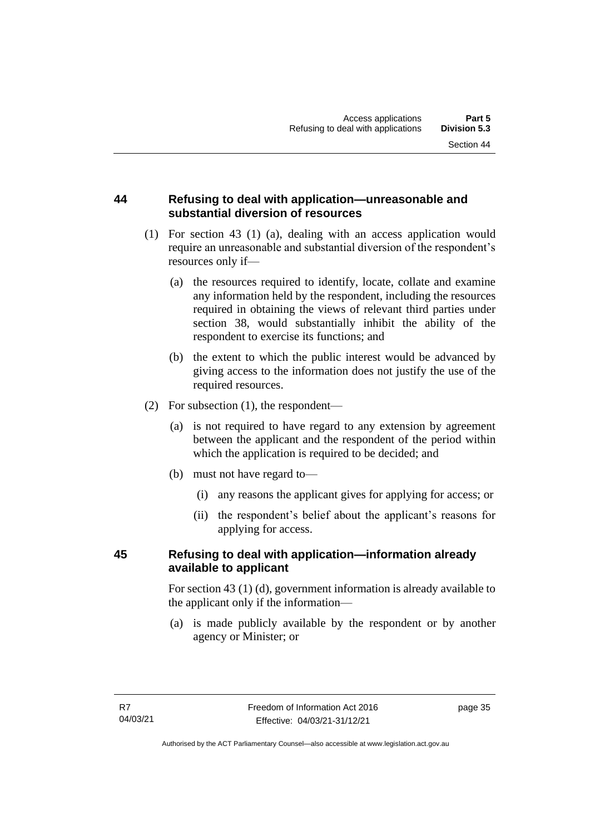## **44 Refusing to deal with application—unreasonable and substantial diversion of resources**

- (1) For section 43 (1) (a), dealing with an access application would require an unreasonable and substantial diversion of the respondent's resources only if—
	- (a) the resources required to identify, locate, collate and examine any information held by the respondent, including the resources required in obtaining the views of relevant third parties under section 38, would substantially inhibit the ability of the respondent to exercise its functions; and
	- (b) the extent to which the public interest would be advanced by giving access to the information does not justify the use of the required resources.
- (2) For subsection (1), the respondent—
	- (a) is not required to have regard to any extension by agreement between the applicant and the respondent of the period within which the application is required to be decided; and
	- (b) must not have regard to—
		- (i) any reasons the applicant gives for applying for access; or
		- (ii) the respondent's belief about the applicant's reasons for applying for access.

## **45 Refusing to deal with application—information already available to applicant**

For section 43 (1) (d), government information is already available to the applicant only if the information—

(a) is made publicly available by the respondent or by another agency or Minister; or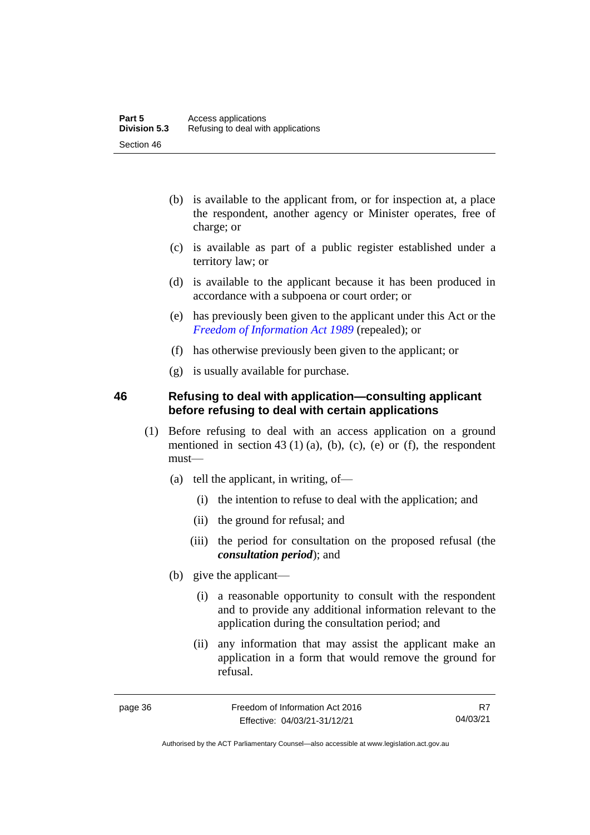- (b) is available to the applicant from, or for inspection at, a place the respondent, another agency or Minister operates, free of charge; or
- (c) is available as part of a public register established under a territory law; or
- (d) is available to the applicant because it has been produced in accordance with a subpoena or court order; or
- (e) has previously been given to the applicant under this Act or the *[Freedom of Information Act 1989](http://www.legislation.act.gov.au/a/alt_a1989-46co)* (repealed); or
- (f) has otherwise previously been given to the applicant; or
- (g) is usually available for purchase.

#### **46 Refusing to deal with application—consulting applicant before refusing to deal with certain applications**

- (1) Before refusing to deal with an access application on a ground mentioned in section  $43 \text{ (1) (a)}$ , (b), (c), (e) or (f), the respondent must—
	- (a) tell the applicant, in writing, of—
		- (i) the intention to refuse to deal with the application; and
		- (ii) the ground for refusal; and
		- (iii) the period for consultation on the proposed refusal (the *consultation period*); and
	- (b) give the applicant—
		- (i) a reasonable opportunity to consult with the respondent and to provide any additional information relevant to the application during the consultation period; and
		- (ii) any information that may assist the applicant make an application in a form that would remove the ground for refusal.

R7 04/03/21

Authorised by the ACT Parliamentary Counsel—also accessible at www.legislation.act.gov.au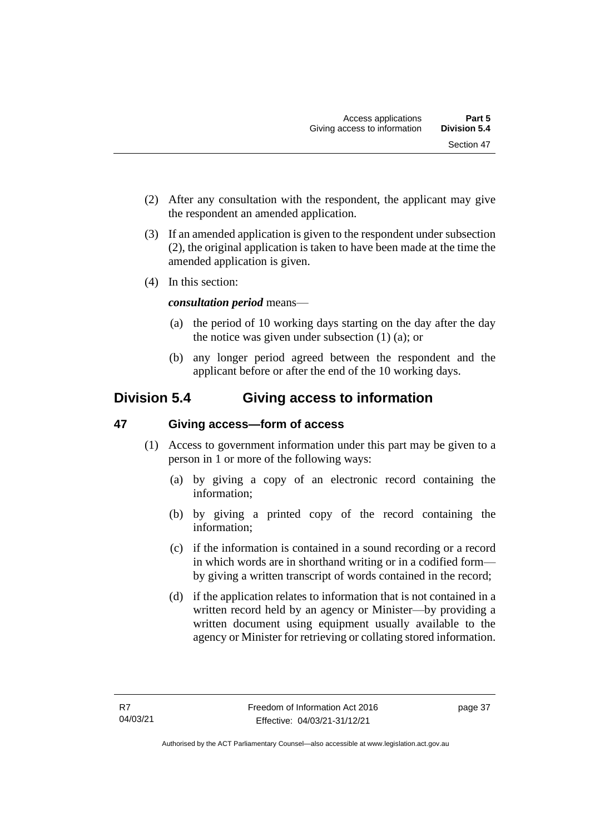- (2) After any consultation with the respondent, the applicant may give the respondent an amended application.
- (3) If an amended application is given to the respondent under subsection (2), the original application is taken to have been made at the time the amended application is given.
- (4) In this section:

## *consultation period* means—

- (a) the period of 10 working days starting on the day after the day the notice was given under subsection (1) (a); or
- (b) any longer period agreed between the respondent and the applicant before or after the end of the 10 working days.

# **Division 5.4 Giving access to information**

## **47 Giving access—form of access**

- (1) Access to government information under this part may be given to a person in 1 or more of the following ways:
	- (a) by giving a copy of an electronic record containing the information;
	- (b) by giving a printed copy of the record containing the information;
	- (c) if the information is contained in a sound recording or a record in which words are in shorthand writing or in a codified form by giving a written transcript of words contained in the record;
	- (d) if the application relates to information that is not contained in a written record held by an agency or Minister—by providing a written document using equipment usually available to the agency or Minister for retrieving or collating stored information.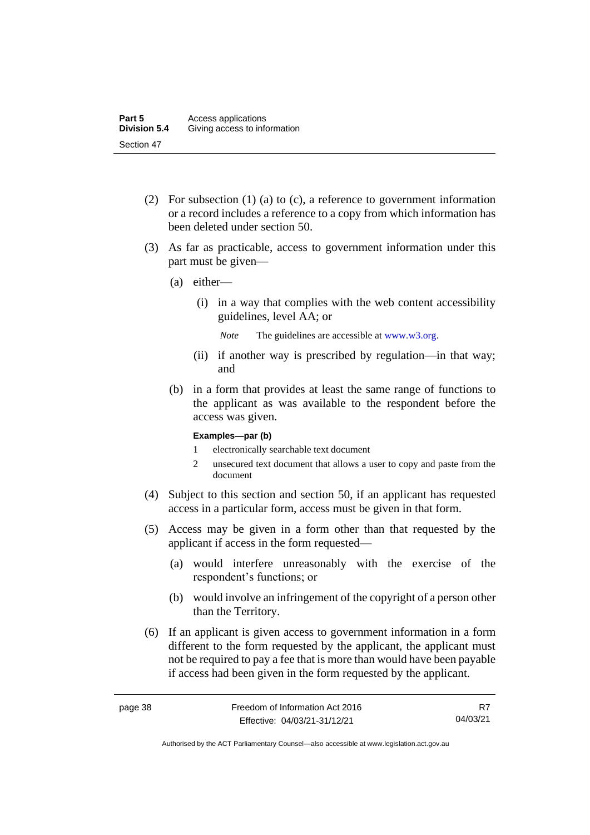- (2) For subsection (1) (a) to (c), a reference to government information or a record includes a reference to a copy from which information has been deleted under section 50.
- (3) As far as practicable, access to government information under this part must be given—
	- (a) either—
		- (i) in a way that complies with the web content accessibility guidelines, level AA; or

*Note* The guidelines are accessible at [www.w3.org.](http://www.w3.org/)

- (ii) if another way is prescribed by regulation—in that way; and
- (b) in a form that provides at least the same range of functions to the applicant as was available to the respondent before the access was given.

#### **Examples—par (b)**

- 1 electronically searchable text document
- 2 unsecured text document that allows a user to copy and paste from the document
- (4) Subject to this section and section 50, if an applicant has requested access in a particular form, access must be given in that form.
- (5) Access may be given in a form other than that requested by the applicant if access in the form requested—
	- (a) would interfere unreasonably with the exercise of the respondent's functions; or
	- (b) would involve an infringement of the copyright of a person other than the Territory.
- (6) If an applicant is given access to government information in a form different to the form requested by the applicant, the applicant must not be required to pay a fee that is more than would have been payable if access had been given in the form requested by the applicant.

R7 04/03/21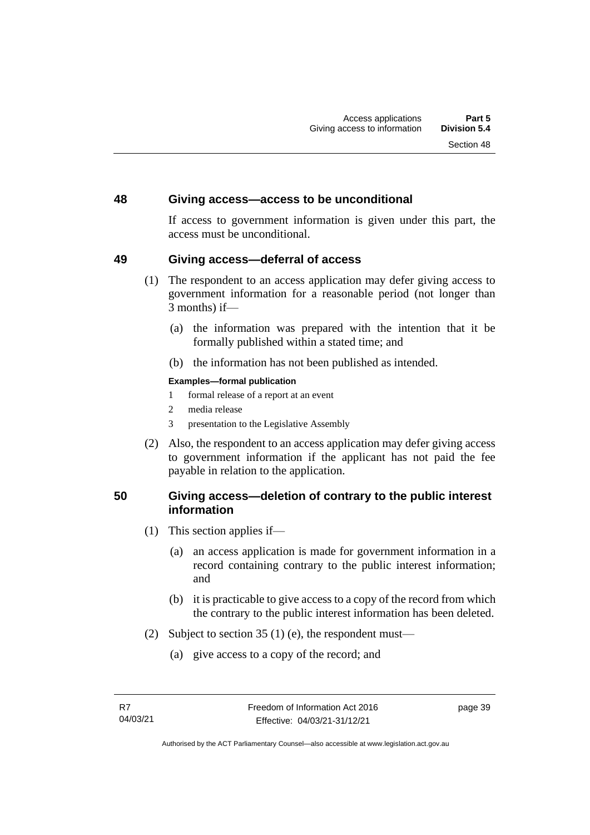#### **48 Giving access—access to be unconditional**

If access to government information is given under this part, the access must be unconditional.

#### **49 Giving access—deferral of access**

- (1) The respondent to an access application may defer giving access to government information for a reasonable period (not longer than 3 months) if—
	- (a) the information was prepared with the intention that it be formally published within a stated time; and
	- (b) the information has not been published as intended.

#### **Examples—formal publication**

- 1 formal release of a report at an event
- 2 media release
- 3 presentation to the Legislative Assembly
- (2) Also, the respondent to an access application may defer giving access to government information if the applicant has not paid the fee payable in relation to the application.

#### **50 Giving access—deletion of contrary to the public interest information**

- (1) This section applies if—
	- (a) an access application is made for government information in a record containing contrary to the public interest information; and
	- (b) it is practicable to give access to a copy of the record from which the contrary to the public interest information has been deleted.
- (2) Subject to section 35 (1) (e), the respondent must—
	- (a) give access to a copy of the record; and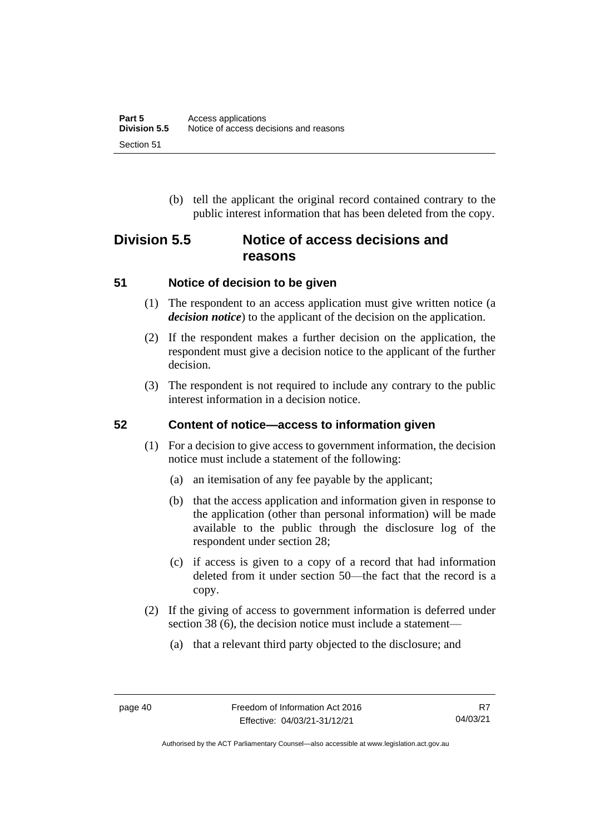(b) tell the applicant the original record contained contrary to the public interest information that has been deleted from the copy.

# **Division 5.5 Notice of access decisions and reasons**

## **51 Notice of decision to be given**

- (1) The respondent to an access application must give written notice (a *decision notice*) to the applicant of the decision on the application.
- (2) If the respondent makes a further decision on the application, the respondent must give a decision notice to the applicant of the further decision.
- (3) The respondent is not required to include any contrary to the public interest information in a decision notice.

## **52 Content of notice—access to information given**

- (1) For a decision to give access to government information, the decision notice must include a statement of the following:
	- (a) an itemisation of any fee payable by the applicant;
	- (b) that the access application and information given in response to the application (other than personal information) will be made available to the public through the disclosure log of the respondent under section 28;
	- (c) if access is given to a copy of a record that had information deleted from it under section 50—the fact that the record is a copy.
- (2) If the giving of access to government information is deferred under section 38 (6), the decision notice must include a statement—
	- (a) that a relevant third party objected to the disclosure; and

Authorised by the ACT Parliamentary Counsel—also accessible at www.legislation.act.gov.au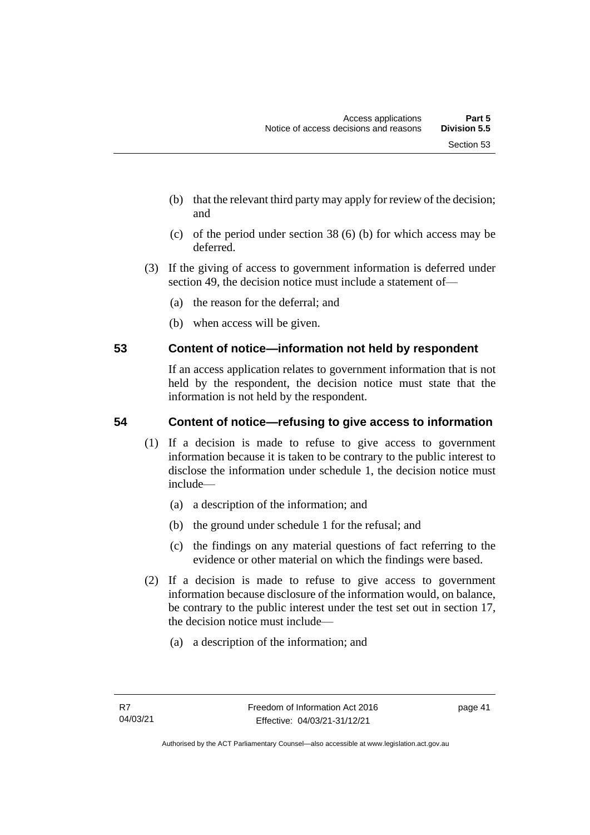- (b) that the relevant third party may apply for review of the decision; and
- (c) of the period under section 38 (6) (b) for which access may be deferred.
- (3) If the giving of access to government information is deferred under section 49, the decision notice must include a statement of—
	- (a) the reason for the deferral; and
	- (b) when access will be given.

## **53 Content of notice—information not held by respondent**

If an access application relates to government information that is not held by the respondent, the decision notice must state that the information is not held by the respondent.

## **54 Content of notice—refusing to give access to information**

- (1) If a decision is made to refuse to give access to government information because it is taken to be contrary to the public interest to disclose the information under schedule 1, the decision notice must include—
	- (a) a description of the information; and
	- (b) the ground under schedule 1 for the refusal; and
	- (c) the findings on any material questions of fact referring to the evidence or other material on which the findings were based.
- (2) If a decision is made to refuse to give access to government information because disclosure of the information would, on balance, be contrary to the public interest under the test set out in section 17, the decision notice must include—
	- (a) a description of the information; and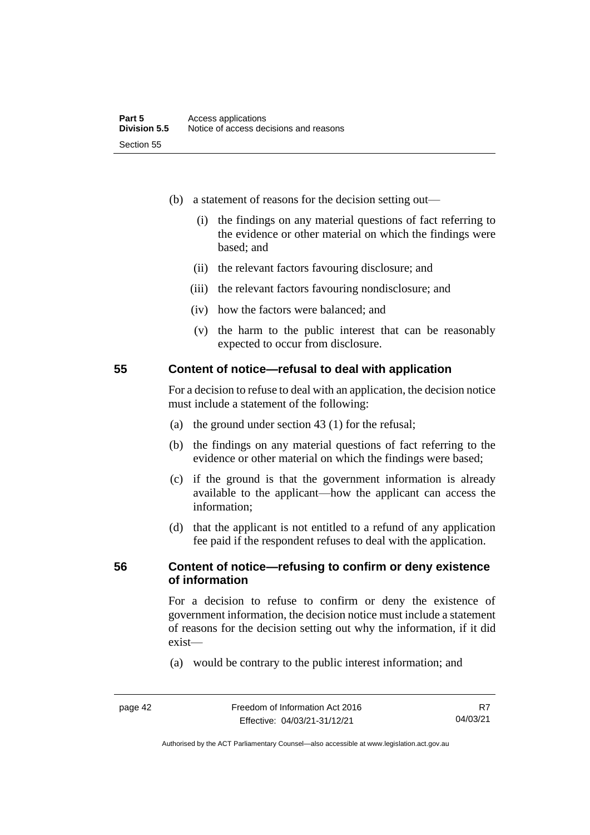- (b) a statement of reasons for the decision setting out—
	- (i) the findings on any material questions of fact referring to the evidence or other material on which the findings were based; and
	- (ii) the relevant factors favouring disclosure; and
	- (iii) the relevant factors favouring nondisclosure; and
	- (iv) how the factors were balanced; and
	- (v) the harm to the public interest that can be reasonably expected to occur from disclosure.

#### **55 Content of notice—refusal to deal with application**

For a decision to refuse to deal with an application, the decision notice must include a statement of the following:

- (a) the ground under section 43 (1) for the refusal;
- (b) the findings on any material questions of fact referring to the evidence or other material on which the findings were based;
- (c) if the ground is that the government information is already available to the applicant—how the applicant can access the information;
- (d) that the applicant is not entitled to a refund of any application fee paid if the respondent refuses to deal with the application.

#### **56 Content of notice—refusing to confirm or deny existence of information**

For a decision to refuse to confirm or deny the existence of government information, the decision notice must include a statement of reasons for the decision setting out why the information, if it did exist—

(a) would be contrary to the public interest information; and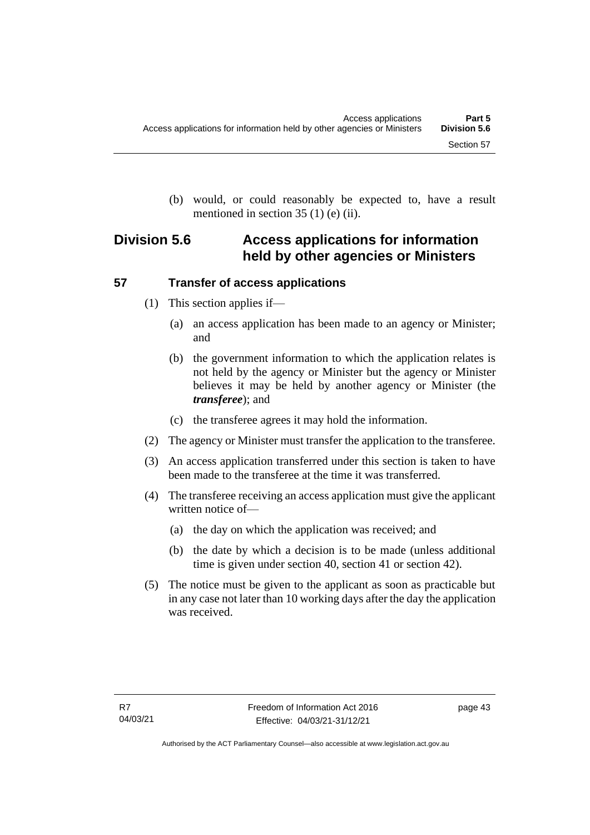(b) would, or could reasonably be expected to, have a result mentioned in section 35 (1) (e) (ii).

# **Division 5.6 Access applications for information held by other agencies or Ministers**

## **57 Transfer of access applications**

- (1) This section applies if—
	- (a) an access application has been made to an agency or Minister; and
	- (b) the government information to which the application relates is not held by the agency or Minister but the agency or Minister believes it may be held by another agency or Minister (the *transferee*); and
	- (c) the transferee agrees it may hold the information.
- (2) The agency or Minister must transfer the application to the transferee.
- (3) An access application transferred under this section is taken to have been made to the transferee at the time it was transferred.
- (4) The transferee receiving an access application must give the applicant written notice of—
	- (a) the day on which the application was received; and
	- (b) the date by which a decision is to be made (unless additional time is given under section 40, section 41 or section 42).
- (5) The notice must be given to the applicant as soon as practicable but in any case not later than 10 working days after the day the application was received.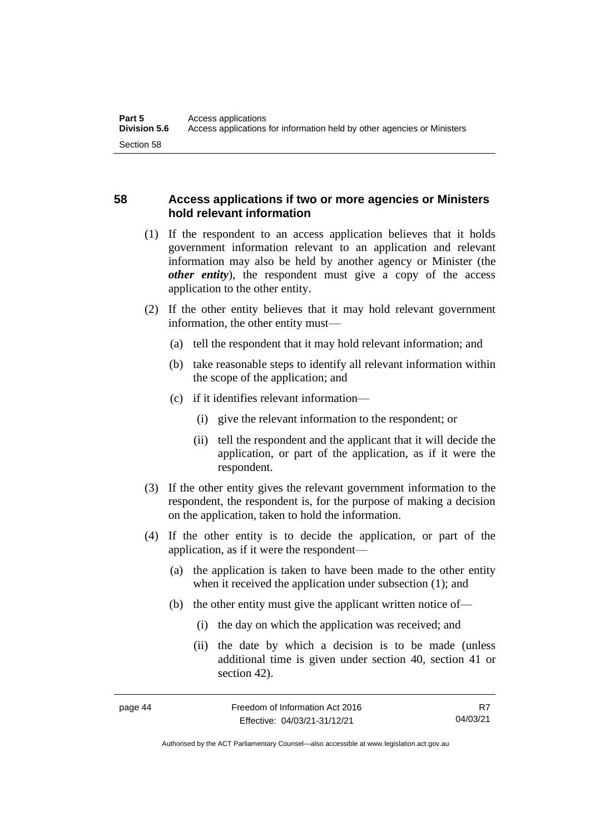## **58 Access applications if two or more agencies or Ministers hold relevant information**

- (1) If the respondent to an access application believes that it holds government information relevant to an application and relevant information may also be held by another agency or Minister (the *other entity*), the respondent must give a copy of the access application to the other entity.
- (2) If the other entity believes that it may hold relevant government information, the other entity must—
	- (a) tell the respondent that it may hold relevant information; and
	- (b) take reasonable steps to identify all relevant information within the scope of the application; and
	- (c) if it identifies relevant information—
		- (i) give the relevant information to the respondent; or
		- (ii) tell the respondent and the applicant that it will decide the application, or part of the application, as if it were the respondent.
- (3) If the other entity gives the relevant government information to the respondent, the respondent is, for the purpose of making a decision on the application, taken to hold the information.
- (4) If the other entity is to decide the application, or part of the application, as if it were the respondent—
	- (a) the application is taken to have been made to the other entity when it received the application under subsection (1); and
	- (b) the other entity must give the applicant written notice of—
		- (i) the day on which the application was received; and
		- (ii) the date by which a decision is to be made (unless additional time is given under section 40, section 41 or section 42).

R7 04/03/21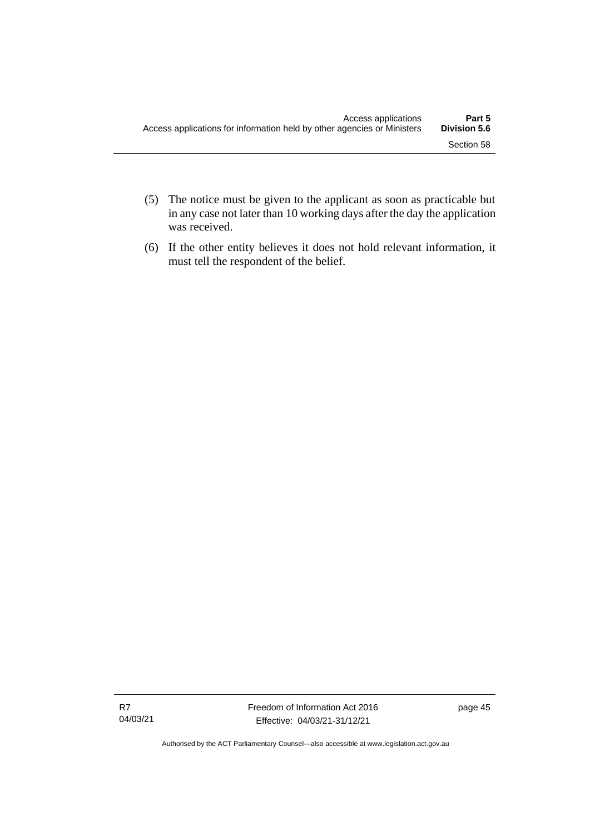- (5) The notice must be given to the applicant as soon as practicable but in any case not later than 10 working days after the day the application was received.
- (6) If the other entity believes it does not hold relevant information, it must tell the respondent of the belief.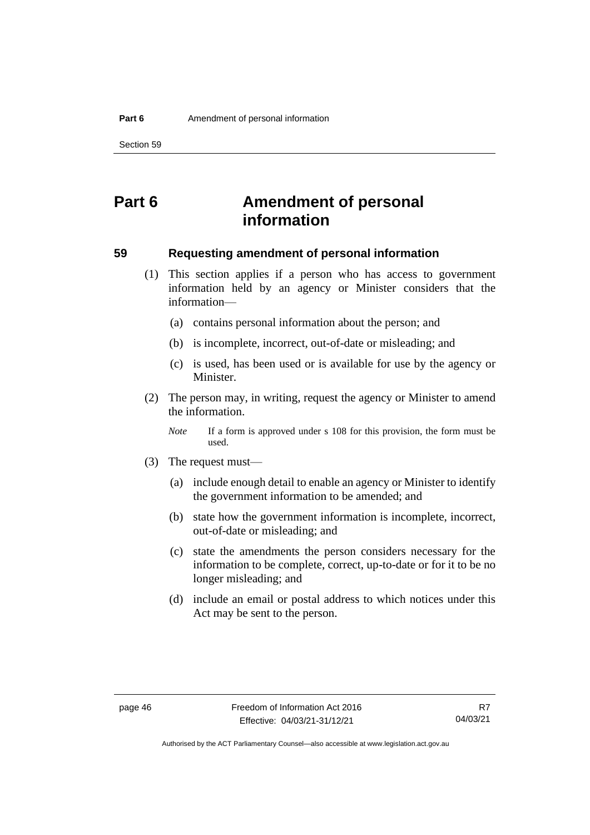Section 59

# **Part 6 Amendment of personal information**

#### **59 Requesting amendment of personal information**

- (1) This section applies if a person who has access to government information held by an agency or Minister considers that the information—
	- (a) contains personal information about the person; and
	- (b) is incomplete, incorrect, out-of-date or misleading; and
	- (c) is used, has been used or is available for use by the agency or Minister.
- (2) The person may, in writing, request the agency or Minister to amend the information.

*Note* If a form is approved under s 108 for this provision, the form must be used.

- (3) The request must—
	- (a) include enough detail to enable an agency or Minister to identify the government information to be amended; and
	- (b) state how the government information is incomplete, incorrect, out-of-date or misleading; and
	- (c) state the amendments the person considers necessary for the information to be complete, correct, up-to-date or for it to be no longer misleading; and
	- (d) include an email or postal address to which notices under this Act may be sent to the person.

Authorised by the ACT Parliamentary Counsel—also accessible at www.legislation.act.gov.au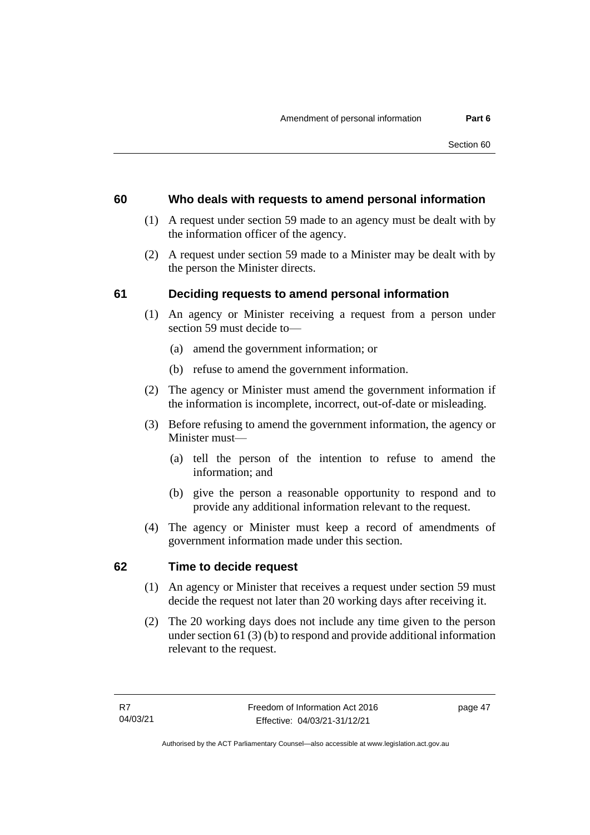#### **60 Who deals with requests to amend personal information**

- (1) A request under section 59 made to an agency must be dealt with by the information officer of the agency.
- (2) A request under section 59 made to a Minister may be dealt with by the person the Minister directs.

## **61 Deciding requests to amend personal information**

- (1) An agency or Minister receiving a request from a person under section 59 must decide to—
	- (a) amend the government information; or
	- (b) refuse to amend the government information.
- (2) The agency or Minister must amend the government information if the information is incomplete, incorrect, out-of-date or misleading.
- (3) Before refusing to amend the government information, the agency or Minister must—
	- (a) tell the person of the intention to refuse to amend the information; and
	- (b) give the person a reasonable opportunity to respond and to provide any additional information relevant to the request.
- (4) The agency or Minister must keep a record of amendments of government information made under this section.

## **62 Time to decide request**

- (1) An agency or Minister that receives a request under section 59 must decide the request not later than 20 working days after receiving it.
- (2) The 20 working days does not include any time given to the person under section 61 (3) (b) to respond and provide additional information relevant to the request.

page 47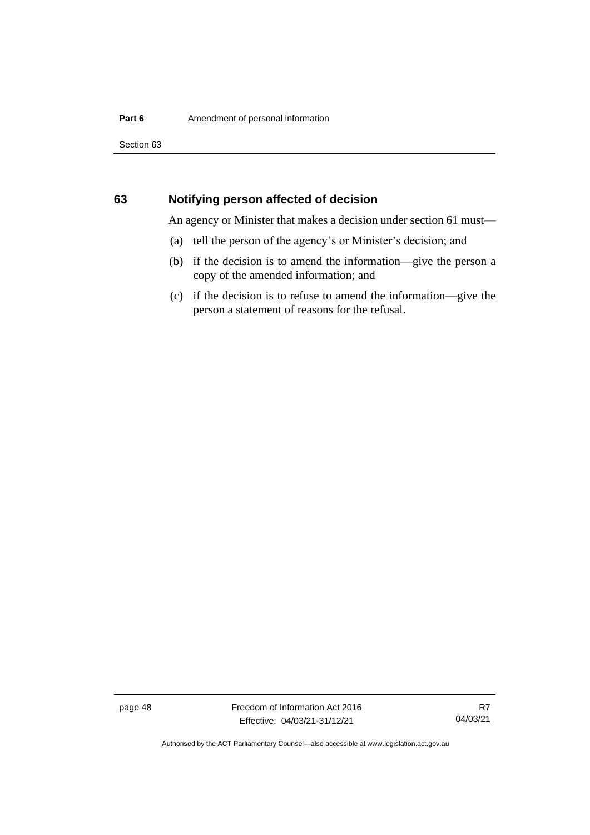Section 63

#### **63 Notifying person affected of decision**

An agency or Minister that makes a decision under section 61 must—

- (a) tell the person of the agency's or Minister's decision; and
- (b) if the decision is to amend the information—give the person a copy of the amended information; and
- (c) if the decision is to refuse to amend the information—give the person a statement of reasons for the refusal.

page 48 Freedom of Information Act 2016 Effective: 04/03/21-31/12/21

R7 04/03/21

Authorised by the ACT Parliamentary Counsel—also accessible at www.legislation.act.gov.au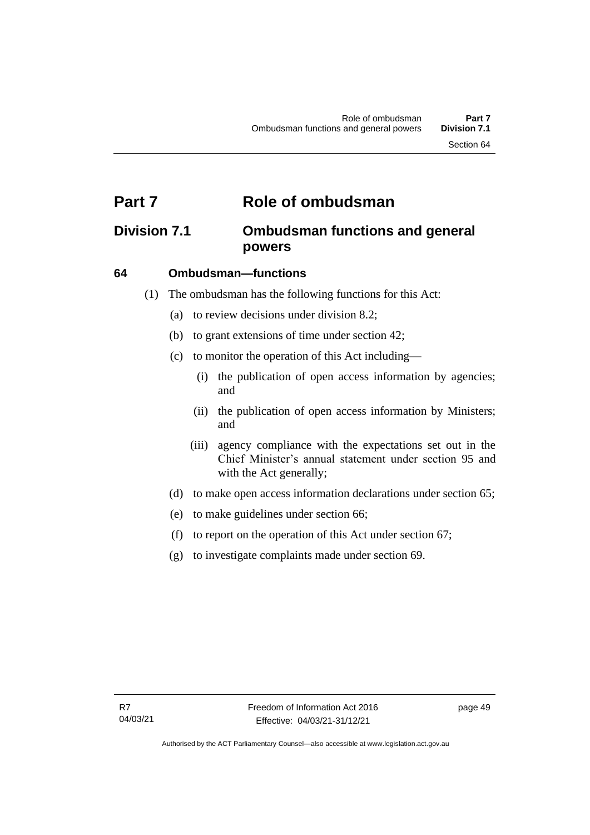# **Part 7 Role of ombudsman**

# **Division 7.1 Ombudsman functions and general powers**

#### **64 Ombudsman—functions**

- (1) The ombudsman has the following functions for this Act:
	- (a) to review decisions under division 8.2;
	- (b) to grant extensions of time under section 42;
	- (c) to monitor the operation of this Act including—
		- (i) the publication of open access information by agencies; and
		- (ii) the publication of open access information by Ministers; and
		- (iii) agency compliance with the expectations set out in the Chief Minister's annual statement under section 95 and with the Act generally;
	- (d) to make open access information declarations under section 65;
	- (e) to make guidelines under section 66;
	- (f) to report on the operation of this Act under section 67;
	- (g) to investigate complaints made under section 69.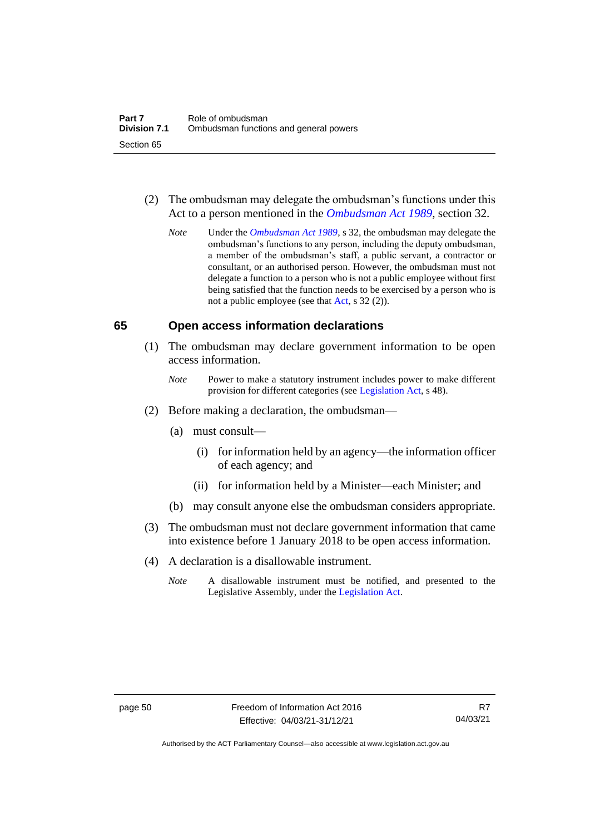- (2) The ombudsman may delegate the ombudsman's functions under this Act to a person mentioned in the *[Ombudsman Act 1989](http://www.legislation.act.gov.au/a/alt_a1989-45co)*, section 32.
	- *Note* Under the *[Ombudsman Act 1989](http://www.legislation.act.gov.au/a/alt_a1989-45co)*, s 32, the ombudsman may delegate the ombudsman's functions to any person, including the deputy ombudsman, a member of the ombudsman's staff, a public servant, a contractor or consultant, or an authorised person. However, the ombudsman must not delegate a function to a person who is not a public employee without first being satisfied that the function needs to be exercised by a person who is not a public employee (see that [Act,](https://www.legislation.act.gov.au/a/alt_a1989-45co/) s 32 (2)).

#### **65 Open access information declarations**

- (1) The ombudsman may declare government information to be open access information.
	- *Note* Power to make a statutory instrument includes power to make different provision for different categories (see [Legislation Act,](http://www.legislation.act.gov.au/a/2001-14) s 48).
- (2) Before making a declaration, the ombudsman—
	- (a) must consult—
		- (i) for information held by an agency—the information officer of each agency; and
		- (ii) for information held by a Minister—each Minister; and
	- (b) may consult anyone else the ombudsman considers appropriate.
- (3) The ombudsman must not declare government information that came into existence before 1 January 2018 to be open access information.
- (4) A declaration is a disallowable instrument.
	- *Note* A disallowable instrument must be notified, and presented to the Legislative Assembly, under the [Legislation Act.](http://www.legislation.act.gov.au/a/2001-14)

Authorised by the ACT Parliamentary Counsel—also accessible at www.legislation.act.gov.au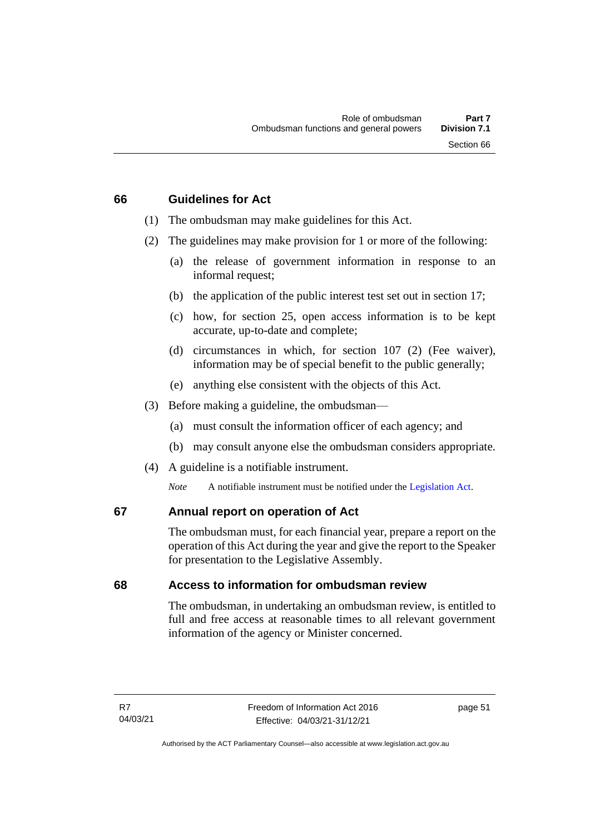#### **66 Guidelines for Act**

- (1) The ombudsman may make guidelines for this Act.
- (2) The guidelines may make provision for 1 or more of the following:
	- (a) the release of government information in response to an informal request;
	- (b) the application of the public interest test set out in section 17;
	- (c) how, for section 25, open access information is to be kept accurate, up-to-date and complete;
	- (d) circumstances in which, for section 107 (2) (Fee waiver), information may be of special benefit to the public generally;
	- (e) anything else consistent with the objects of this Act.
- (3) Before making a guideline, the ombudsman—
	- (a) must consult the information officer of each agency; and
	- (b) may consult anyone else the ombudsman considers appropriate.
- (4) A guideline is a notifiable instrument.

*Note* A notifiable instrument must be notified under the [Legislation Act.](http://www.legislation.act.gov.au/a/2001-14)

#### **67 Annual report on operation of Act**

The ombudsman must, for each financial year, prepare a report on the operation of this Act during the year and give the report to the Speaker for presentation to the Legislative Assembly.

#### **68 Access to information for ombudsman review**

The ombudsman, in undertaking an ombudsman review, is entitled to full and free access at reasonable times to all relevant government information of the agency or Minister concerned.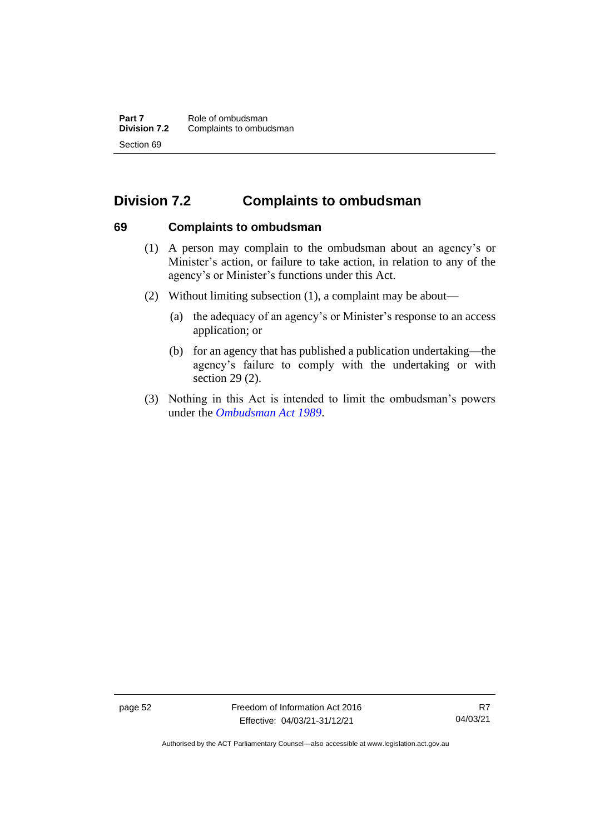# **Division 7.2 Complaints to ombudsman**

## **69 Complaints to ombudsman**

- (1) A person may complain to the ombudsman about an agency's or Minister's action, or failure to take action, in relation to any of the agency's or Minister's functions under this Act.
- (2) Without limiting subsection (1), a complaint may be about—
	- (a) the adequacy of an agency's or Minister's response to an access application; or
	- (b) for an agency that has published a publication undertaking—the agency's failure to comply with the undertaking or with section 29 (2).
- (3) Nothing in this Act is intended to limit the ombudsman's powers under the *[Ombudsman Act 1989](http://www.legislation.act.gov.au/a/alt_a1989-45co)*.

page 52 Freedom of Information Act 2016 Effective: 04/03/21-31/12/21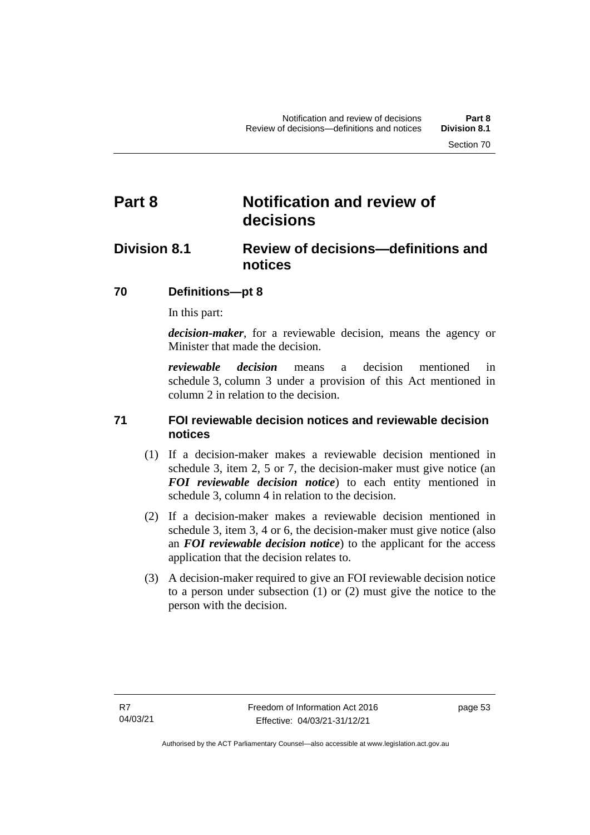# **Part 8 Notification and review of decisions**

# **Division 8.1 Review of decisions—definitions and notices**

## **70 Definitions***—***pt 8**

In this part:

*decision-maker*, for a reviewable decision, means the agency or Minister that made the decision.

*reviewable decision* means a decision mentioned in schedule 3, column 3 under a provision of this Act mentioned in column 2 in relation to the decision.

## **71 FOI reviewable decision notices and reviewable decision notices**

- (1) If a decision-maker makes a reviewable decision mentioned in schedule 3, item 2, 5 or 7, the decision-maker must give notice (an *FOI reviewable decision notice*) to each entity mentioned in schedule 3, column 4 in relation to the decision.
- (2) If a decision-maker makes a reviewable decision mentioned in schedule 3, item 3, 4 or 6, the decision-maker must give notice (also an *FOI reviewable decision notice*) to the applicant for the access application that the decision relates to.
- (3) A decision-maker required to give an FOI reviewable decision notice to a person under subsection (1) or (2) must give the notice to the person with the decision.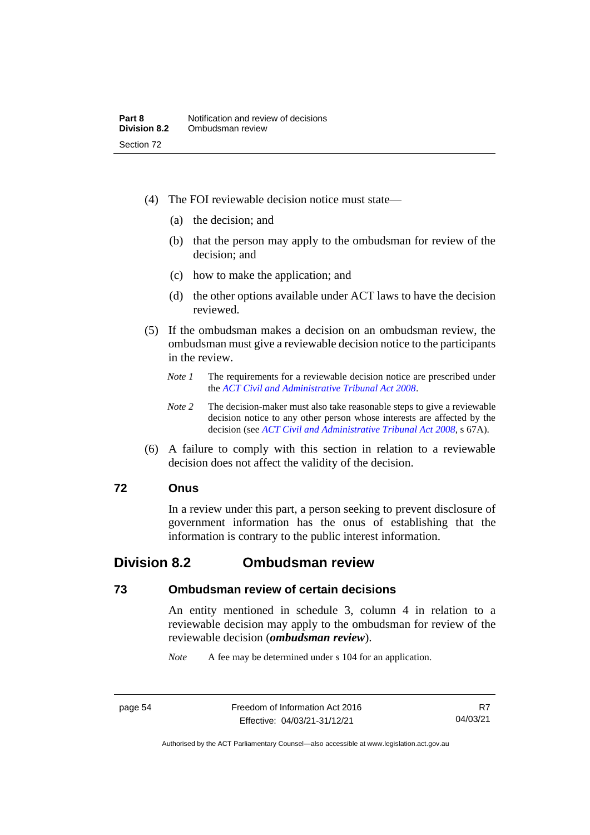- (4) The FOI reviewable decision notice must state—
	- (a) the decision; and
	- (b) that the person may apply to the ombudsman for review of the decision; and
	- (c) how to make the application; and
	- (d) the other options available under ACT laws to have the decision reviewed.
- (5) If the ombudsman makes a decision on an ombudsman review, the ombudsman must give a reviewable decision notice to the participants in the review.
	- *Note 1* The requirements for a reviewable decision notice are prescribed under the *[ACT Civil and Administrative Tribunal Act 2008](http://www.legislation.act.gov.au/a/2008-35)*.
	- *Note 2* The decision-maker must also take reasonable steps to give a reviewable decision notice to any other person whose interests are affected by the decision (see *[ACT Civil and Administrative Tribunal Act](http://www.legislation.act.gov.au/a/2008-35) 2008*, s 67A).
- (6) A failure to comply with this section in relation to a reviewable decision does not affect the validity of the decision.

#### **72 Onus**

In a review under this part, a person seeking to prevent disclosure of government information has the onus of establishing that the information is contrary to the public interest information.

## **Division 8.2 Ombudsman review**

#### **73 Ombudsman review of certain decisions**

An entity mentioned in schedule 3, column 4 in relation to a reviewable decision may apply to the ombudsman for review of the reviewable decision (*ombudsman review*).

*Note* A fee may be determined under s 104 for an application.

R7 04/03/21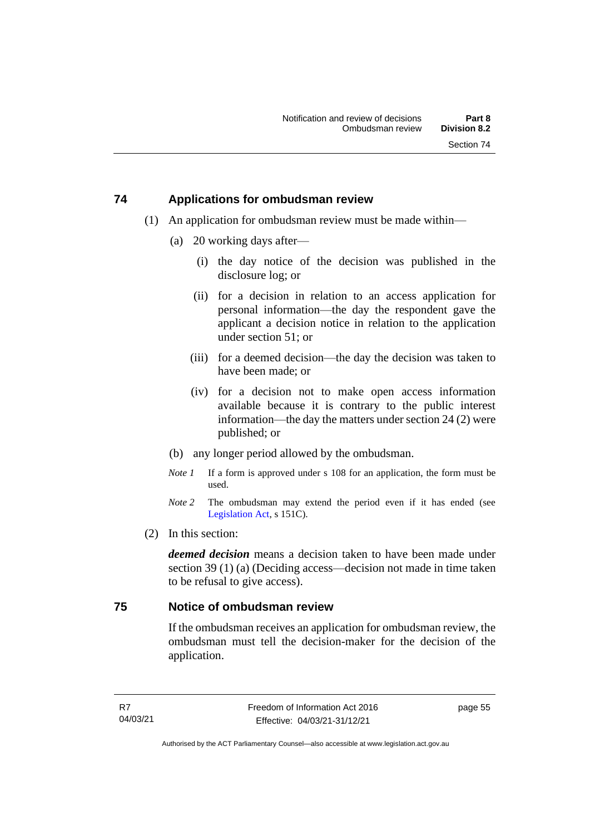## **74 Applications for ombudsman review**

- (1) An application for ombudsman review must be made within—
	- (a) 20 working days after—
		- (i) the day notice of the decision was published in the disclosure log; or
		- (ii) for a decision in relation to an access application for personal information—the day the respondent gave the applicant a decision notice in relation to the application under section 51; or
		- (iii) for a deemed decision—the day the decision was taken to have been made; or
		- (iv) for a decision not to make open access information available because it is contrary to the public interest information—the day the matters under section 24 (2) were published; or
	- (b) any longer period allowed by the ombudsman.
	- *Note 1* If a form is approved under s 108 for an application, the form must be used.
	- *Note 2* The ombudsman may extend the period even if it has ended (see [Legislation Act,](http://www.legislation.act.gov.au/a/2001-14) s 151C).
- (2) In this section:

*deemed decision* means a decision taken to have been made under section 39 (1) (a) (Deciding access—decision not made in time taken to be refusal to give access).

#### **75 Notice of ombudsman review**

If the ombudsman receives an application for ombudsman review, the ombudsman must tell the decision-maker for the decision of the application.

page 55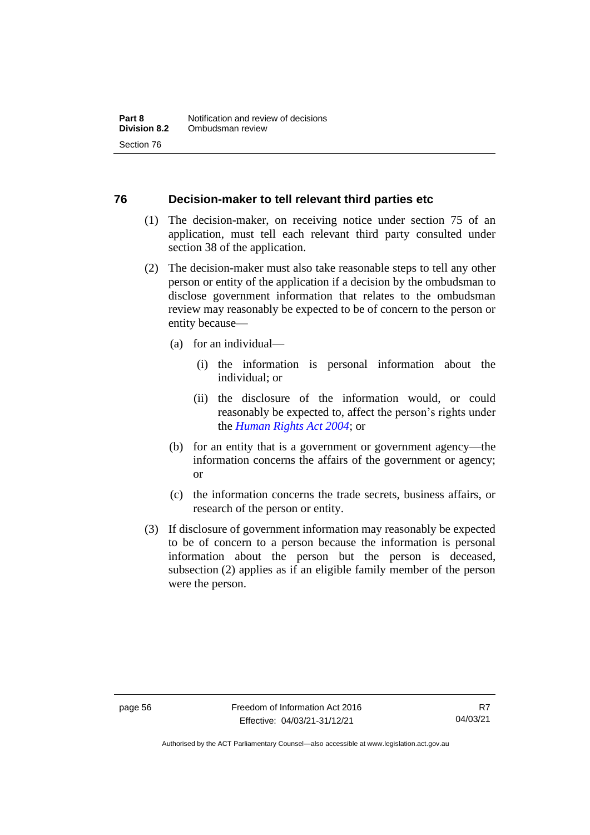#### **76 Decision-maker to tell relevant third parties etc**

- (1) The decision-maker, on receiving notice under section 75 of an application, must tell each relevant third party consulted under section 38 of the application.
- (2) The decision-maker must also take reasonable steps to tell any other person or entity of the application if a decision by the ombudsman to disclose government information that relates to the ombudsman review may reasonably be expected to be of concern to the person or entity because—
	- (a) for an individual—
		- (i) the information is personal information about the individual; or
		- (ii) the disclosure of the information would, or could reasonably be expected to, affect the person's rights under the *[Human Rights Act 2004](http://www.legislation.act.gov.au/a/2004-5)*; or
	- (b) for an entity that is a government or government agency—the information concerns the affairs of the government or agency; or
	- (c) the information concerns the trade secrets, business affairs, or research of the person or entity.
- (3) If disclosure of government information may reasonably be expected to be of concern to a person because the information is personal information about the person but the person is deceased, subsection (2) applies as if an eligible family member of the person were the person.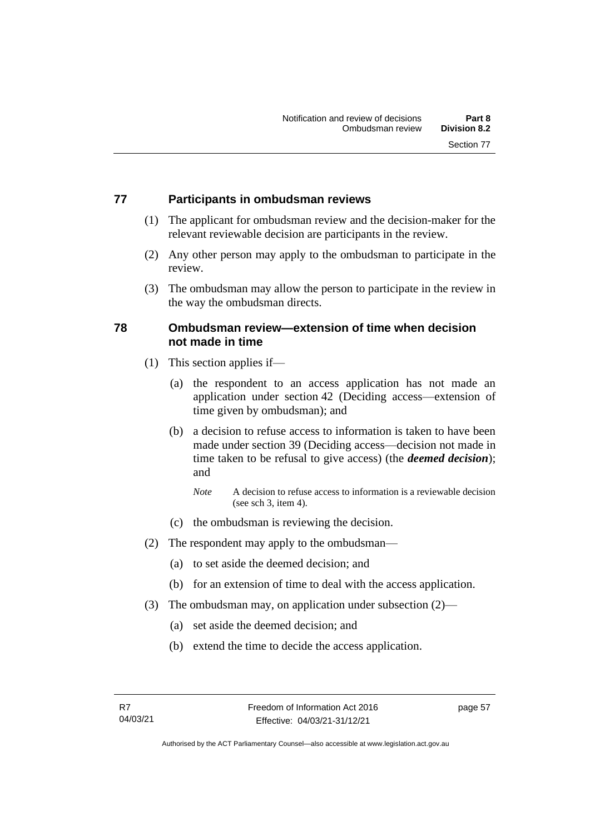## **77 Participants in ombudsman reviews**

- (1) The applicant for ombudsman review and the decision-maker for the relevant reviewable decision are participants in the review.
- (2) Any other person may apply to the ombudsman to participate in the review.
- (3) The ombudsman may allow the person to participate in the review in the way the ombudsman directs.

## **78 Ombudsman review—extension of time when decision not made in time**

- (1) This section applies if—
	- (a) the respondent to an access application has not made an application under section 42 (Deciding access—extension of time given by ombudsman); and
	- (b) a decision to refuse access to information is taken to have been made under section 39 (Deciding access—decision not made in time taken to be refusal to give access) (the *deemed decision*); and
		- *Note* A decision to refuse access to information is a reviewable decision (see sch 3, item 4).
	- (c) the ombudsman is reviewing the decision.
- (2) The respondent may apply to the ombudsman—
	- (a) to set aside the deemed decision; and
	- (b) for an extension of time to deal with the access application.
- (3) The ombudsman may, on application under subsection (2)—
	- (a) set aside the deemed decision; and
	- (b) extend the time to decide the access application.

page 57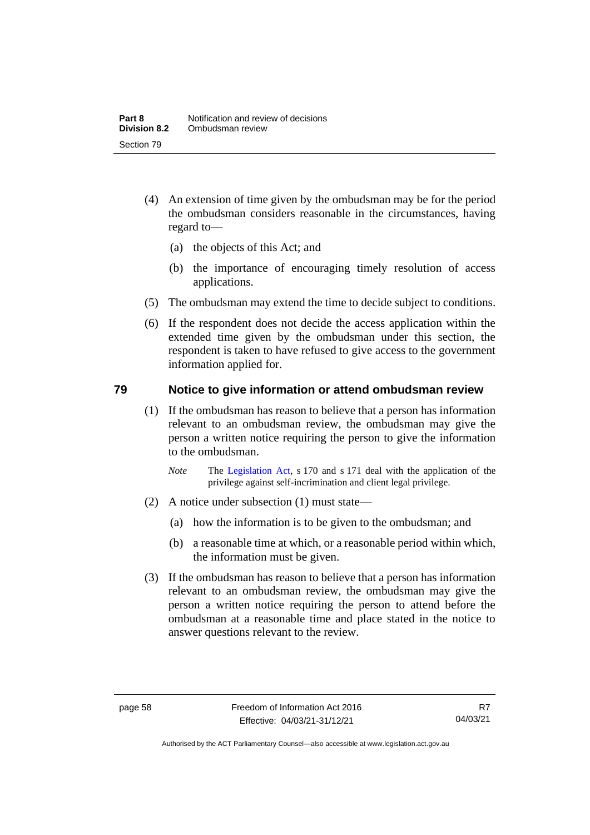- (4) An extension of time given by the ombudsman may be for the period the ombudsman considers reasonable in the circumstances, having regard to—
	- (a) the objects of this Act; and
	- (b) the importance of encouraging timely resolution of access applications.
- (5) The ombudsman may extend the time to decide subject to conditions.
- (6) If the respondent does not decide the access application within the extended time given by the ombudsman under this section, the respondent is taken to have refused to give access to the government information applied for.

## **79 Notice to give information or attend ombudsman review**

- (1) If the ombudsman has reason to believe that a person has information relevant to an ombudsman review, the ombudsman may give the person a written notice requiring the person to give the information to the ombudsman.
	- *Note* The [Legislation Act,](http://www.legislation.act.gov.au/a/2001-14) s 170 and s 171 deal with the application of the privilege against self-incrimination and client legal privilege.
- (2) A notice under subsection (1) must state—
	- (a) how the information is to be given to the ombudsman; and
	- (b) a reasonable time at which, or a reasonable period within which, the information must be given.
- (3) If the ombudsman has reason to believe that a person has information relevant to an ombudsman review, the ombudsman may give the person a written notice requiring the person to attend before the ombudsman at a reasonable time and place stated in the notice to answer questions relevant to the review.

Authorised by the ACT Parliamentary Counsel—also accessible at www.legislation.act.gov.au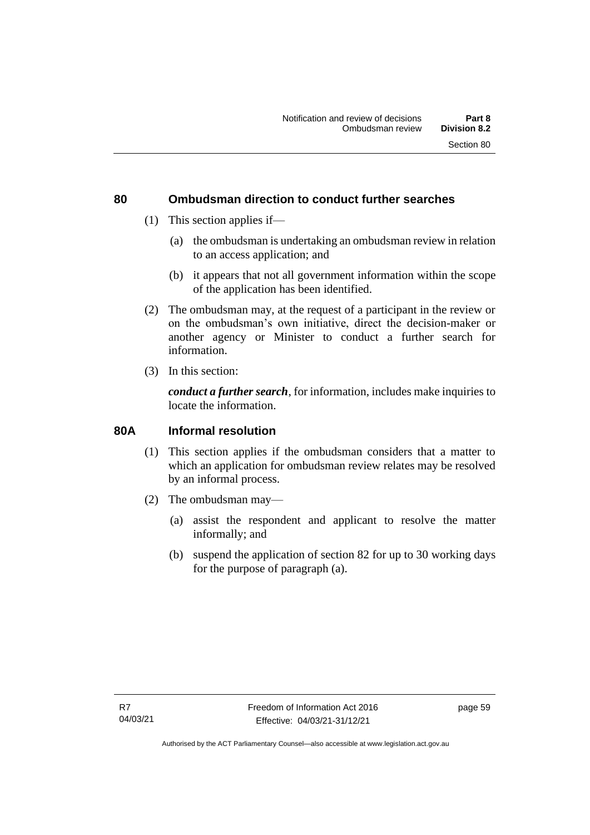#### **80 Ombudsman direction to conduct further searches**

- (1) This section applies if—
	- (a) the ombudsman is undertaking an ombudsman review in relation to an access application; and
	- (b) it appears that not all government information within the scope of the application has been identified.
- (2) The ombudsman may, at the request of a participant in the review or on the ombudsman's own initiative, direct the decision-maker or another agency or Minister to conduct a further search for information.
- (3) In this section:

*conduct a further search*, for information, includes make inquiries to locate the information.

#### **80A Informal resolution**

- (1) This section applies if the ombudsman considers that a matter to which an application for ombudsman review relates may be resolved by an informal process.
- (2) The ombudsman may—
	- (a) assist the respondent and applicant to resolve the matter informally; and
	- (b) suspend the application of section 82 for up to 30 working days for the purpose of paragraph (a).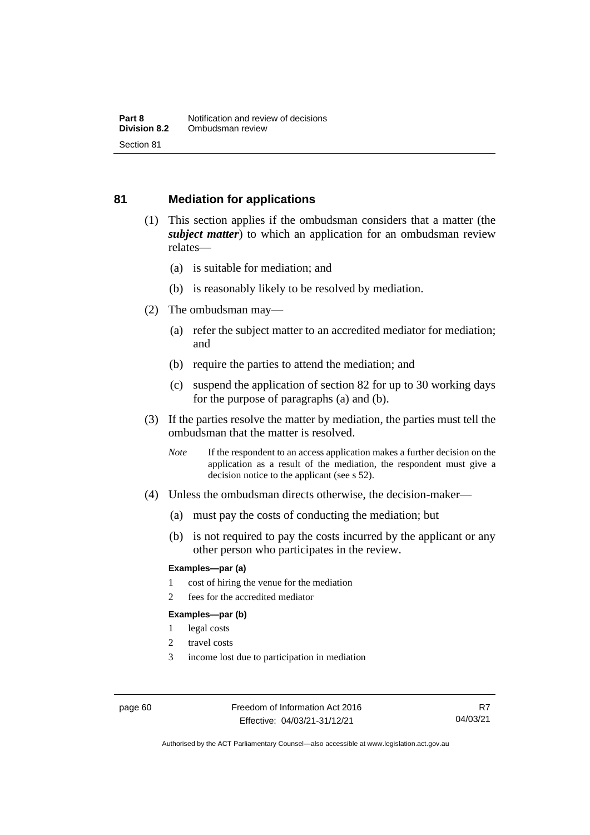## **81 Mediation for applications**

- (1) This section applies if the ombudsman considers that a matter (the *subject matter*) to which an application for an ombudsman review relates—
	- (a) is suitable for mediation; and
	- (b) is reasonably likely to be resolved by mediation.
- (2) The ombudsman may—
	- (a) refer the subject matter to an accredited mediator for mediation; and
	- (b) require the parties to attend the mediation; and
	- (c) suspend the application of section 82 for up to 30 working days for the purpose of paragraphs (a) and (b).
- (3) If the parties resolve the matter by mediation, the parties must tell the ombudsman that the matter is resolved.
	- *Note* If the respondent to an access application makes a further decision on the application as a result of the mediation, the respondent must give a decision notice to the applicant (see s 52).
- (4) Unless the ombudsman directs otherwise, the decision-maker—
	- (a) must pay the costs of conducting the mediation; but
	- (b) is not required to pay the costs incurred by the applicant or any other person who participates in the review.

#### **Examples—par (a)**

- 1 cost of hiring the venue for the mediation
- 2 fees for the accredited mediator

#### **Examples—par (b)**

- 1 legal costs
- 2 travel costs
- 3 income lost due to participation in mediation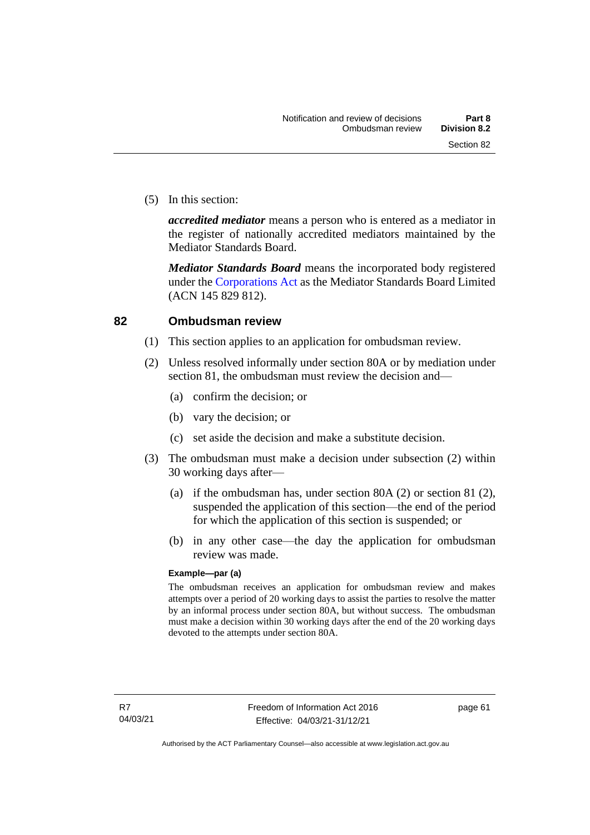(5) In this section:

*accredited mediator* means a person who is entered as a mediator in the register of nationally accredited mediators maintained by the Mediator Standards Board.

*Mediator Standards Board* means the incorporated body registered under the [Corporations Act](http://www.comlaw.gov.au/Series/C2004A00818) as the Mediator Standards Board Limited (ACN 145 829 812).

#### **82 Ombudsman review**

- (1) This section applies to an application for ombudsman review.
- (2) Unless resolved informally under section 80A or by mediation under section 81, the ombudsman must review the decision and—
	- (a) confirm the decision; or
	- (b) vary the decision; or
	- (c) set aside the decision and make a substitute decision.
- (3) The ombudsman must make a decision under subsection (2) within 30 working days after—
	- (a) if the ombudsman has, under section 80A (2) or section 81 (2), suspended the application of this section—the end of the period for which the application of this section is suspended; or
	- (b) in any other case—the day the application for ombudsman review was made.

#### **Example—par (a)**

The ombudsman receives an application for ombudsman review and makes attempts over a period of 20 working days to assist the parties to resolve the matter by an informal process under section 80A, but without success. The ombudsman must make a decision within 30 working days after the end of the 20 working days devoted to the attempts under section 80A.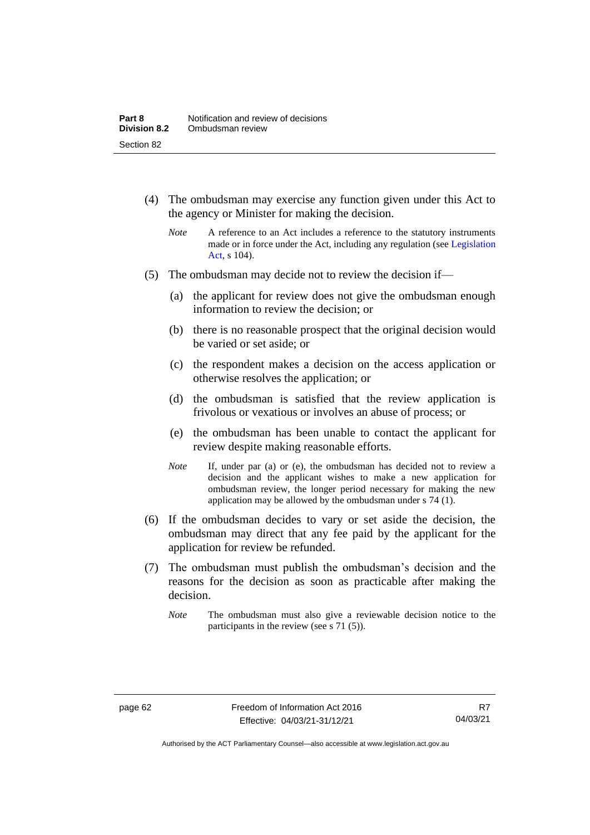- (4) The ombudsman may exercise any function given under this Act to the agency or Minister for making the decision.
	- *Note* A reference to an Act includes a reference to the statutory instruments made or in force under the Act, including any regulation (see [Legislation](http://www.legislation.act.gov.au/a/2001-14)  [Act,](http://www.legislation.act.gov.au/a/2001-14) s 104).
- (5) The ombudsman may decide not to review the decision if—
	- (a) the applicant for review does not give the ombudsman enough information to review the decision; or
	- (b) there is no reasonable prospect that the original decision would be varied or set aside; or
	- (c) the respondent makes a decision on the access application or otherwise resolves the application; or
	- (d) the ombudsman is satisfied that the review application is frivolous or vexatious or involves an abuse of process; or
	- (e) the ombudsman has been unable to contact the applicant for review despite making reasonable efforts.
	- *Note* If, under par (a) or (e), the ombudsman has decided not to review a decision and the applicant wishes to make a new application for ombudsman review, the longer period necessary for making the new application may be allowed by the ombudsman under s 74 (1).
- (6) If the ombudsman decides to vary or set aside the decision, the ombudsman may direct that any fee paid by the applicant for the application for review be refunded.
- (7) The ombudsman must publish the ombudsman's decision and the reasons for the decision as soon as practicable after making the decision.
	- *Note* The ombudsman must also give a reviewable decision notice to the participants in the review (see s 71 (5)).

Authorised by the ACT Parliamentary Counsel—also accessible at www.legislation.act.gov.au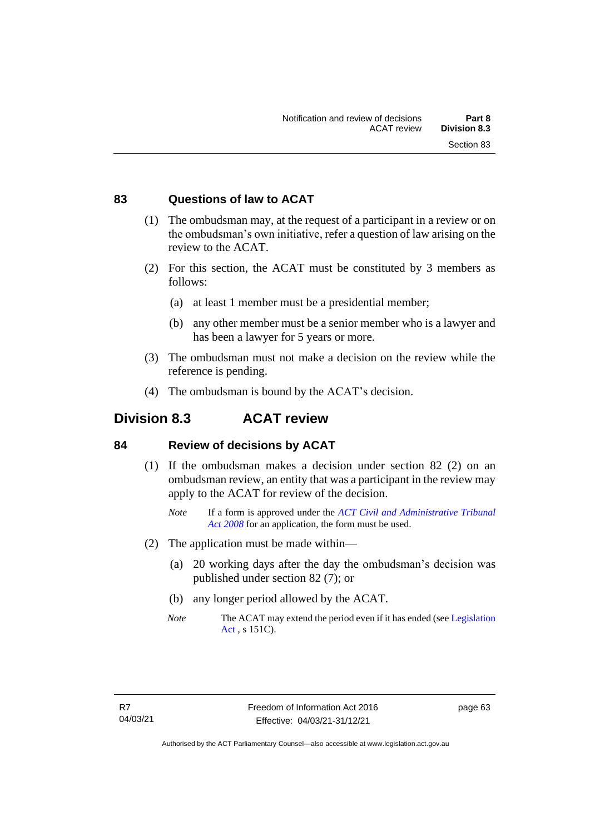# **83 Questions of law to ACAT**

- (1) The ombudsman may, at the request of a participant in a review or on the ombudsman's own initiative, refer a question of law arising on the review to the ACAT.
- (2) For this section, the ACAT must be constituted by 3 members as follows:
	- (a) at least 1 member must be a presidential member;
	- (b) any other member must be a senior member who is a lawyer and has been a lawyer for 5 years or more.
- (3) The ombudsman must not make a decision on the review while the reference is pending.
- (4) The ombudsman is bound by the ACAT's decision.

# **Division 8.3 ACAT review**

# **84 Review of decisions by ACAT**

- (1) If the ombudsman makes a decision under section 82 (2) on an ombudsman review, an entity that was a participant in the review may apply to the ACAT for review of the decision.
	- *Note* If a form is approved under the *[ACT Civil and Administrative Tribunal](http://www.legislation.act.gov.au/a/2008-35)  [Act 2008](http://www.legislation.act.gov.au/a/2008-35)* for an application, the form must be used.
- (2) The application must be made within—
	- (a) 20 working days after the day the ombudsman's decision was published under section 82 (7); or
	- (b) any longer period allowed by the ACAT.
	- *Note* The ACAT may extend the period even if it has ended (see Legislation [Act](http://www.legislation.act.gov.au/a/2001-14) , s 151C).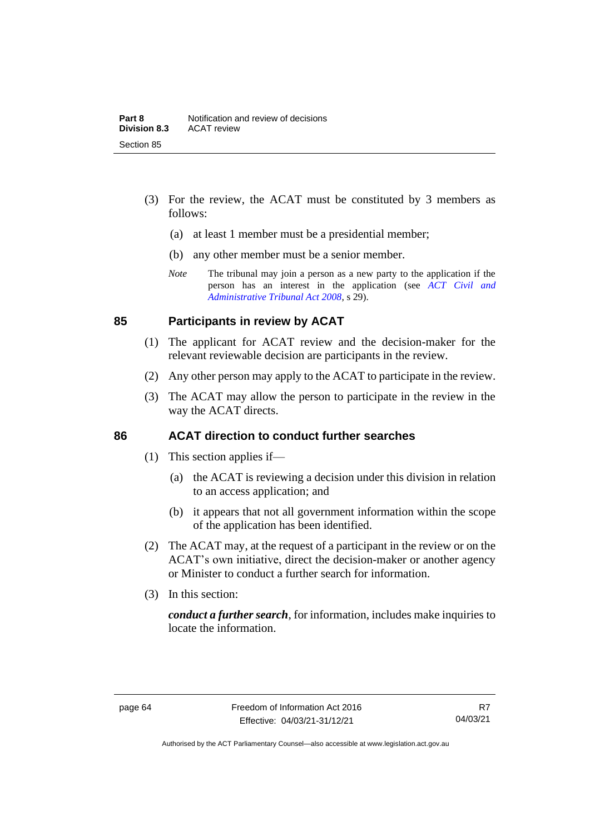- (3) For the review, the ACAT must be constituted by 3 members as follows:
	- (a) at least 1 member must be a presidential member;
	- (b) any other member must be a senior member.
	- *Note* The tribunal may join a person as a new party to the application if the person has an interest in the application (see *[ACT Civil and](http://www.legislation.act.gov.au/a/2008-35)  [Administrative Tribunal Act 2008](http://www.legislation.act.gov.au/a/2008-35)*, s 29).

# **85 Participants in review by ACAT**

- (1) The applicant for ACAT review and the decision-maker for the relevant reviewable decision are participants in the review.
- (2) Any other person may apply to the ACAT to participate in the review.
- (3) The ACAT may allow the person to participate in the review in the way the ACAT directs.

# **86 ACAT direction to conduct further searches**

- (1) This section applies if—
	- (a) the ACAT is reviewing a decision under this division in relation to an access application; and
	- (b) it appears that not all government information within the scope of the application has been identified.
- (2) The ACAT may, at the request of a participant in the review or on the ACAT's own initiative, direct the decision-maker or another agency or Minister to conduct a further search for information.
- (3) In this section:

*conduct a further search*, for information, includes make inquiries to locate the information.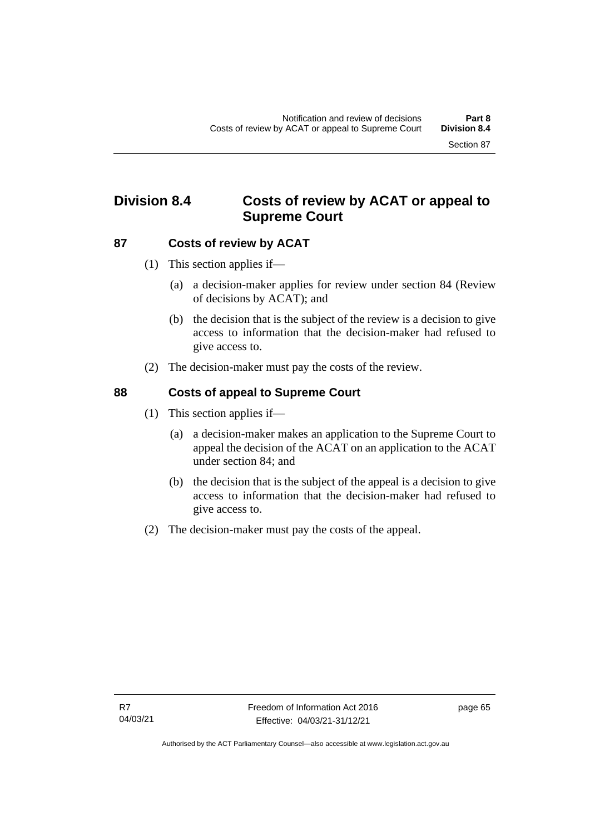# **Division 8.4 Costs of review by ACAT or appeal to Supreme Court**

# **87 Costs of review by ACAT**

- (1) This section applies if—
	- (a) a decision-maker applies for review under section 84 (Review of decisions by ACAT); and
	- (b) the decision that is the subject of the review is a decision to give access to information that the decision-maker had refused to give access to.
- (2) The decision-maker must pay the costs of the review.

# **88 Costs of appeal to Supreme Court**

- (1) This section applies if—
	- (a) a decision-maker makes an application to the Supreme Court to appeal the decision of the ACAT on an application to the ACAT under section 84; and
	- (b) the decision that is the subject of the appeal is a decision to give access to information that the decision-maker had refused to give access to.
- (2) The decision-maker must pay the costs of the appeal.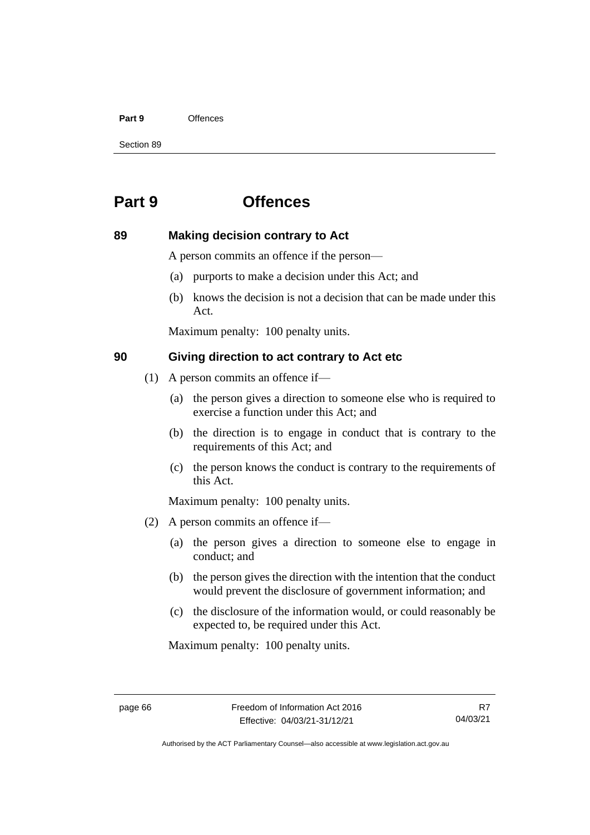### **Part 9** Offences

Section 89

# **Part 9 Offences**

# **89 Making decision contrary to Act**

A person commits an offence if the person—

- (a) purports to make a decision under this Act; and
- (b) knows the decision is not a decision that can be made under this Act.

Maximum penalty: 100 penalty units.

# **90 Giving direction to act contrary to Act etc**

- (1) A person commits an offence if—
	- (a) the person gives a direction to someone else who is required to exercise a function under this Act; and
	- (b) the direction is to engage in conduct that is contrary to the requirements of this Act; and
	- (c) the person knows the conduct is contrary to the requirements of this Act.

Maximum penalty: 100 penalty units.

- (2) A person commits an offence if—
	- (a) the person gives a direction to someone else to engage in conduct; and
	- (b) the person gives the direction with the intention that the conduct would prevent the disclosure of government information; and
	- (c) the disclosure of the information would, or could reasonably be expected to, be required under this Act.

Maximum penalty: 100 penalty units.

R7 04/03/21

Authorised by the ACT Parliamentary Counsel—also accessible at www.legislation.act.gov.au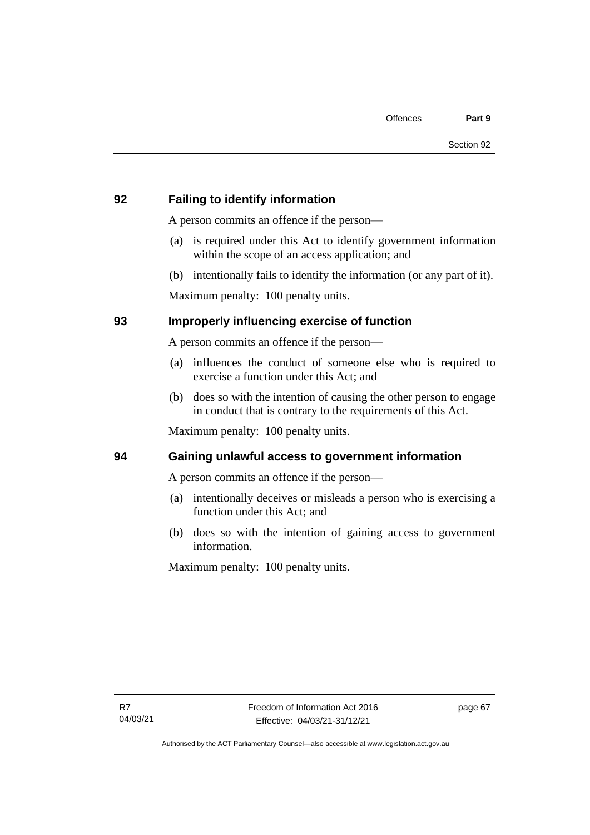# **92 Failing to identify information**

A person commits an offence if the person—

- (a) is required under this Act to identify government information within the scope of an access application; and
- (b) intentionally fails to identify the information (or any part of it).

Maximum penalty: 100 penalty units.

# **93 Improperly influencing exercise of function**

A person commits an offence if the person—

- (a) influences the conduct of someone else who is required to exercise a function under this Act; and
- (b) does so with the intention of causing the other person to engage in conduct that is contrary to the requirements of this Act.

Maximum penalty: 100 penalty units.

# **94 Gaining unlawful access to government information**

A person commits an offence if the person—

- (a) intentionally deceives or misleads a person who is exercising a function under this Act; and
- (b) does so with the intention of gaining access to government information.

Maximum penalty: 100 penalty units.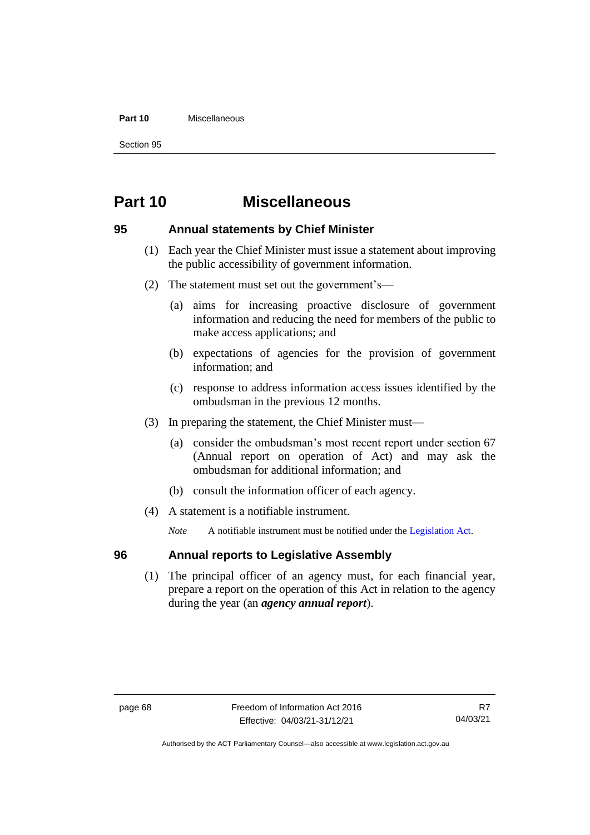### **Part 10** Miscellaneous

Section 95

# **Part 10 Miscellaneous**

# **95 Annual statements by Chief Minister**

- (1) Each year the Chief Minister must issue a statement about improving the public accessibility of government information.
- (2) The statement must set out the government's—
	- (a) aims for increasing proactive disclosure of government information and reducing the need for members of the public to make access applications; and
	- (b) expectations of agencies for the provision of government information; and
	- (c) response to address information access issues identified by the ombudsman in the previous 12 months.
- (3) In preparing the statement, the Chief Minister must—
	- (a) consider the ombudsman's most recent report under section 67 (Annual report on operation of Act) and may ask the ombudsman for additional information; and
	- (b) consult the information officer of each agency.
- (4) A statement is a notifiable instrument.

*Note* A notifiable instrument must be notified under the [Legislation Act.](http://www.legislation.act.gov.au/a/2001-14)

# **96 Annual reports to Legislative Assembly**

(1) The principal officer of an agency must, for each financial year, prepare a report on the operation of this Act in relation to the agency during the year (an *agency annual report*).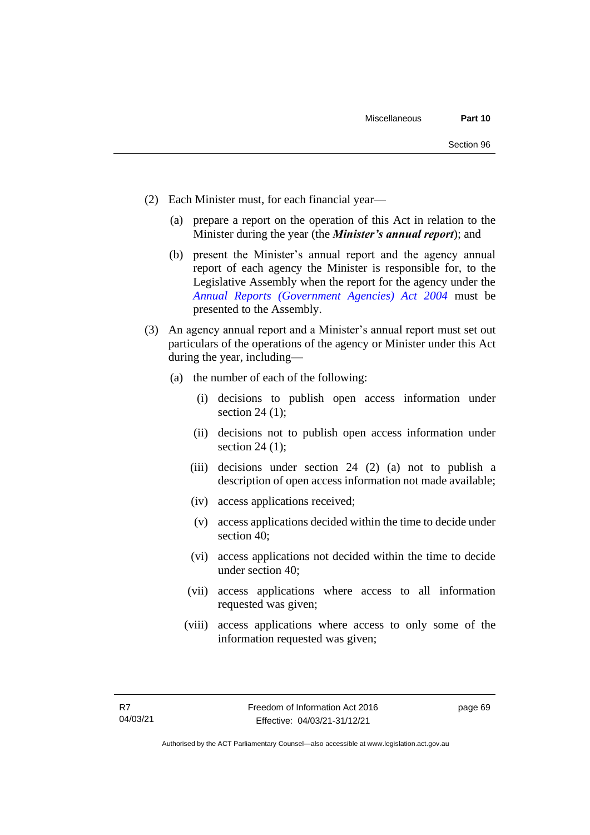- (2) Each Minister must, for each financial year—
	- (a) prepare a report on the operation of this Act in relation to the Minister during the year (the *Minister's annual report*); and
	- (b) present the Minister's annual report and the agency annual report of each agency the Minister is responsible for, to the Legislative Assembly when the report for the agency under the *[Annual Reports \(Government Agencies\) Act 2004](http://www.legislation.act.gov.au/a/2004-8)* must be presented to the Assembly.
- (3) An agency annual report and a Minister's annual report must set out particulars of the operations of the agency or Minister under this Act during the year, including—
	- (a) the number of each of the following:
		- (i) decisions to publish open access information under section  $24$  (1);
		- (ii) decisions not to publish open access information under section 24 (1);
		- (iii) decisions under section 24 (2) (a) not to publish a description of open access information not made available;
		- (iv) access applications received;
		- (v) access applications decided within the time to decide under section 40;
		- (vi) access applications not decided within the time to decide under section 40;
		- (vii) access applications where access to all information requested was given;
		- (viii) access applications where access to only some of the information requested was given;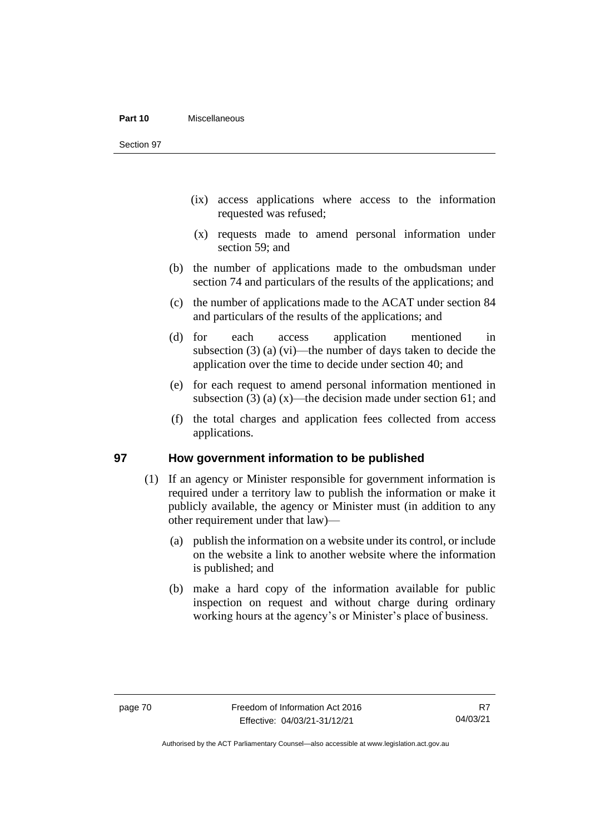#### **Part 10** Miscellaneous

Section 97

- (ix) access applications where access to the information requested was refused;
- (x) requests made to amend personal information under section 59; and
- (b) the number of applications made to the ombudsman under section 74 and particulars of the results of the applications; and
- (c) the number of applications made to the ACAT under section 84 and particulars of the results of the applications; and
- (d) for each access application mentioned in subsection (3) (a) (vi)—the number of days taken to decide the application over the time to decide under section 40; and
- (e) for each request to amend personal information mentioned in subsection (3) (a)  $(x)$ —the decision made under section 61; and
- (f) the total charges and application fees collected from access applications.

# **97 How government information to be published**

- (1) If an agency or Minister responsible for government information is required under a territory law to publish the information or make it publicly available, the agency or Minister must (in addition to any other requirement under that law)—
	- (a) publish the information on a website under its control, or include on the website a link to another website where the information is published; and
	- (b) make a hard copy of the information available for public inspection on request and without charge during ordinary working hours at the agency's or Minister's place of business.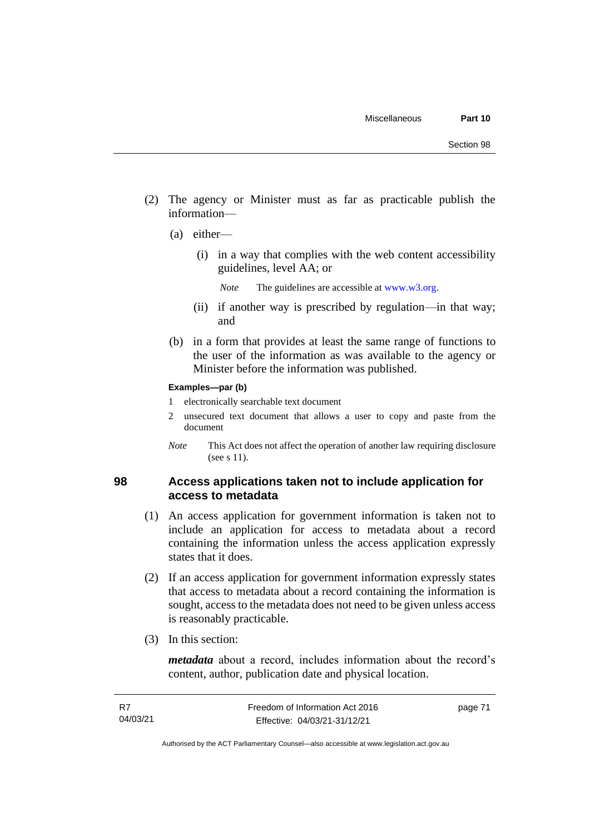- (2) The agency or Minister must as far as practicable publish the information—
	- (a) either—
		- (i) in a way that complies with the web content accessibility guidelines, level AA; or
			- *Note* The guidelines are accessible at [www.w3.org.](http://www.w3.org/)
		- (ii) if another way is prescribed by regulation—in that way; and
	- (b) in a form that provides at least the same range of functions to the user of the information as was available to the agency or Minister before the information was published.

### **Examples—par (b)**

- 1 electronically searchable text document
- 2 unsecured text document that allows a user to copy and paste from the document
- *Note* This Act does not affect the operation of another law requiring disclosure (see s 11).

## **98 Access applications taken not to include application for access to metadata**

- (1) An access application for government information is taken not to include an application for access to metadata about a record containing the information unless the access application expressly states that it does.
- (2) If an access application for government information expressly states that access to metadata about a record containing the information is sought, access to the metadata does not need to be given unless access is reasonably practicable.
- (3) In this section:

*metadata* about a record, includes information about the record's content, author, publication date and physical location.

page 71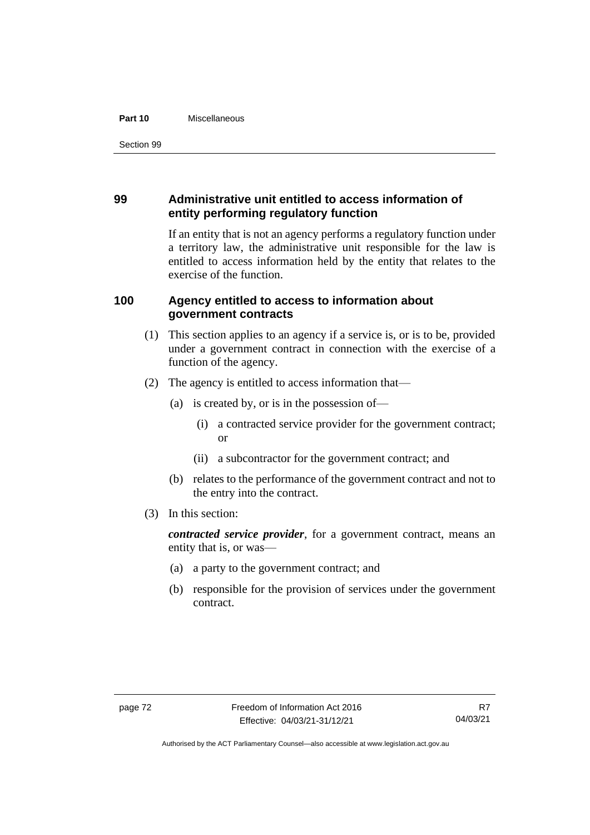### **Part 10** Miscellaneous

# **99 Administrative unit entitled to access information of entity performing regulatory function**

If an entity that is not an agency performs a regulatory function under a territory law, the administrative unit responsible for the law is entitled to access information held by the entity that relates to the exercise of the function.

# **100 Agency entitled to access to information about government contracts**

- (1) This section applies to an agency if a service is, or is to be, provided under a government contract in connection with the exercise of a function of the agency.
- (2) The agency is entitled to access information that—
	- (a) is created by, or is in the possession of—
		- (i) a contracted service provider for the government contract; or
		- (ii) a subcontractor for the government contract; and
	- (b) relates to the performance of the government contract and not to the entry into the contract.
- (3) In this section:

*contracted service provider*, for a government contract, means an entity that is, or was—

- (a) a party to the government contract; and
- (b) responsible for the provision of services under the government contract.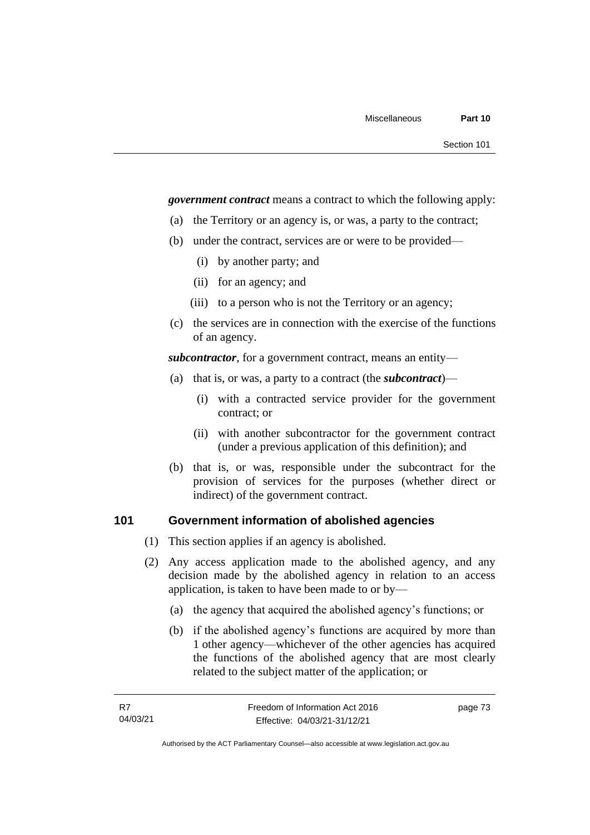*government contract* means a contract to which the following apply:

- (a) the Territory or an agency is, or was, a party to the contract;
- (b) under the contract, services are or were to be provided—
	- (i) by another party; and
	- (ii) for an agency; and
	- (iii) to a person who is not the Territory or an agency;
- (c) the services are in connection with the exercise of the functions of an agency.

*subcontractor*, for a government contract, means an entity—

- (a) that is, or was, a party to a contract (the *subcontract*)—
	- (i) with a contracted service provider for the government contract; or
	- (ii) with another subcontractor for the government contract (under a previous application of this definition); and
- (b) that is, or was, responsible under the subcontract for the provision of services for the purposes (whether direct or indirect) of the government contract.

# **101 Government information of abolished agencies**

- (1) This section applies if an agency is abolished.
- (2) Any access application made to the abolished agency, and any decision made by the abolished agency in relation to an access application, is taken to have been made to or by—
	- (a) the agency that acquired the abolished agency's functions; or
	- (b) if the abolished agency's functions are acquired by more than 1 other agency—whichever of the other agencies has acquired the functions of the abolished agency that are most clearly related to the subject matter of the application; or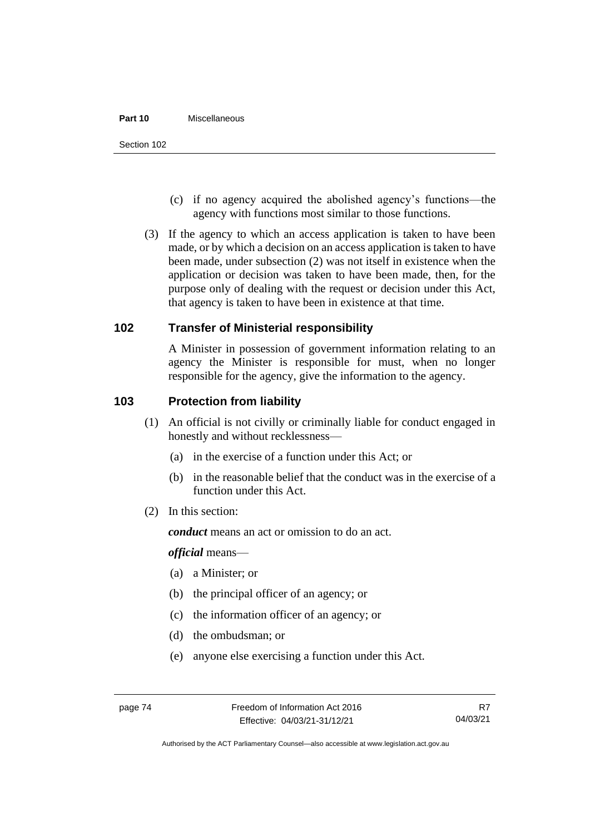#### **Part 10** Miscellaneous

- (c) if no agency acquired the abolished agency's functions—the agency with functions most similar to those functions.
- (3) If the agency to which an access application is taken to have been made, or by which a decision on an access application is taken to have been made, under subsection (2) was not itself in existence when the application or decision was taken to have been made, then, for the purpose only of dealing with the request or decision under this Act, that agency is taken to have been in existence at that time.

# **102 Transfer of Ministerial responsibility**

A Minister in possession of government information relating to an agency the Minister is responsible for must, when no longer responsible for the agency, give the information to the agency.

# **103 Protection from liability**

- (1) An official is not civilly or criminally liable for conduct engaged in honestly and without recklessness—
	- (a) in the exercise of a function under this Act; or
	- (b) in the reasonable belief that the conduct was in the exercise of a function under this Act.
- (2) In this section:

*conduct* means an act or omission to do an act.

*official* means—

- (a) a Minister; or
- (b) the principal officer of an agency; or
- (c) the information officer of an agency; or
- (d) the ombudsman; or
- (e) anyone else exercising a function under this Act.

R7 04/03/21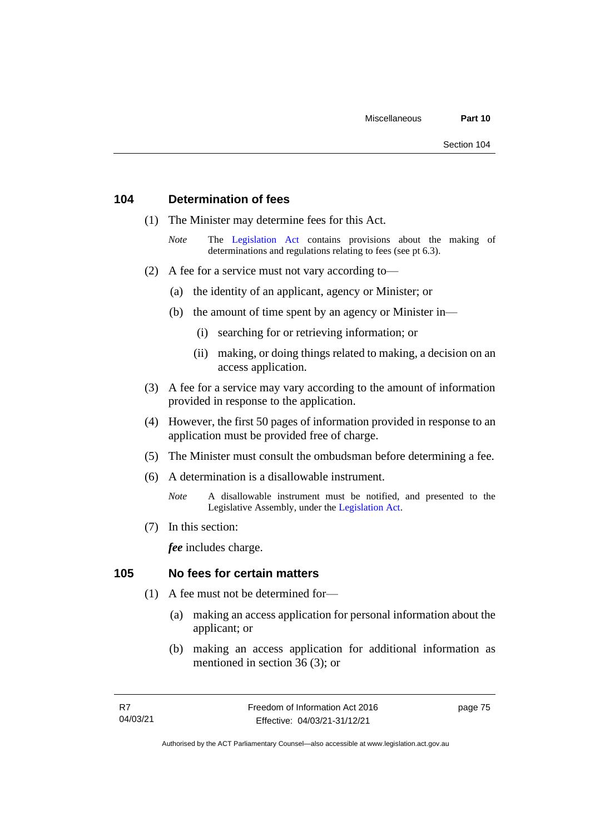# **104 Determination of fees**

- (1) The Minister may determine fees for this Act.
	- *Note* The [Legislation Act](http://www.legislation.act.gov.au/a/2001-14) contains provisions about the making of determinations and regulations relating to fees (see pt 6.3).
- (2) A fee for a service must not vary according to—
	- (a) the identity of an applicant, agency or Minister; or
	- (b) the amount of time spent by an agency or Minister in—
		- (i) searching for or retrieving information; or
		- (ii) making, or doing things related to making, a decision on an access application.
- (3) A fee for a service may vary according to the amount of information provided in response to the application.
- (4) However, the first 50 pages of information provided in response to an application must be provided free of charge.
- (5) The Minister must consult the ombudsman before determining a fee.
- (6) A determination is a disallowable instrument.
	- *Note* A disallowable instrument must be notified, and presented to the Legislative Assembly, under the [Legislation Act.](http://www.legislation.act.gov.au/a/2001-14)
- (7) In this section:

*fee* includes charge.

# **105 No fees for certain matters**

- (1) A fee must not be determined for—
	- (a) making an access application for personal information about the applicant; or
	- (b) making an access application for additional information as mentioned in section 36 (3); or

page 75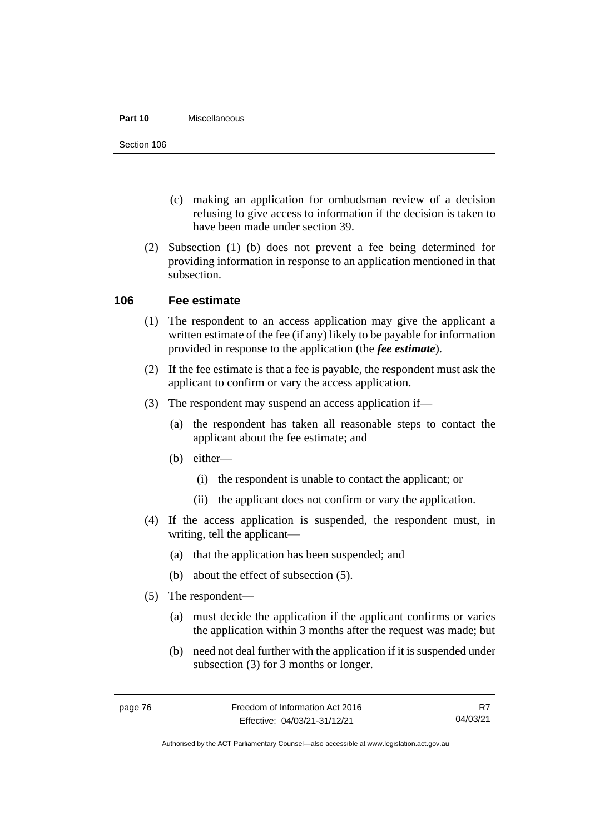### **Part 10** Miscellaneous

Section 106

- (c) making an application for ombudsman review of a decision refusing to give access to information if the decision is taken to have been made under section 39.
- (2) Subsection (1) (b) does not prevent a fee being determined for providing information in response to an application mentioned in that subsection.

# **106 Fee estimate**

- (1) The respondent to an access application may give the applicant a written estimate of the fee (if any) likely to be payable for information provided in response to the application (the *fee estimate*).
- (2) If the fee estimate is that a fee is payable, the respondent must ask the applicant to confirm or vary the access application.
- (3) The respondent may suspend an access application if—
	- (a) the respondent has taken all reasonable steps to contact the applicant about the fee estimate; and
	- (b) either—
		- (i) the respondent is unable to contact the applicant; or
		- (ii) the applicant does not confirm or vary the application.
- (4) If the access application is suspended, the respondent must, in writing, tell the applicant—
	- (a) that the application has been suspended; and
	- (b) about the effect of subsection (5).
- (5) The respondent—
	- (a) must decide the application if the applicant confirms or varies the application within 3 months after the request was made; but
	- (b) need not deal further with the application if it is suspended under subsection (3) for 3 months or longer.

R7 04/03/21

Authorised by the ACT Parliamentary Counsel—also accessible at www.legislation.act.gov.au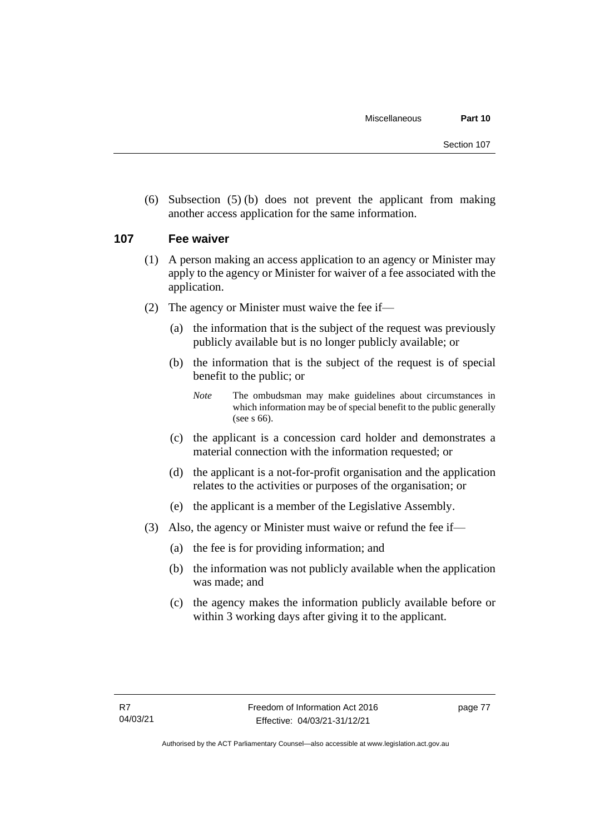(6) Subsection (5) (b) does not prevent the applicant from making another access application for the same information.

# **107 Fee waiver**

- (1) A person making an access application to an agency or Minister may apply to the agency or Minister for waiver of a fee associated with the application.
- (2) The agency or Minister must waive the fee if—
	- (a) the information that is the subject of the request was previously publicly available but is no longer publicly available; or
	- (b) the information that is the subject of the request is of special benefit to the public; or

- (c) the applicant is a concession card holder and demonstrates a material connection with the information requested; or
- (d) the applicant is a not-for-profit organisation and the application relates to the activities or purposes of the organisation; or
- (e) the applicant is a member of the Legislative Assembly.
- (3) Also, the agency or Minister must waive or refund the fee if—
	- (a) the fee is for providing information; and
	- (b) the information was not publicly available when the application was made; and
	- (c) the agency makes the information publicly available before or within 3 working days after giving it to the applicant.

*Note* The ombudsman may make guidelines about circumstances in which information may be of special benefit to the public generally (see s 66).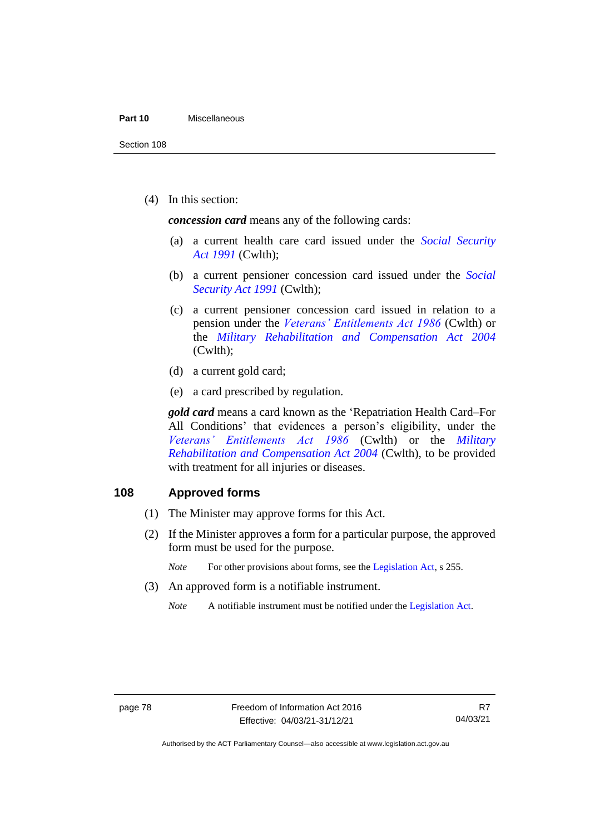#### **Part 10** Miscellaneous

Section 108

(4) In this section:

*concession card* means any of the following cards:

- (a) a current health care card issued under the *[Social Security](http://www.comlaw.gov.au/Details/C2013C00081)  Act [1991](http://www.comlaw.gov.au/Details/C2013C00081)* (Cwlth);
- (b) a current pensioner concession card issued under the *[Social](http://www.comlaw.gov.au/Details/C2013C00081)  [Security Act](http://www.comlaw.gov.au/Details/C2013C00081) 1991* (Cwlth);
- (c) a current pensioner concession card issued in relation to a pension under the *[Veterans' Entitlements Act 1986](https://www.legislation.gov.au/Series/C2004A03268)* (Cwlth) or the *[Military Rehabilitation and Compensation Act 2004](https://www.legislation.gov.au/Series/C2004A01285)* (Cwlth);
- (d) a current gold card;
- (e) a card prescribed by regulation.

*gold card* means a card known as the 'Repatriation Health Card–For All Conditions' that evidences a person's eligibility, under the *[Veterans' Entitlements Act 1986](https://www.legislation.gov.au/Series/C2004A03268)* (Cwlth) or the *[Military](https://www.legislation.gov.au/Series/C2004A01285)  Rehabilitation [and Compensation Act 2004](https://www.legislation.gov.au/Series/C2004A01285)* (Cwlth), to be provided with treatment for all injuries or diseases.

# **108 Approved forms**

- (1) The Minister may approve forms for this Act.
- (2) If the Minister approves a form for a particular purpose, the approved form must be used for the purpose.
	- *Note* For other provisions about forms, see the [Legislation Act,](http://www.legislation.act.gov.au/a/2001-14) s 255.
- (3) An approved form is a notifiable instrument.
	- *Note* A notifiable instrument must be notified under the [Legislation Act.](http://www.legislation.act.gov.au/a/2001-14)

Authorised by the ACT Parliamentary Counsel—also accessible at www.legislation.act.gov.au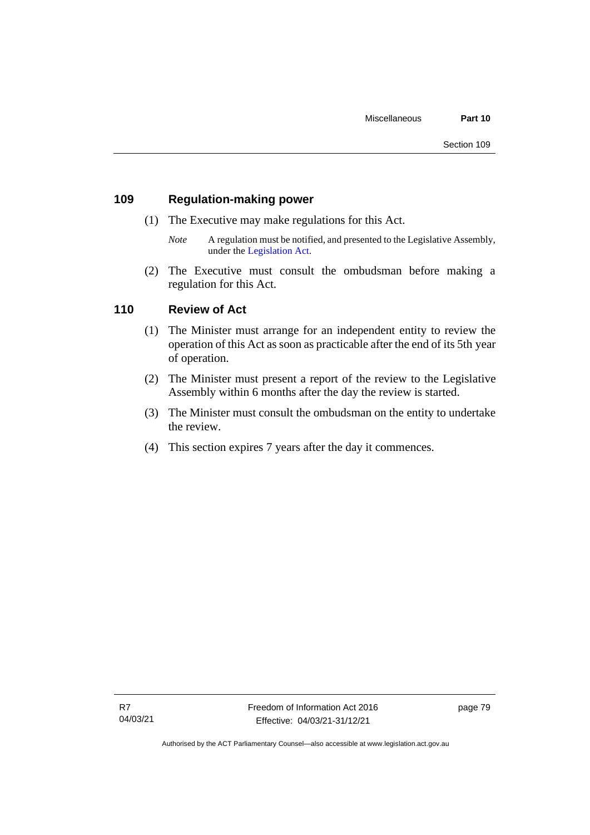# **109 Regulation-making power**

- (1) The Executive may make regulations for this Act.
	- *Note* A regulation must be notified, and presented to the Legislative Assembly, under the [Legislation Act.](http://www.legislation.act.gov.au/a/2001-14)
- (2) The Executive must consult the ombudsman before making a regulation for this Act.

# **110 Review of Act**

- (1) The Minister must arrange for an independent entity to review the operation of this Act as soon as practicable after the end of its 5th year of operation.
- (2) The Minister must present a report of the review to the Legislative Assembly within 6 months after the day the review is started.
- (3) The Minister must consult the ombudsman on the entity to undertake the review.
- (4) This section expires 7 years after the day it commences.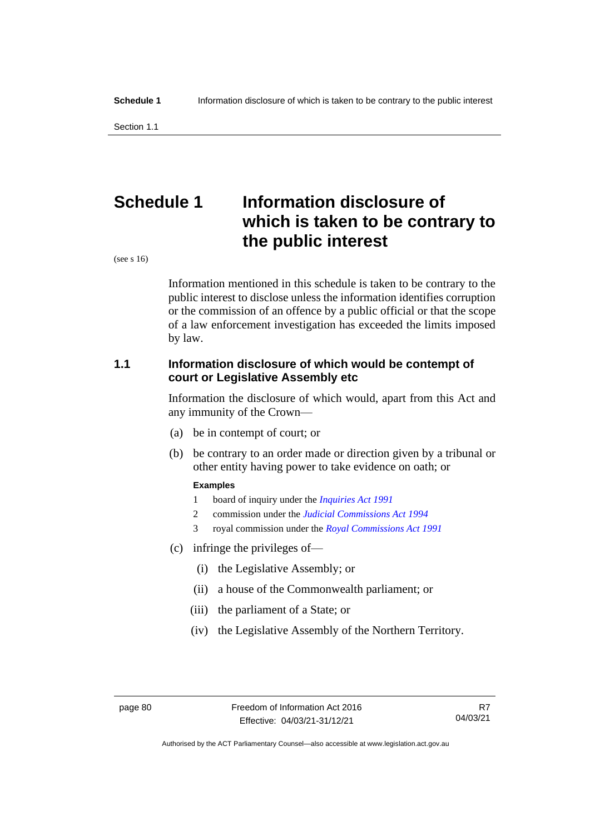Section 1.1

# **Schedule 1 Information disclosure of which is taken to be contrary to the public interest**

(see s 16)

Information mentioned in this schedule is taken to be contrary to the public interest to disclose unless the information identifies corruption or the commission of an offence by a public official or that the scope of a law enforcement investigation has exceeded the limits imposed by law.

# **1.1 Information disclosure of which would be contempt of court or Legislative Assembly etc**

Information the disclosure of which would, apart from this Act and any immunity of the Crown—

- (a) be in contempt of court; or
- (b) be contrary to an order made or direction given by a tribunal or other entity having power to take evidence on oath; or

## **Examples**

- 1 board of inquiry under the *[Inquiries Act 1991](http://www.legislation.act.gov.au/a/1991-2)*
- 2 commission under the *[Judicial Commissions Act 1994](http://www.legislation.act.gov.au/a/1994-9)*
- 3 royal commission under the *[Royal Commissions Act 1991](http://www.legislation.act.gov.au/a/1991-1)*
- (c) infringe the privileges of—
	- (i) the Legislative Assembly; or
	- (ii) a house of the Commonwealth parliament; or
	- (iii) the parliament of a State; or
	- (iv) the Legislative Assembly of the Northern Territory.

Authorised by the ACT Parliamentary Counsel—also accessible at www.legislation.act.gov.au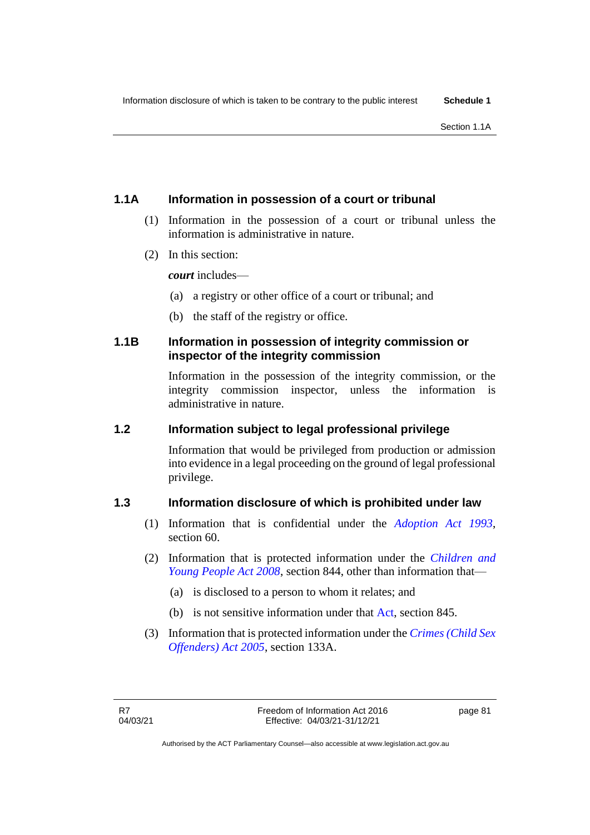# **1.1A Information in possession of a court or tribunal**

- (1) Information in the possession of a court or tribunal unless the information is administrative in nature.
- (2) In this section:

*court* includes—

- (a) a registry or other office of a court or tribunal; and
- (b) the staff of the registry or office.

# **1.1B Information in possession of integrity commission or inspector of the integrity commission**

Information in the possession of the integrity commission, or the integrity commission inspector, unless the information is administrative in nature.

# **1.2 Information subject to legal professional privilege**

Information that would be privileged from production or admission into evidence in a legal proceeding on the ground of legal professional privilege.

# **1.3 Information disclosure of which is prohibited under law**

- (1) Information that is confidential under the *[Adoption Act 1993](http://www.legislation.act.gov.au/a/1993-20)*, section 60.
- (2) Information that is protected information under the *[Children and](http://www.legislation.act.gov.au/a/2008-19)  [Young People Act 2008](http://www.legislation.act.gov.au/a/2008-19)*, section 844, other than information that—
	- (a) is disclosed to a person to whom it relates; and
	- (b) is not sensitive information under that [Act,](https://www.legislation.act.gov.au/a/2008-19) section 845.
- (3) Information that is protected information under the *[Crimes \(Child Sex](http://www.legislation.act.gov.au/a/2005-30)  [Offenders\) Act 2005](http://www.legislation.act.gov.au/a/2005-30)*, section 133A.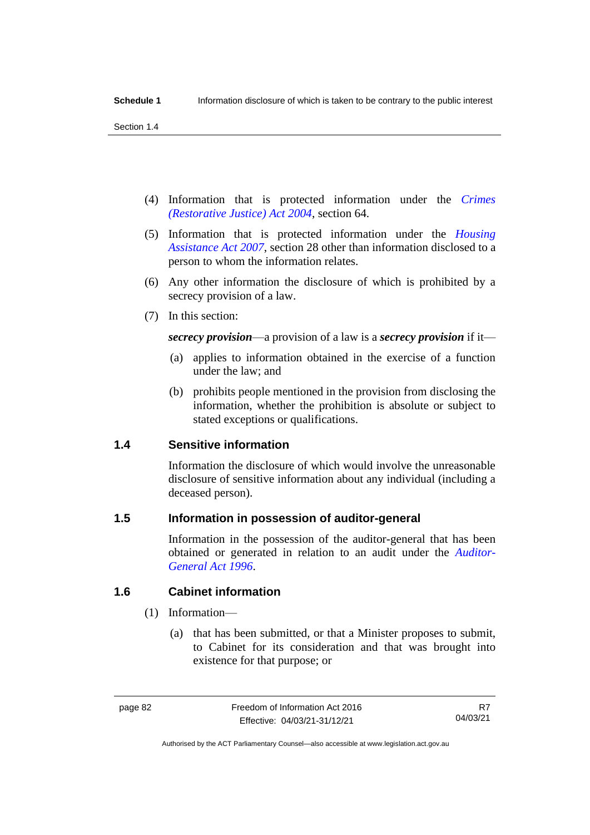Section 1.4

- (4) Information that is protected information under the *[Crimes](http://www.legislation.act.gov.au/a/2004-65)  [\(Restorative Justice\) Act 2004](http://www.legislation.act.gov.au/a/2004-65)*, section 64.
- (5) Information that is protected information under the *[Housing](http://www.legislation.act.gov.au/a/2007-8)  [Assistance Act 2007](http://www.legislation.act.gov.au/a/2007-8)*, section 28 other than information disclosed to a person to whom the information relates.
- (6) Any other information the disclosure of which is prohibited by a secrecy provision of a law.
- (7) In this section:

*secrecy provision*—a provision of a law is a *secrecy provision* if it—

- (a) applies to information obtained in the exercise of a function under the law; and
- (b) prohibits people mentioned in the provision from disclosing the information, whether the prohibition is absolute or subject to stated exceptions or qualifications.

# **1.4 Sensitive information**

Information the disclosure of which would involve the unreasonable disclosure of sensitive information about any individual (including a deceased person).

# **1.5 Information in possession of auditor-general**

Information in the possession of the auditor-general that has been obtained or generated in relation to an audit under the *[Auditor-](http://www.legislation.act.gov.au/a/1996-23)[General Act 1996](http://www.legislation.act.gov.au/a/1996-23)*.

# **1.6 Cabinet information**

### (1) Information—

(a) that has been submitted, or that a Minister proposes to submit, to Cabinet for its consideration and that was brought into existence for that purpose; or

R7 04/03/21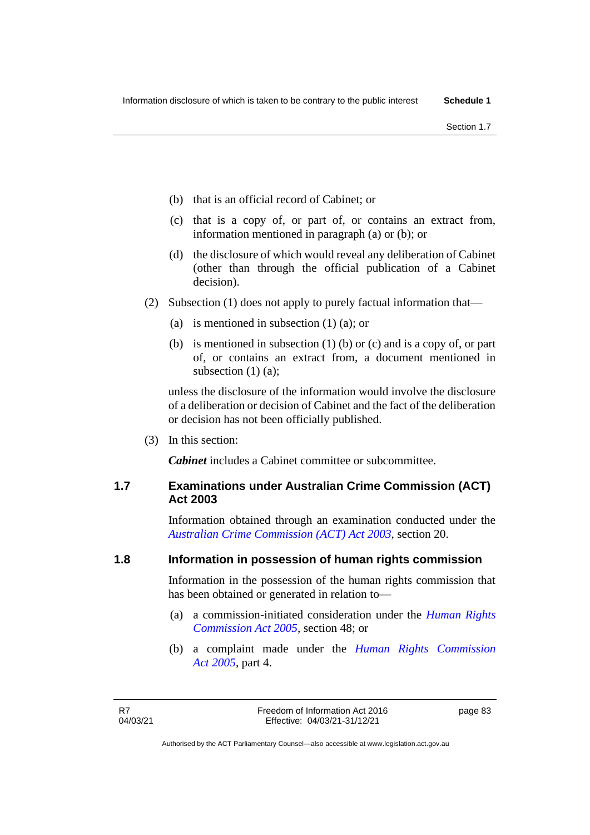- (b) that is an official record of Cabinet; or
- (c) that is a copy of, or part of, or contains an extract from, information mentioned in paragraph (a) or (b); or
- (d) the disclosure of which would reveal any deliberation of Cabinet (other than through the official publication of a Cabinet decision).
- (2) Subsection (1) does not apply to purely factual information that—
	- (a) is mentioned in subsection (1) (a); or
	- (b) is mentioned in subsection (1) (b) or (c) and is a copy of, or part of, or contains an extract from, a document mentioned in subsection (1) (a):

unless the disclosure of the information would involve the disclosure of a deliberation or decision of Cabinet and the fact of the deliberation or decision has not been officially published.

(3) In this section:

*Cabinet* includes a Cabinet committee or subcommittee.

# **1.7 Examinations under Australian Crime Commission (ACT) Act 2003**

Information obtained through an examination conducted under the *[Australian Crime Commission \(ACT\) Act 2003](http://www.legislation.act.gov.au/a/2003-58)*, section 20.

### **1.8 Information in possession of human rights commission**

Information in the possession of the human rights commission that has been obtained or generated in relation to—

- (a) a commission-initiated consideration under the *[Human Rights](http://www.legislation.act.gov.au/a/2005-40)  [Commission Act 2005](http://www.legislation.act.gov.au/a/2005-40)*, section 48; or
- (b) a complaint made under the *[Human Rights Commission](http://www.legislation.act.gov.au/a/2005-40)  Act [2005](http://www.legislation.act.gov.au/a/2005-40)*, part 4.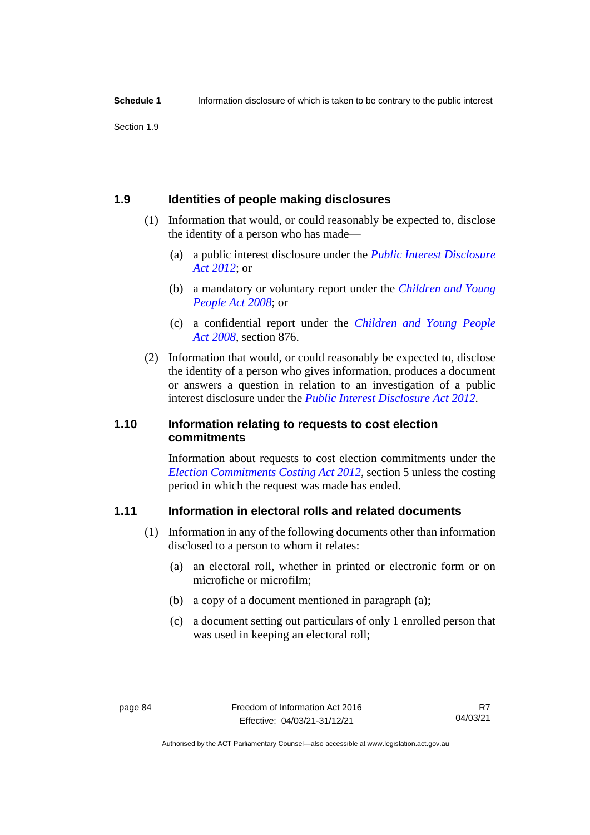Section 1.9

# **1.9 Identities of people making disclosures**

- (1) Information that would, or could reasonably be expected to, disclose the identity of a person who has made—
	- (a) a public interest disclosure under the *[Public Interest Disclosure](http://www.legislation.act.gov.au/a/2012-43)  [Act 2012](http://www.legislation.act.gov.au/a/2012-43)*; or
	- (b) a mandatory or voluntary report under the *[Children and Young](http://www.legislation.act.gov.au/a/2008-19)  [People Act](http://www.legislation.act.gov.au/a/2008-19) 2008*; or
	- (c) a confidential report under the *[Children and Young People](http://www.legislation.act.gov.au/a/2008-19)  Act [2008](http://www.legislation.act.gov.au/a/2008-19)*, section 876.
- (2) Information that would, or could reasonably be expected to, disclose the identity of a person who gives information, produces a document or answers a question in relation to an investigation of a public interest disclosure under the *[Public Interest Disclosure Act](http://www.legislation.act.gov.au/a/2012-43) 2012.*

# **1.10 Information relating to requests to cost election commitments**

Information about requests to cost election commitments under the *[Election Commitments Costing Act 2012](http://www.legislation.act.gov.au/a/2012-47)*, section 5 unless the costing period in which the request was made has ended.

# **1.11 Information in electoral rolls and related documents**

- (1) Information in any of the following documents other than information disclosed to a person to whom it relates:
	- (a) an electoral roll, whether in printed or electronic form or on microfiche or microfilm;
	- (b) a copy of a document mentioned in paragraph (a);
	- (c) a document setting out particulars of only 1 enrolled person that was used in keeping an electoral roll:

R7 04/03/21

Authorised by the ACT Parliamentary Counsel—also accessible at www.legislation.act.gov.au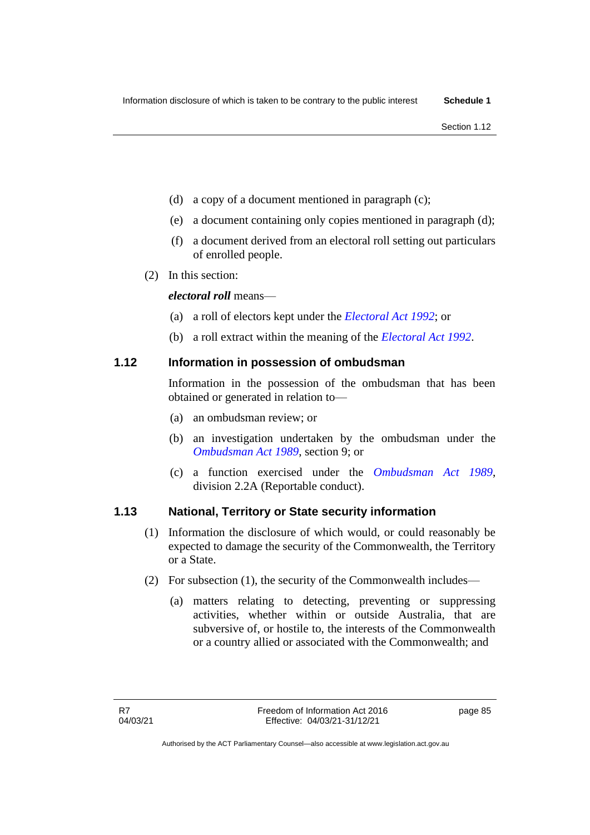- (d) a copy of a document mentioned in paragraph (c);
- (e) a document containing only copies mentioned in paragraph (d);
- (f) a document derived from an electoral roll setting out particulars of enrolled people.
- (2) In this section:

*electoral roll* means—

- (a) a roll of electors kept under the *[Electoral Act 1992](http://www.legislation.act.gov.au/a/1992-71)*; or
- (b) a roll extract within the meaning of the *[Electoral Act 1992](http://www.legislation.act.gov.au/a/1992-71)*.

# **1.12 Information in possession of ombudsman**

Information in the possession of the ombudsman that has been obtained or generated in relation to—

- (a) an ombudsman review; or
- (b) an investigation undertaken by the ombudsman under the *[Ombudsman Act 1989](http://www.legislation.act.gov.au/a/alt_a1989-45co)*, section 9; or
- (c) a function exercised under the *[Ombudsman Act 1989](http://www.legislation.act.gov.au/a/alt_a1989-45co)*, division 2.2A (Reportable conduct).

# **1.13 National, Territory or State security information**

- (1) Information the disclosure of which would, or could reasonably be expected to damage the security of the Commonwealth, the Territory or a State.
- (2) For subsection (1), the security of the Commonwealth includes—
	- (a) matters relating to detecting, preventing or suppressing activities, whether within or outside Australia, that are subversive of, or hostile to, the interests of the Commonwealth or a country allied or associated with the Commonwealth; and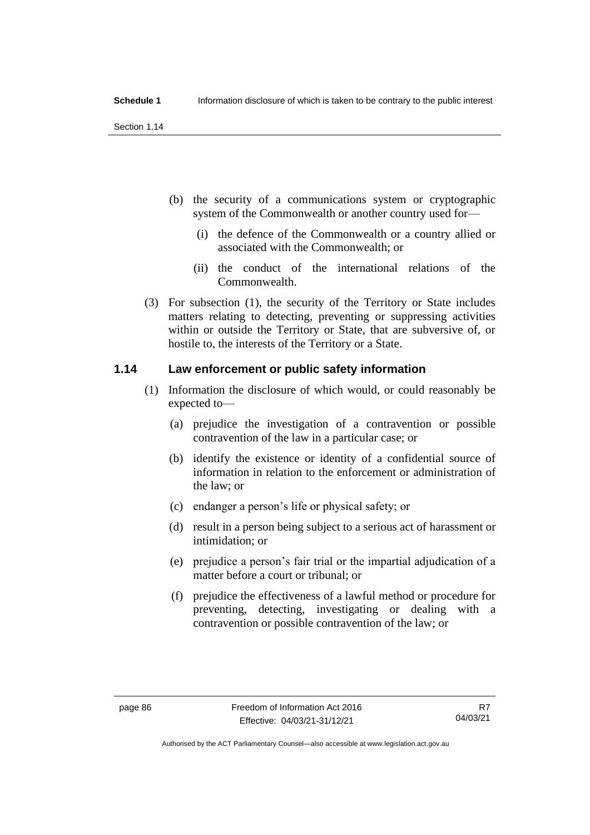Section 1.14

- (b) the security of a communications system or cryptographic system of the Commonwealth or another country used for—
	- (i) the defence of the Commonwealth or a country allied or associated with the Commonwealth; or
	- (ii) the conduct of the international relations of the Commonwealth.
- (3) For subsection (1), the security of the Territory or State includes matters relating to detecting, preventing or suppressing activities within or outside the Territory or State, that are subversive of, or hostile to, the interests of the Territory or a State.

# **1.14 Law enforcement or public safety information**

- (1) Information the disclosure of which would, or could reasonably be expected to—
	- (a) prejudice the investigation of a contravention or possible contravention of the law in a particular case; or
	- (b) identify the existence or identity of a confidential source of information in relation to the enforcement or administration of the law; or
	- (c) endanger a person's life or physical safety; or
	- (d) result in a person being subject to a serious act of harassment or intimidation; or
	- (e) prejudice a person's fair trial or the impartial adjudication of a matter before a court or tribunal; or
	- (f) prejudice the effectiveness of a lawful method or procedure for preventing, detecting, investigating or dealing with a contravention or possible contravention of the law; or

Authorised by the ACT Parliamentary Counsel—also accessible at www.legislation.act.gov.au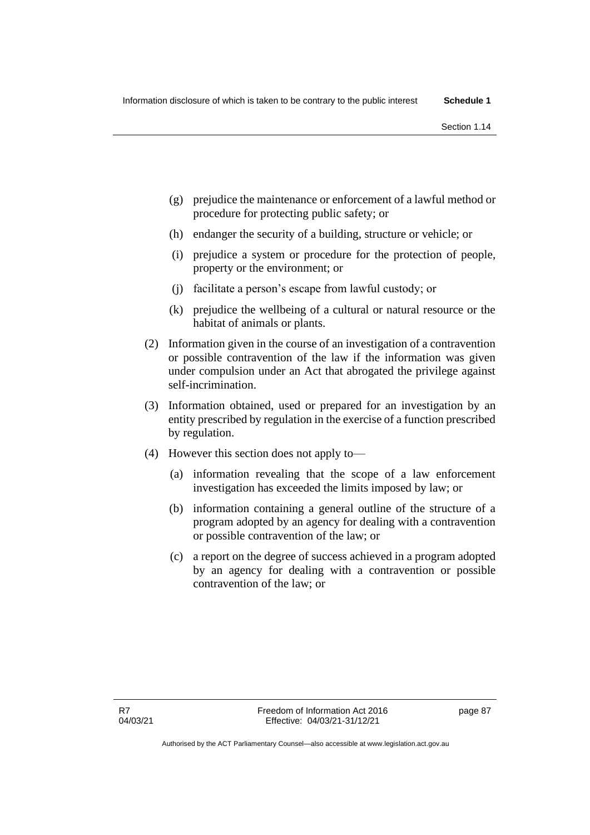- (g) prejudice the maintenance or enforcement of a lawful method or procedure for protecting public safety; or
- (h) endanger the security of a building, structure or vehicle; or
- (i) prejudice a system or procedure for the protection of people, property or the environment; or
- (j) facilitate a person's escape from lawful custody; or
- (k) prejudice the wellbeing of a cultural or natural resource or the habitat of animals or plants.
- (2) Information given in the course of an investigation of a contravention or possible contravention of the law if the information was given under compulsion under an Act that abrogated the privilege against self-incrimination.
- (3) Information obtained, used or prepared for an investigation by an entity prescribed by regulation in the exercise of a function prescribed by regulation.
- (4) However this section does not apply to—
	- (a) information revealing that the scope of a law enforcement investigation has exceeded the limits imposed by law; or
	- (b) information containing a general outline of the structure of a program adopted by an agency for dealing with a contravention or possible contravention of the law; or
	- (c) a report on the degree of success achieved in a program adopted by an agency for dealing with a contravention or possible contravention of the law; or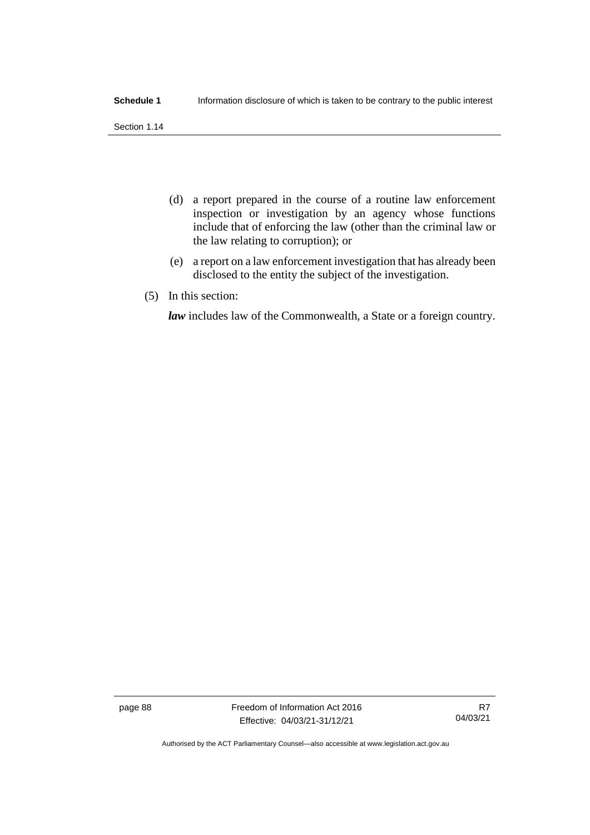Section 1.14

- (d) a report prepared in the course of a routine law enforcement inspection or investigation by an agency whose functions include that of enforcing the law (other than the criminal law or the law relating to corruption); or
- (e) a report on a law enforcement investigation that has already been disclosed to the entity the subject of the investigation.
- (5) In this section:

*law* includes law of the Commonwealth, a State or a foreign country.

page 88 Freedom of Information Act 2016 Effective: 04/03/21-31/12/21

R7 04/03/21

Authorised by the ACT Parliamentary Counsel—also accessible at www.legislation.act.gov.au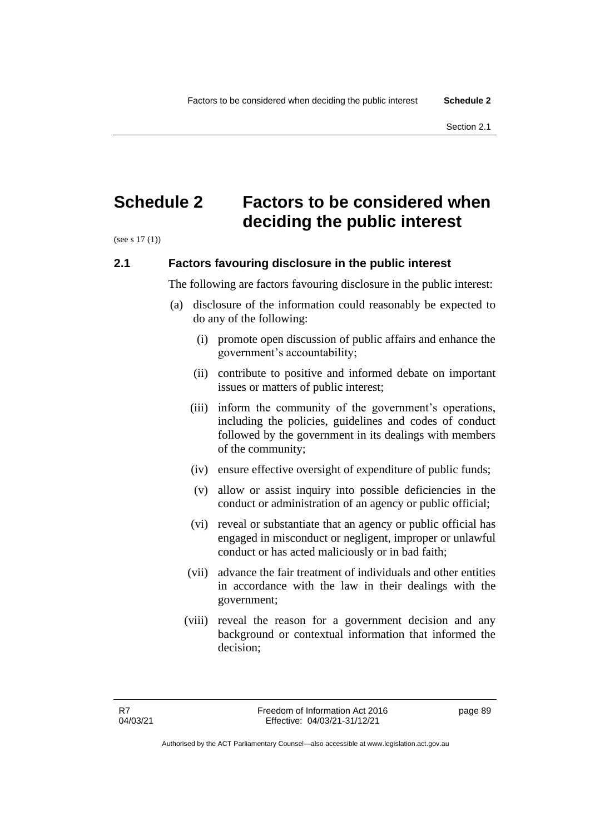Section 2.1

# **Schedule 2 Factors to be considered when deciding the public interest**

(see s 17 (1))

# **2.1 Factors favouring disclosure in the public interest**

The following are factors favouring disclosure in the public interest:

- (a) disclosure of the information could reasonably be expected to do any of the following:
	- (i) promote open discussion of public affairs and enhance the government's accountability;
	- (ii) contribute to positive and informed debate on important issues or matters of public interest;
	- (iii) inform the community of the government's operations, including the policies, guidelines and codes of conduct followed by the government in its dealings with members of the community;
	- (iv) ensure effective oversight of expenditure of public funds;
	- (v) allow or assist inquiry into possible deficiencies in the conduct or administration of an agency or public official;
	- (vi) reveal or substantiate that an agency or public official has engaged in misconduct or negligent, improper or unlawful conduct or has acted maliciously or in bad faith;
	- (vii) advance the fair treatment of individuals and other entities in accordance with the law in their dealings with the government;
	- (viii) reveal the reason for a government decision and any background or contextual information that informed the decision;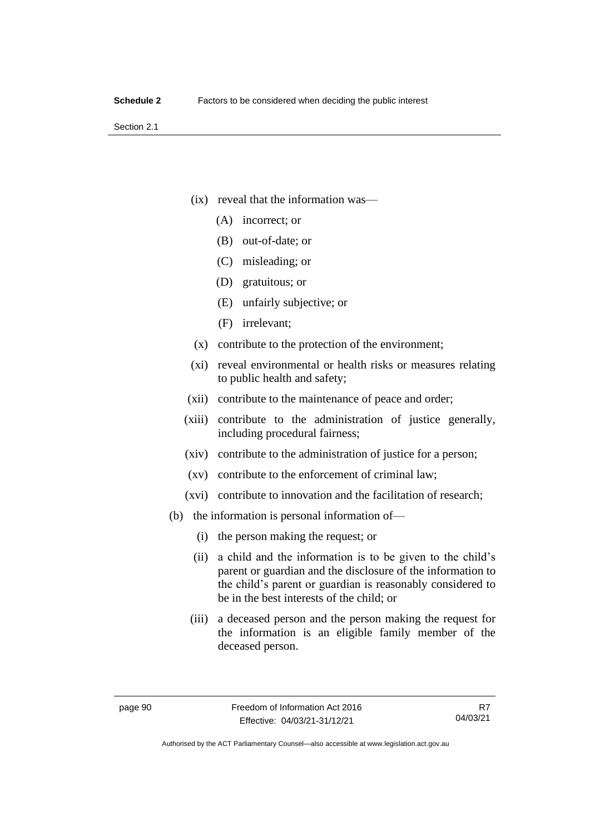Section 2.1

- (ix) reveal that the information was—
	- (A) incorrect; or
	- (B) out-of-date; or
	- (C) misleading; or
	- (D) gratuitous; or
	- (E) unfairly subjective; or
	- (F) irrelevant;
- (x) contribute to the protection of the environment;
- (xi) reveal environmental or health risks or measures relating to public health and safety;
- (xii) contribute to the maintenance of peace and order;
- (xiii) contribute to the administration of justice generally, including procedural fairness;
- (xiv) contribute to the administration of justice for a person;
- (xv) contribute to the enforcement of criminal law;
- (xvi) contribute to innovation and the facilitation of research;
- (b) the information is personal information of—
	- (i) the person making the request; or
	- (ii) a child and the information is to be given to the child's parent or guardian and the disclosure of the information to the child's parent or guardian is reasonably considered to be in the best interests of the child; or
	- (iii) a deceased person and the person making the request for the information is an eligible family member of the deceased person.

R7 04/03/21

Authorised by the ACT Parliamentary Counsel—also accessible at www.legislation.act.gov.au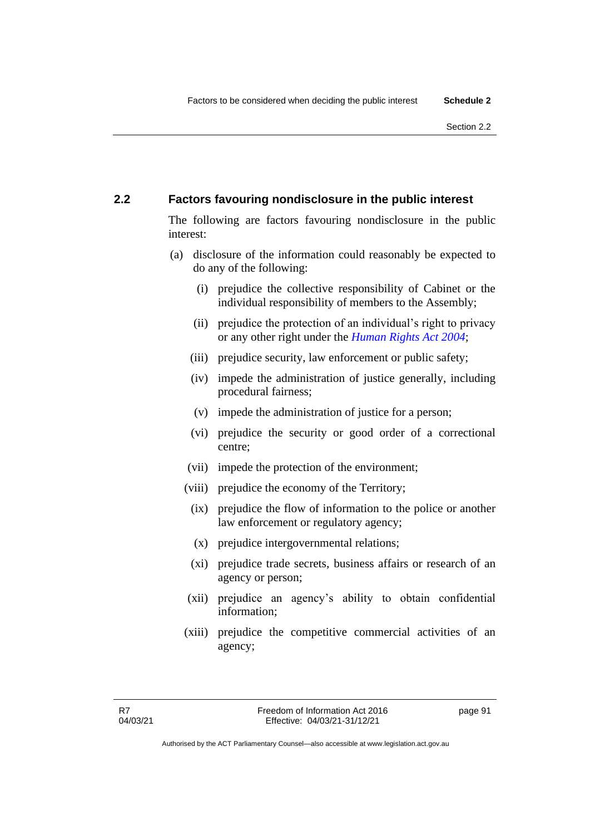# **2.2 Factors favouring nondisclosure in the public interest**

The following are factors favouring nondisclosure in the public interest:

- (a) disclosure of the information could reasonably be expected to do any of the following:
	- (i) prejudice the collective responsibility of Cabinet or the individual responsibility of members to the Assembly;
	- (ii) prejudice the protection of an individual's right to privacy or any other right under the *[Human Rights Act](http://www.legislation.act.gov.au/a/2004-5) 2004*;
	- (iii) prejudice security, law enforcement or public safety;
	- (iv) impede the administration of justice generally, including procedural fairness;
	- (v) impede the administration of justice for a person;
	- (vi) prejudice the security or good order of a correctional centre;
	- (vii) impede the protection of the environment;
	- (viii) prejudice the economy of the Territory;
		- (ix) prejudice the flow of information to the police or another law enforcement or regulatory agency;
		- (x) prejudice intergovernmental relations;
		- (xi) prejudice trade secrets, business affairs or research of an agency or person;
	- (xii) prejudice an agency's ability to obtain confidential information;
	- (xiii) prejudice the competitive commercial activities of an agency;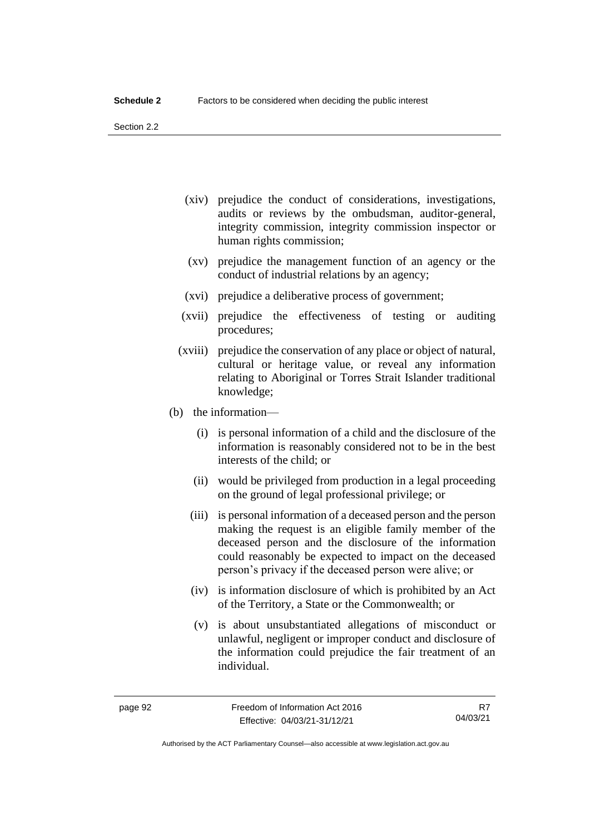Section 2.2

- (xiv) prejudice the conduct of considerations, investigations, audits or reviews by the ombudsman, auditor-general, integrity commission, integrity commission inspector or human rights commission;
- (xv) prejudice the management function of an agency or the conduct of industrial relations by an agency;
- (xvi) prejudice a deliberative process of government;
- (xvii) prejudice the effectiveness of testing or auditing procedures;
- (xviii) prejudice the conservation of any place or object of natural, cultural or heritage value, or reveal any information relating to Aboriginal or Torres Strait Islander traditional knowledge;
- (b) the information—
	- (i) is personal information of a child and the disclosure of the information is reasonably considered not to be in the best interests of the child; or
	- (ii) would be privileged from production in a legal proceeding on the ground of legal professional privilege; or
	- (iii) is personal information of a deceased person and the person making the request is an eligible family member of the deceased person and the disclosure of the information could reasonably be expected to impact on the deceased person's privacy if the deceased person were alive; or
	- (iv) is information disclosure of which is prohibited by an Act of the Territory, a State or the Commonwealth; or
	- (v) is about unsubstantiated allegations of misconduct or unlawful, negligent or improper conduct and disclosure of the information could prejudice the fair treatment of an individual.

R7 04/03/21

Authorised by the ACT Parliamentary Counsel—also accessible at www.legislation.act.gov.au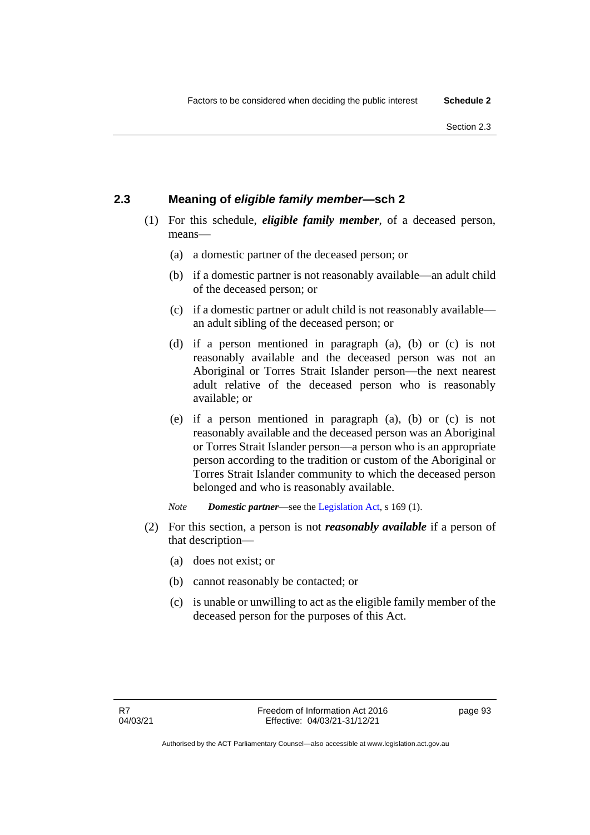# **2.3 Meaning of** *eligible family member***—sch 2**

- (1) For this schedule, *eligible family member*, of a deceased person, means—
	- (a) a domestic partner of the deceased person; or
	- (b) if a domestic partner is not reasonably available—an adult child of the deceased person; or
	- (c) if a domestic partner or adult child is not reasonably available an adult sibling of the deceased person; or
	- (d) if a person mentioned in paragraph (a), (b) or (c) is not reasonably available and the deceased person was not an Aboriginal or Torres Strait Islander person—the next nearest adult relative of the deceased person who is reasonably available; or
	- (e) if a person mentioned in paragraph (a), (b) or (c) is not reasonably available and the deceased person was an Aboriginal or Torres Strait Islander person—a person who is an appropriate person according to the tradition or custom of the Aboriginal or Torres Strait Islander community to which the deceased person belonged and who is reasonably available.
	- *Note Domestic partner*—see the [Legislation Act,](http://www.legislation.act.gov.au/a/2001-14) s 169 (1).
- (2) For this section, a person is not *reasonably available* if a person of that description—
	- (a) does not exist; or
	- (b) cannot reasonably be contacted; or
	- (c) is unable or unwilling to act as the eligible family member of the deceased person for the purposes of this Act.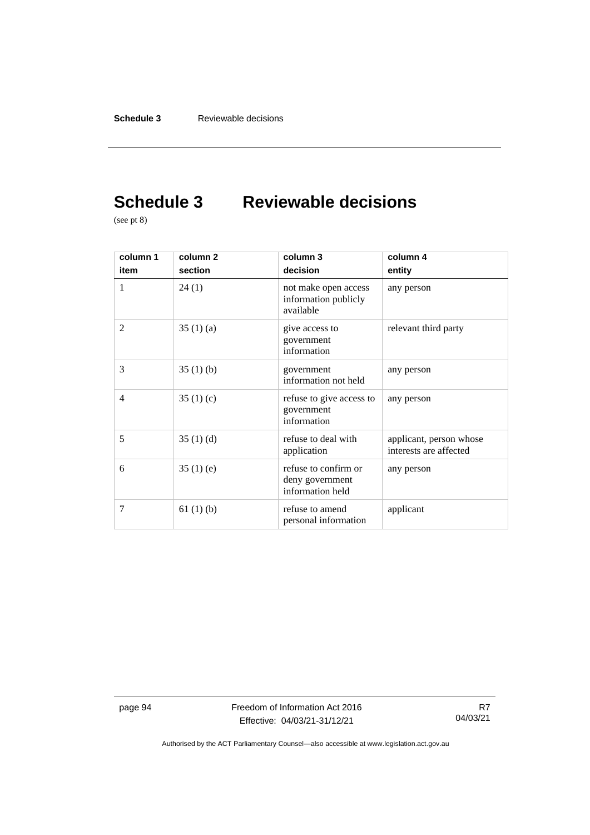# **Schedule 3 Reviewable decisions**

(see pt 8)

| column 1<br>item | column 2<br>section | column 3<br>decision                                        | column 4<br>entity                                |
|------------------|---------------------|-------------------------------------------------------------|---------------------------------------------------|
| 1                | 24(1)               | not make open access<br>information publicly<br>available   | any person                                        |
| $\overline{2}$   | 35(1)(a)            | give access to<br>government<br>information                 | relevant third party                              |
| 3                | 35(1)(b)            | government<br>information not held                          | any person                                        |
| 4                | 35(1)(c)            | refuse to give access to<br>government<br>information       | any person                                        |
| 5                | 35 $(1)$ $(d)$      | refuse to deal with<br>application                          | applicant, person whose<br>interests are affected |
| 6                | 35(1)(e)            | refuse to confirm or<br>deny government<br>information held | any person                                        |
| 7                | 61(1)(b)            | refuse to amend<br>personal information                     | applicant                                         |

page 94 Freedom of Information Act 2016 Effective: 04/03/21-31/12/21

R7 04/03/21

Authorised by the ACT Parliamentary Counsel—also accessible at www.legislation.act.gov.au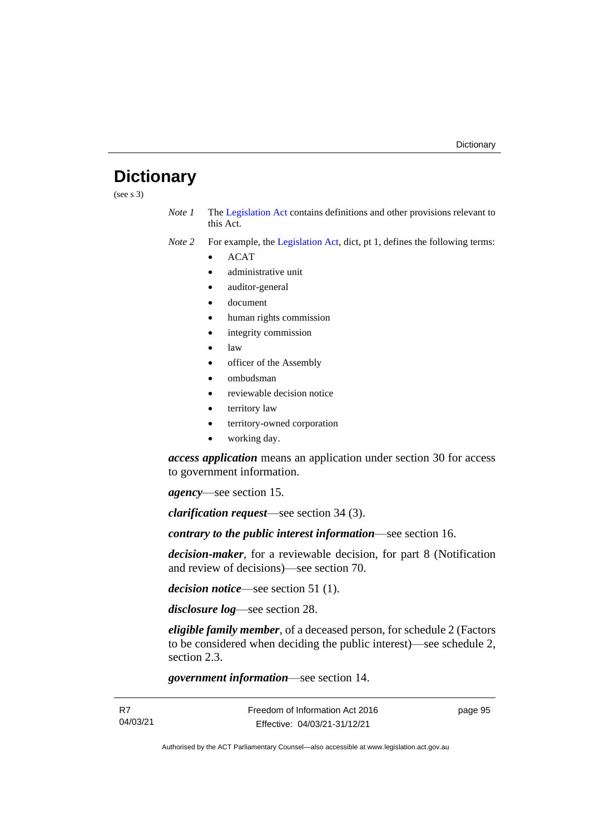# **Dictionary**

(see s 3)

*Note 1* The [Legislation Act](http://www.legislation.act.gov.au/a/2001-14) contains definitions and other provisions relevant to this Act.

*Note 2* For example, the [Legislation Act,](http://www.legislation.act.gov.au/a/2001-14) dict, pt 1, defines the following terms:

- ACAT
- administrative unit
- auditor-general
- document
- human rights commission
- integrity commission
- law
- officer of the Assembly
- ombudsman
- reviewable decision notice
- territory law
- territory-owned corporation
- working day.

*access application* means an application under section 30 for access to government information.

*agency*—see section 15.

*clarification request*—see section 34 (3).

*contrary to the public interest information*—see section 16.

*decision-maker*, for a reviewable decision, for part 8 (Notification and review of decisions)—see section 70.

*decision notice*—see section 51 (1).

*disclosure log*—see section 28.

*eligible family member*, of a deceased person, for schedule 2 (Factors to be considered when deciding the public interest)—see schedule 2, section 2.3.

*government information*—see section 14.

page 95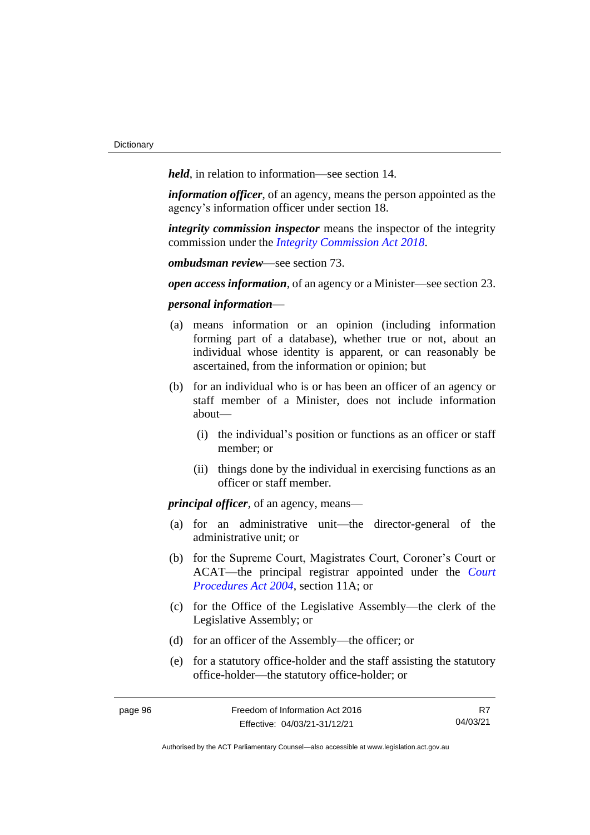*held*, in relation to information—see section 14.

*information officer*, of an agency, means the person appointed as the agency's information officer under section 18.

*integrity commission inspector* means the inspector of the integrity commission under the *[Integrity Commission Act](http://www.legislation.act.gov.au/a/2018-52%20/default.asp) 2018*.

*ombudsman review*—see section 73.

*open access information*, of an agency or a Minister—see section 23.

### *personal information*—

- (a) means information or an opinion (including information forming part of a database), whether true or not, about an individual whose identity is apparent, or can reasonably be ascertained, from the information or opinion; but
- (b) for an individual who is or has been an officer of an agency or staff member of a Minister, does not include information about—
	- (i) the individual's position or functions as an officer or staff member; or
	- (ii) things done by the individual in exercising functions as an officer or staff member.

*principal officer*, of an agency, means—

- (a) for an administrative unit—the director-general of the administrative unit; or
- (b) for the Supreme Court, Magistrates Court, Coroner's Court or ACAT—the principal registrar appointed under the *[Court](http://www.legislation.act.gov.au/a/2004-59)  [Procedures Act 2004](http://www.legislation.act.gov.au/a/2004-59)*, section 11A; or
- (c) for the Office of the Legislative Assembly—the clerk of the Legislative Assembly; or
- (d) for an officer of the Assembly—the officer; or
- (e) for a statutory office-holder and the staff assisting the statutory office-holder—the statutory office-holder; or

Authorised by the ACT Parliamentary Counsel—also accessible at www.legislation.act.gov.au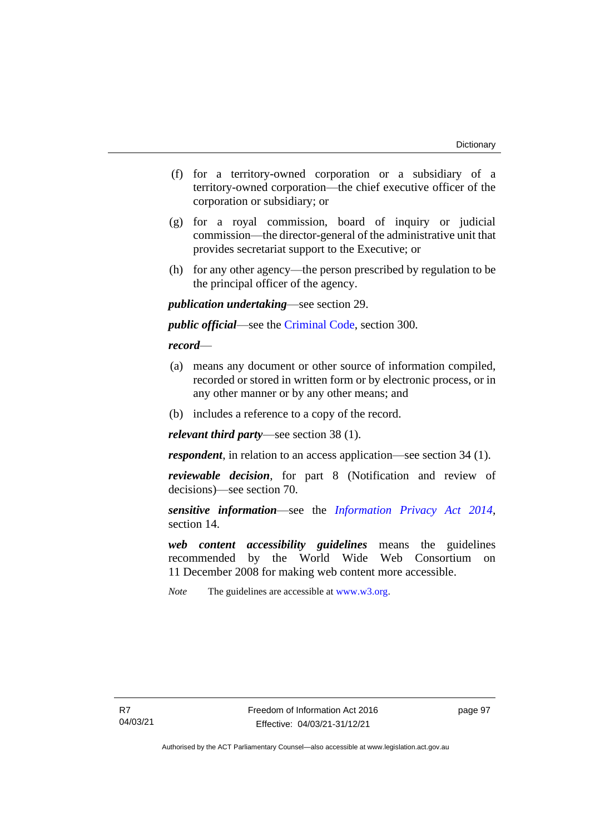- (f) for a territory-owned corporation or a subsidiary of a territory-owned corporation—the chief executive officer of the corporation or subsidiary; or
- (g) for a royal commission, board of inquiry or judicial commission—the director-general of the administrative unit that provides secretariat support to the Executive; or
- (h) for any other agency—the person prescribed by regulation to be the principal officer of the agency.

*publication undertaking*—see section 29.

*public official*—see the [Criminal Code,](http://www.legislation.act.gov.au/a/2002-51) section 300.

# *record*—

- (a) means any document or other source of information compiled, recorded or stored in written form or by electronic process, or in any other manner or by any other means; and
- (b) includes a reference to a copy of the record.

*relevant third party*—see section 38 (1).

*respondent*, in relation to an access application—see section 34 (1).

*reviewable decision*, for part 8 (Notification and review of decisions)—see section 70.

*sensitive information*—see the *[Information Privacy Act 2014](http://www.legislation.act.gov.au/a/2014-24)*, section 14.

*web content accessibility guidelines* means the guidelines recommended by the World Wide Web Consortium on 11 December 2008 for making web content more accessible.

*Note* The guidelines are accessible at [www.w3.org.](http://www.w3.org/)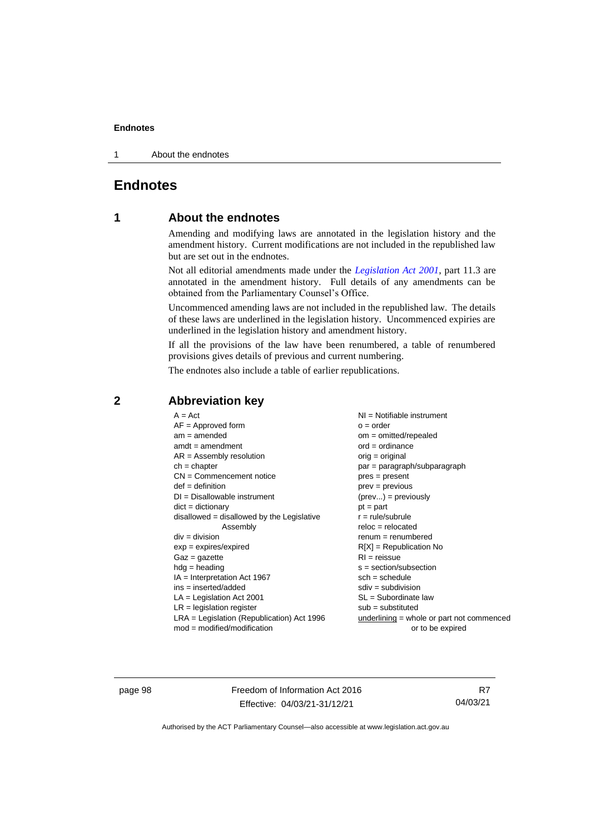#### **Endnotes**

1 About the endnotes

# **Endnotes**

# **1 About the endnotes**

Amending and modifying laws are annotated in the legislation history and the amendment history. Current modifications are not included in the republished law but are set out in the endnotes.

Not all editorial amendments made under the *[Legislation Act 2001](http://www.legislation.act.gov.au/a/2001-14)*, part 11.3 are annotated in the amendment history. Full details of any amendments can be obtained from the Parliamentary Counsel's Office.

Uncommenced amending laws are not included in the republished law. The details of these laws are underlined in the legislation history. Uncommenced expiries are underlined in the legislation history and amendment history.

If all the provisions of the law have been renumbered, a table of renumbered provisions gives details of previous and current numbering.

The endnotes also include a table of earlier republications.

| $A = Act$<br>$AF =$ Approved form<br>$am = amended$<br>$amdt = amendment$ | $NI =$ Notifiable instrument<br>$o = order$<br>$om = omitted/repealed$<br>$ord = ordinance$ |
|---------------------------------------------------------------------------|---------------------------------------------------------------------------------------------|
| $AR = Assembly$ resolution                                                | $orig = original$                                                                           |
| $ch = chapter$                                                            | par = paragraph/subparagraph                                                                |
| $CN =$ Commencement notice                                                | $pres = present$                                                                            |
| $def = definition$                                                        | prev = previous                                                                             |
| $DI = Disallowable instrument$                                            | $(\text{prev}) = \text{previously}$                                                         |
| $dict = dictionary$                                                       | $pt = part$                                                                                 |
| disallowed = disallowed by the Legislative                                | $r = rule/subrule$                                                                          |
| Assembly                                                                  | $reloc = relocated$                                                                         |
| $div = division$                                                          | $remum = renumbered$                                                                        |
| $exp = expires/expired$                                                   | $R[X]$ = Republication No                                                                   |
| $Gaz = gazette$                                                           | $RI =$ reissue                                                                              |
| $hdg =$ heading                                                           | s = section/subsection                                                                      |
| $IA = Interpretation Act 1967$                                            | $sch = schedule$                                                                            |
| $ins = inserted/added$                                                    | $sdiv = subdivision$                                                                        |
| $LA =$ Legislation Act 2001                                               | $SL = Subordinate$ law                                                                      |
| $LR =$ legislation register                                               | $sub =$ substituted                                                                         |
| $LRA =$ Legislation (Republication) Act 1996                              | $underlining = whole or part not commenced$                                                 |
| $mod = modified/modification$                                             | or to be expired                                                                            |

# **2 Abbreviation key**

page 98 Freedom of Information Act 2016 Effective: 04/03/21-31/12/21

R7 04/03/21

Authorised by the ACT Parliamentary Counsel—also accessible at www.legislation.act.gov.au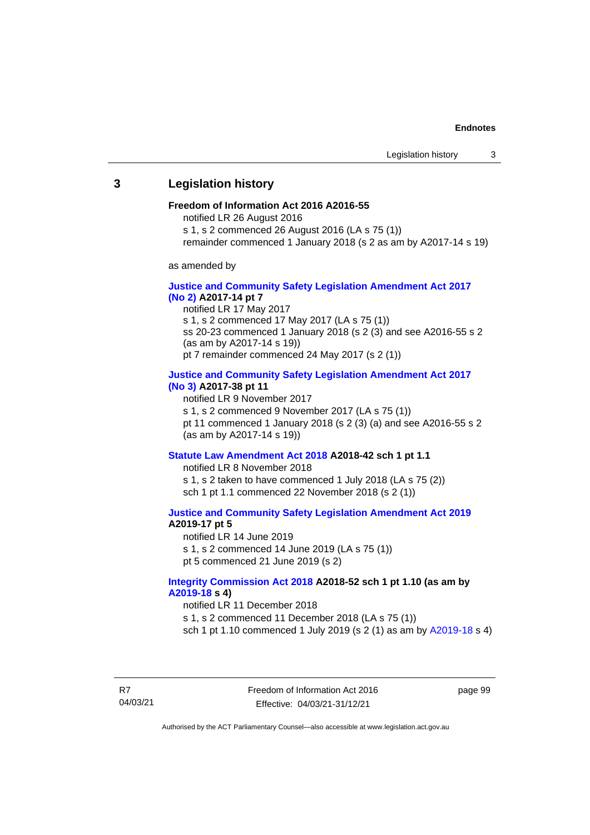## **3 Legislation history**

#### **Freedom of Information Act 2016 A2016-55**

notified LR 26 August 2016

- s 1, s 2 commenced 26 August 2016 (LA s 75 (1))
- remainder commenced 1 January 2018 (s 2 as am by A2017-14 s 19)

as amended by

### **[Justice and Community Safety Legislation Amendment Act](http://www.legislation.act.gov.au/a/2017-14%20/default.asp) 2017 [\(No](http://www.legislation.act.gov.au/a/2017-14%20/default.asp) 2) A2017-14 pt 7**

notified LR 17 May 2017 s 1, s 2 commenced 17 May 2017 (LA s 75 (1)) ss 20-23 commenced 1 January 2018 (s 2 (3) and see A2016-55 s 2 (as am by A2017-14 s 19))

pt 7 remainder commenced 24 May 2017 (s 2 (1))

#### **[Justice and Community Safety Legislation Amendment Act](http://www.legislation.act.gov.au/a/2017-38/default.asp) 2017 [\(No](http://www.legislation.act.gov.au/a/2017-38/default.asp) 3) A2017-38 pt 11**

notified LR 9 November 2017

s 1, s 2 commenced 9 November 2017 (LA s 75 (1))

pt 11 commenced 1 January 2018 (s 2 (3) (a) and see A2016-55 s 2 (as am by A2017-14 s 19))

# **[Statute Law Amendment Act 2018](http://www.legislation.act.gov.au/a/2018-42/default.asp) A2018-42 sch 1 pt 1.1**

notified LR 8 November 2018 s 1, s 2 taken to have commenced 1 July 2018 (LA s 75 (2)) sch 1 pt 1.1 commenced 22 November 2018 (s 2 (1))

**[Justice and Community Safety Legislation Amendment Act](http://www.legislation.act.gov.au/a/2019-19/) 2019 A2019-17 pt 5**

notified LR 14 June 2019 s 1, s 2 commenced 14 June 2019 (LA s 75 (1)) pt 5 commenced 21 June 2019 (s 2)

## **[Integrity Commission Act 2018](http://www.legislation.act.gov.au/a/2018-52/#history) A2018-52 sch 1 pt 1.10 (as am by [A2019-18](https://www.legislation.act.gov.au/a/2019-18/) s 4)**

notified LR 11 December 2018

s 1, s 2 commenced 11 December 2018 (LA s 75 (1))

sch 1 pt 1.10 commenced 1 July 2019 (s 2 (1) as am by [A2019-18](https://www.legislation.act.gov.au/a/2019-18/) s 4)

R7 04/03/21 Freedom of Information Act 2016 Effective: 04/03/21-31/12/21

page 99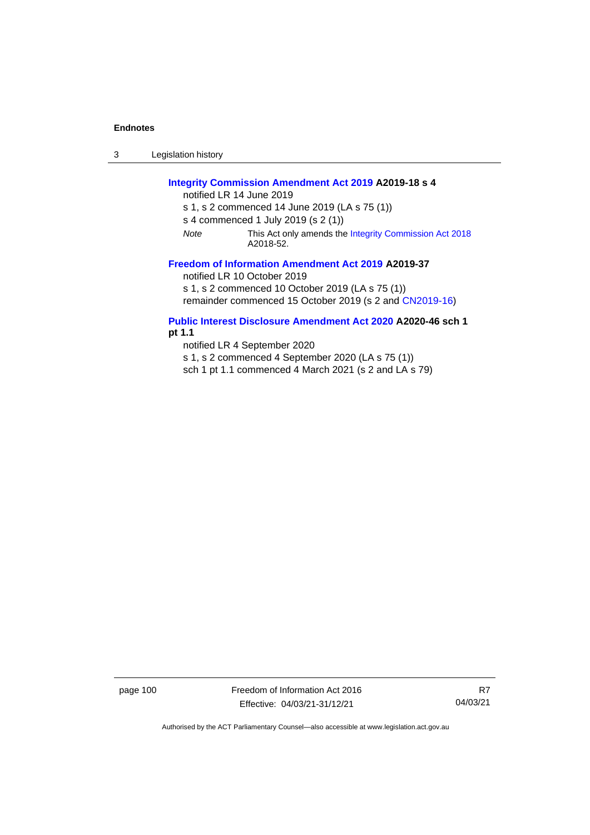3 Legislation history

## **[Integrity Commission Amendment Act 2019](https://www.legislation.act.gov.au/a/2019-18/) A2019-18 s 4**

notified LR 14 June 2019

s 1, s 2 commenced 14 June 2019 (LA s 75 (1))

s 4 commenced 1 July 2019 (s 2 (1))

*Note* This Act only amends th[e Integrity Commission Act 2018](http://www.legislation.act.gov.au/a/2018-52/#history) A2018-52.

#### **[Freedom of Information Amendment Act 2019](http://www.legislation.act.gov.au/a/2019-37/) A2019-37**

notified LR 10 October 2019

s 1, s 2 commenced 10 October 2019 (LA s 75 (1))

remainder commenced 15 October 2019 (s 2 and [CN2019-16\)](https://www.legislation.act.gov.au/cn/2019-16/)

**[Public Interest Disclosure Amendment Act 2020](http://www.legislation.act.gov.au/a/2020-46/) A2020-46 sch 1 pt 1.1**

notified LR 4 September 2020

s 1, s 2 commenced 4 September 2020 (LA s 75 (1))

sch 1 pt 1.1 commenced 4 March 2021 (s 2 and LA s 79)

page 100 Freedom of Information Act 2016 Effective: 04/03/21-31/12/21

R7 04/03/21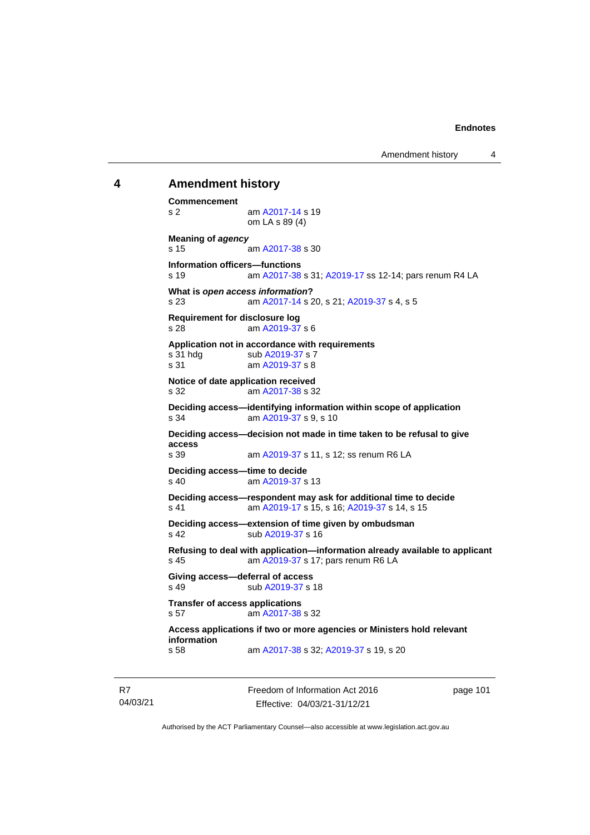## **4 Amendment history**

**Commencement** s 2 am [A2017-14](http://www.legislation.act.gov.au/a/2017-14/default.asp) s 19 om LA s 89 (4) **Meaning of** *agency* s 15 am [A2017-38](http://www.legislation.act.gov.au/a/2017-38/default.asp) s 30 **Information officers—functions** s 19 am [A2017-38](http://www.legislation.act.gov.au/a/2017-38/default.asp) s 31[; A2019-17](http://www.legislation.act.gov.au/a/2019-17/) ss 12-14; pars renum R4 LA **What is** *open access information***?** s 23 am [A2017-14](http://www.legislation.act.gov.au/a/2017-14/default.asp) s 20, s 21[; A2019-37](http://www.legislation.act.gov.au/a/2019-37/) s 4, s 5 **Requirement for disclosure log** s 28 am [A2019-37](http://www.legislation.act.gov.au/a/2019-37/) s 6 **Application not in accordance with requirements** s 31 hdg sub [A2019-37](http://www.legislation.act.gov.au/a/2019-37/) s 7<br>s 31 am A2019-37 s 8 am [A2019-37](http://www.legislation.act.gov.au/a/2019-37/) s 8 **Notice of date application received** s 32 am [A2017-38](http://www.legislation.act.gov.au/a/2017-38/default.asp) s 32 **Deciding access—identifying information within scope of application** s 34 am [A2019-37](http://www.legislation.act.gov.au/a/2019-37/) s 9, s 10 **Deciding access—decision not made in time taken to be refusal to give access** am [A2019-37](http://www.legislation.act.gov.au/a/2019-37/) s 11, s 12; ss renum R6 LA **Deciding access—time to decide** s 40 am [A2019-37](http://www.legislation.act.gov.au/a/2019-37/) s 13 **Deciding access—respondent may ask for additional time to decide** s 41 am [A2019-17](http://www.legislation.act.gov.au/a/2019-17/) s 15, s 16[; A2019-37](http://www.legislation.act.gov.au/a/2019-37/) s 14, s 15 **Deciding access—extension of time given by ombudsman** s 42 sub [A2019-37](http://www.legislation.act.gov.au/a/2019-37/) s 16 **Refusing to deal with application—information already available to applicant** s 45 **am [A2019-37](http://www.legislation.act.gov.au/a/2019-37/) s 17; pars renum R6 LA Giving access—deferral of access** s 49 sub [A2019-37](http://www.legislation.act.gov.au/a/2019-37/) s 18 **Transfer of access applications** s 57 am [A2017-38](http://www.legislation.act.gov.au/a/2017-38/default.asp) s 32 **Access applications if two or more agencies or Ministers hold relevant information** am [A2017-38](http://www.legislation.act.gov.au/a/2017-38/default.asp) s 32[; A2019-37](http://www.legislation.act.gov.au/a/2019-37/) s 19, s 20

Freedom of Information Act 2016 Effective: 04/03/21-31/12/21

page 101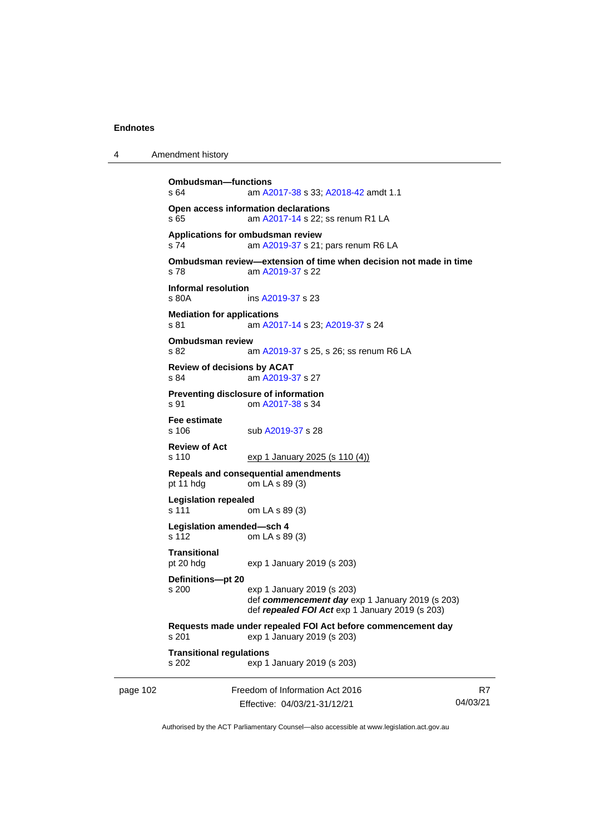| 4 | Amendment history |  |
|---|-------------------|--|
|   |                   |  |

```
page 102 Freedom of Information Act 2016
                       Effective: 04/03/21-31/12/21
                                                                      R7
                                                                 04/03/21
         Ombudsman—functions
         s 64 am A2017-38 s 33; A2018-42 amdt 1.1
         Open access information declarations
         s 65  A2017-14 s 22; ss renum R1 LA
         Applications for ombudsman review
          A2019-37 s 21; pars renum R6 LA
         Ombudsman review—extension of time when decision not made in time
         s 78 am A2019-37 s 22
         Informal resolution
                          A2019-37 s 23
         Mediation for applications
         s 81 am A2017-14 s 23; A2019-37 s 24
         Ombudsman review<br>s 82 a
                          A2019-37 s 25, s 26; ss renum R6 LA
         Review of decisions by ACAT
         s 84 am A2019-37 s 27
         Preventing disclosure of information
         s 91 om A2017-38 s 34
         Fee estimate
                          A2019-37 s 28
         Review of Act
         s 110 exp 1 January 2025 (s 110 (4))
         Repeals and consequential amendments
         pt 11 hdg om LA s 89 (3)
         Legislation repealed
         s 111 om LA s 89 (3)
         Legislation amended—sch 4
         s 112 om LA s 89 (3)
         Transitional
         pt 20 hdg exp 1 January 2019 (s 203)
         Definitions—pt 20
         s 200 exp 1 January 2019 (s 203)
                         def commencement day exp 1 January 2019 (s 203)
                         def repealed FOI Act exp 1 January 2019 (s 203)
         Requests made under repealed FOI Act before commencement day
         s 201 exp 1 January 2019 (s 203)
         Transitional regulations
         s 202 exp 1 January 2019 (s 203)
```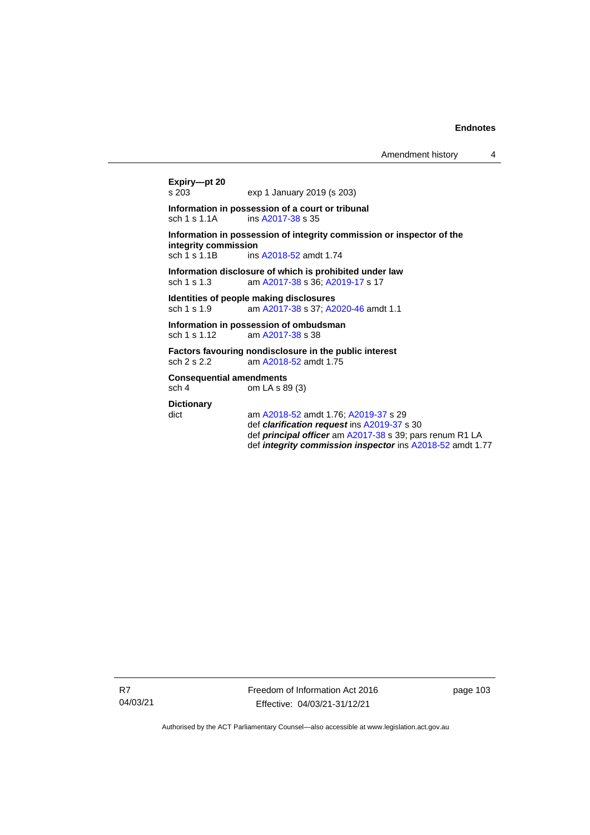```
Expiry—pt 20
                exp 1 January 2019 (s 203)
Information in possession of a court or tribunal
 A2017-38 s 35
Information in possession of integrity commission or inspector of the 
integrity commission
 A2018-52 amdt 1.74
Information disclosure of which is prohibited under law
sch 1 s 1.3 am A2017-38 s 36; A2019-17 s 17
Identities of people making disclosures
sch 1 s 1.9 am A2017-38 s 37; A2020-46 amdt 1.1
Information in possession of ombudsman
sch 1 s 1.12 am A2017-38 s 38
Factors favouring nondisclosure in the public interest
sch 2 s 2.2 am A2018-52 amdt 1.75
Consequential amendments
sch 4 om LA s 89 (3)
Dictionary
dict am A2018-52 amdt 1.76; A2019-37 s 29
                def clarification request ins A2019-37 s 30
                def principal officer am A2017-38 s 39; pars renum R1 LA
                def integrity commission inspector ins A2018-52 amdt 1.77
```
Freedom of Information Act 2016 Effective: 04/03/21-31/12/21

page 103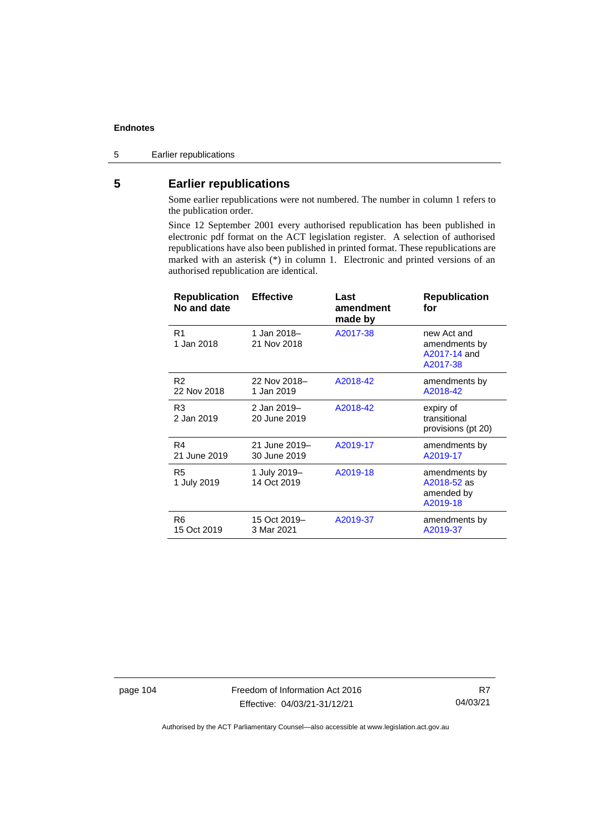5 Earlier republications

# **5 Earlier republications**

Some earlier republications were not numbered. The number in column 1 refers to the publication order.

Since 12 September 2001 every authorised republication has been published in electronic pdf format on the ACT legislation register. A selection of authorised republications have also been published in printed format. These republications are marked with an asterisk (\*) in column 1. Electronic and printed versions of an authorised republication are identical.

| <b>Republication</b><br>No and date | <b>Effective</b>              | Last<br>amendment<br>made by | <b>Republication</b><br>for                              |
|-------------------------------------|-------------------------------|------------------------------|----------------------------------------------------------|
| R <sub>1</sub><br>1 Jan 2018        | 1 Jan 2018–<br>21 Nov 2018    | A2017-38                     | new Act and<br>amendments by<br>A2017-14 and<br>A2017-38 |
| R <sub>2</sub><br>22 Nov 2018       | 22 Nov 2018-<br>1 Jan 2019    | A2018-42                     | amendments by<br>A2018-42                                |
| R3<br>2 Jan 2019                    | 2 Jan 2019-<br>20 June 2019   | A2018-42                     | expiry of<br>transitional<br>provisions (pt 20)          |
| R4<br>21 June 2019                  | 21 June 2019-<br>30 June 2019 | A2019-17                     | amendments by<br>A2019-17                                |
| R5<br>1 July 2019                   | 1 July 2019-<br>14 Oct 2019   | A2019-18                     | amendments by<br>A2018-52 as<br>amended by<br>A2019-18   |
| R <sub>6</sub><br>15 Oct 2019       | 15 Oct 2019-<br>3 Mar 2021    | A2019-37                     | amendments by<br>A2019-37                                |

page 104 Freedom of Information Act 2016 Effective: 04/03/21-31/12/21

R7 04/03/21